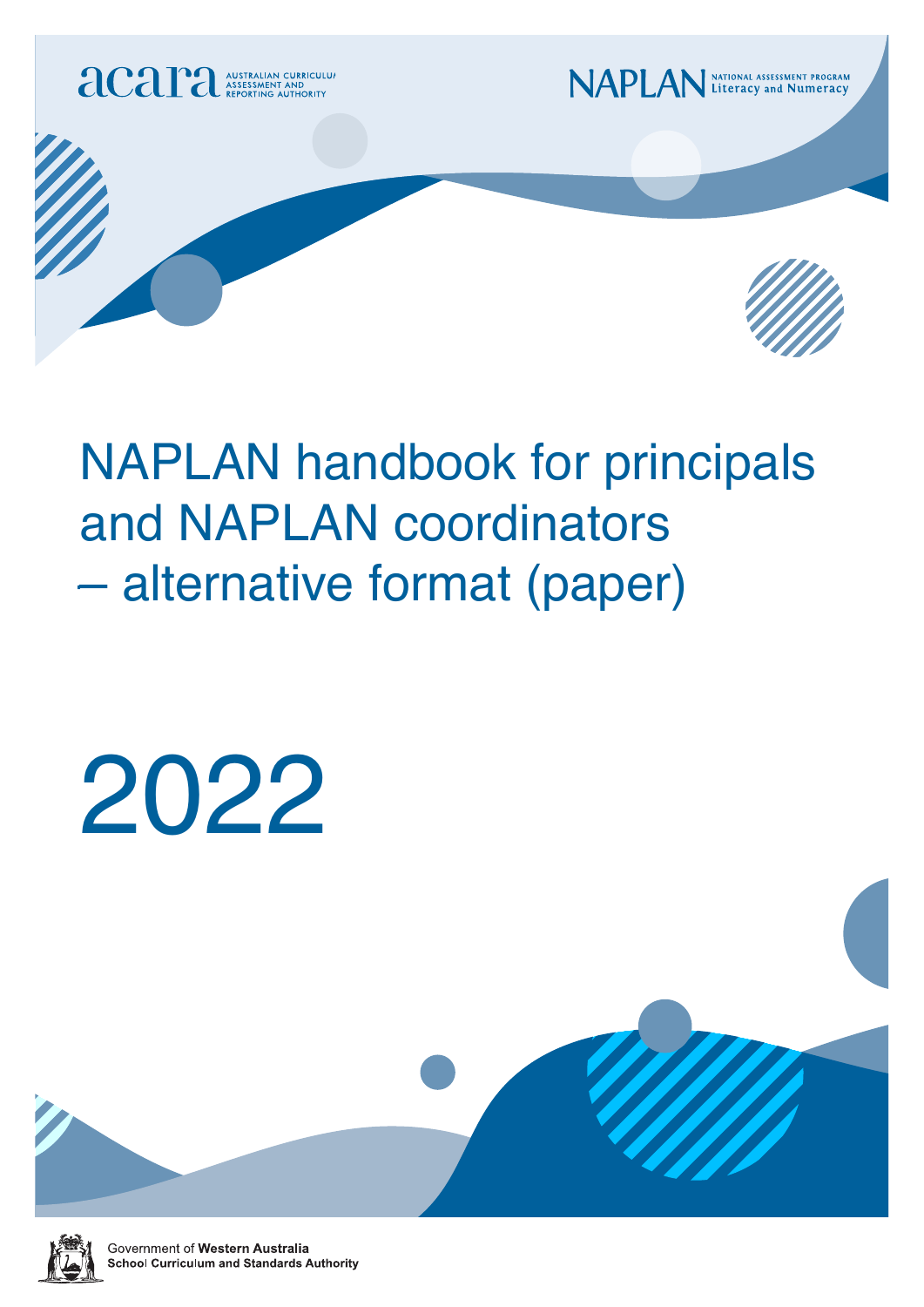

## NAPLAN handbook for NAPLAN handbook for principals and NAPLAN coordinators — alternative format (paper) – alternative format (paper)

# 2022



Government of Western Australia **School Curriculum and Standards Authority**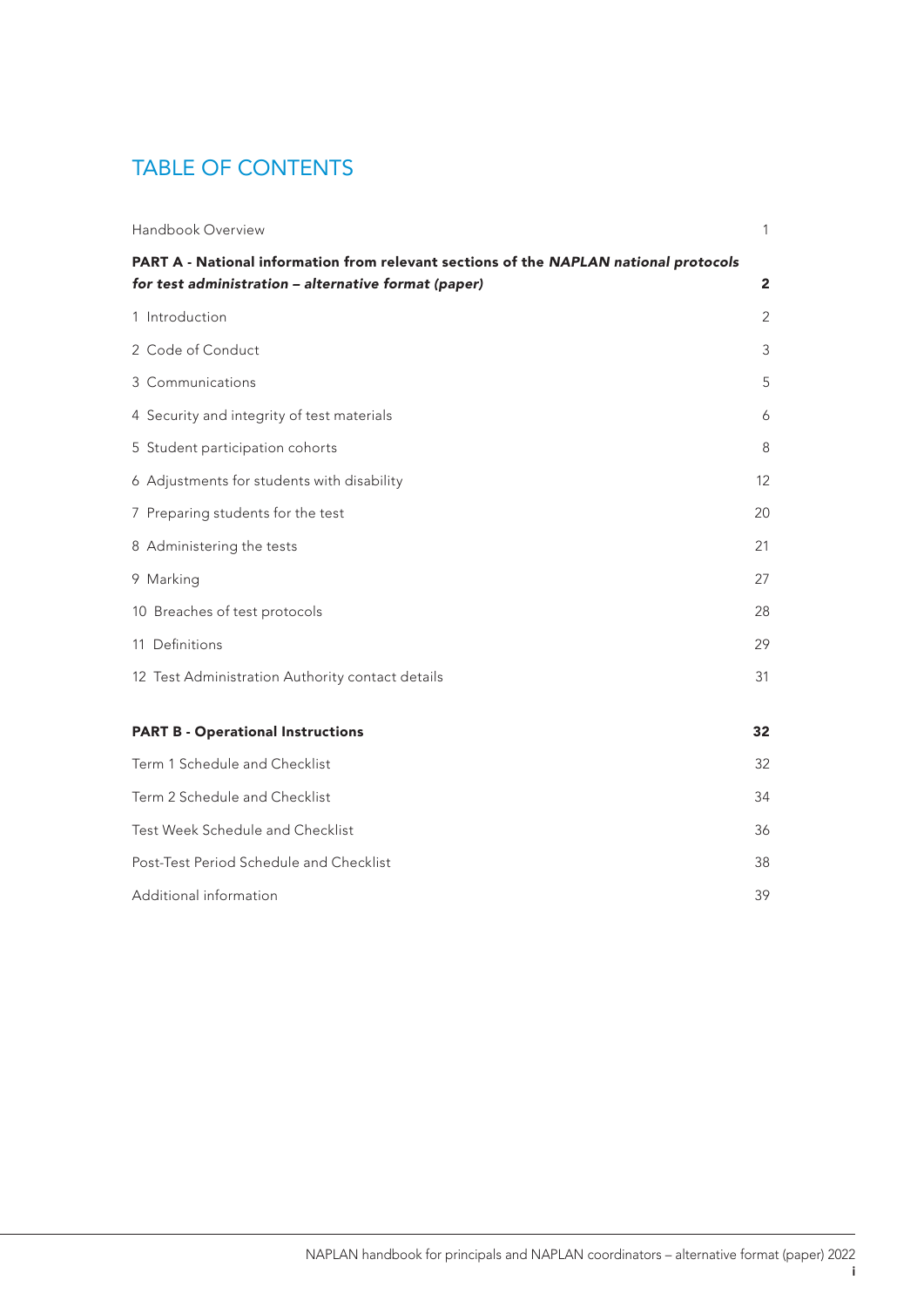## TABLE OF CONTENTS

| Handbook Overview                                                                                                                             | 1              |
|-----------------------------------------------------------------------------------------------------------------------------------------------|----------------|
| PART A - National information from relevant sections of the NAPLAN national protocols<br>for test administration - alternative format (paper) | $\overline{2}$ |
| 1 Introduction                                                                                                                                | $\overline{2}$ |
| 2 Code of Conduct                                                                                                                             | 3              |
| 3 Communications                                                                                                                              | 5              |
| 4 Security and integrity of test materials                                                                                                    | 6              |
| 5 Student participation cohorts                                                                                                               | 8              |
| 6 Adjustments for students with disability                                                                                                    | 12             |
| 7 Preparing students for the test                                                                                                             | 20             |
| 8 Administering the tests                                                                                                                     | 21             |
| 9 Marking                                                                                                                                     | 27             |
| 10 Breaches of test protocols                                                                                                                 | 28             |
| 11 Definitions                                                                                                                                | 29             |
| 12 Test Administration Authority contact details                                                                                              | 31             |
| <b>PART B - Operational Instructions</b>                                                                                                      | 32             |
| Term 1 Schedule and Checklist                                                                                                                 | 32             |
| Term 2 Schedule and Checklist                                                                                                                 | 34             |
| Test Week Schedule and Checklist                                                                                                              | 36             |
| Post-Test Period Schedule and Checklist                                                                                                       | 38             |
| Additional information                                                                                                                        | 39             |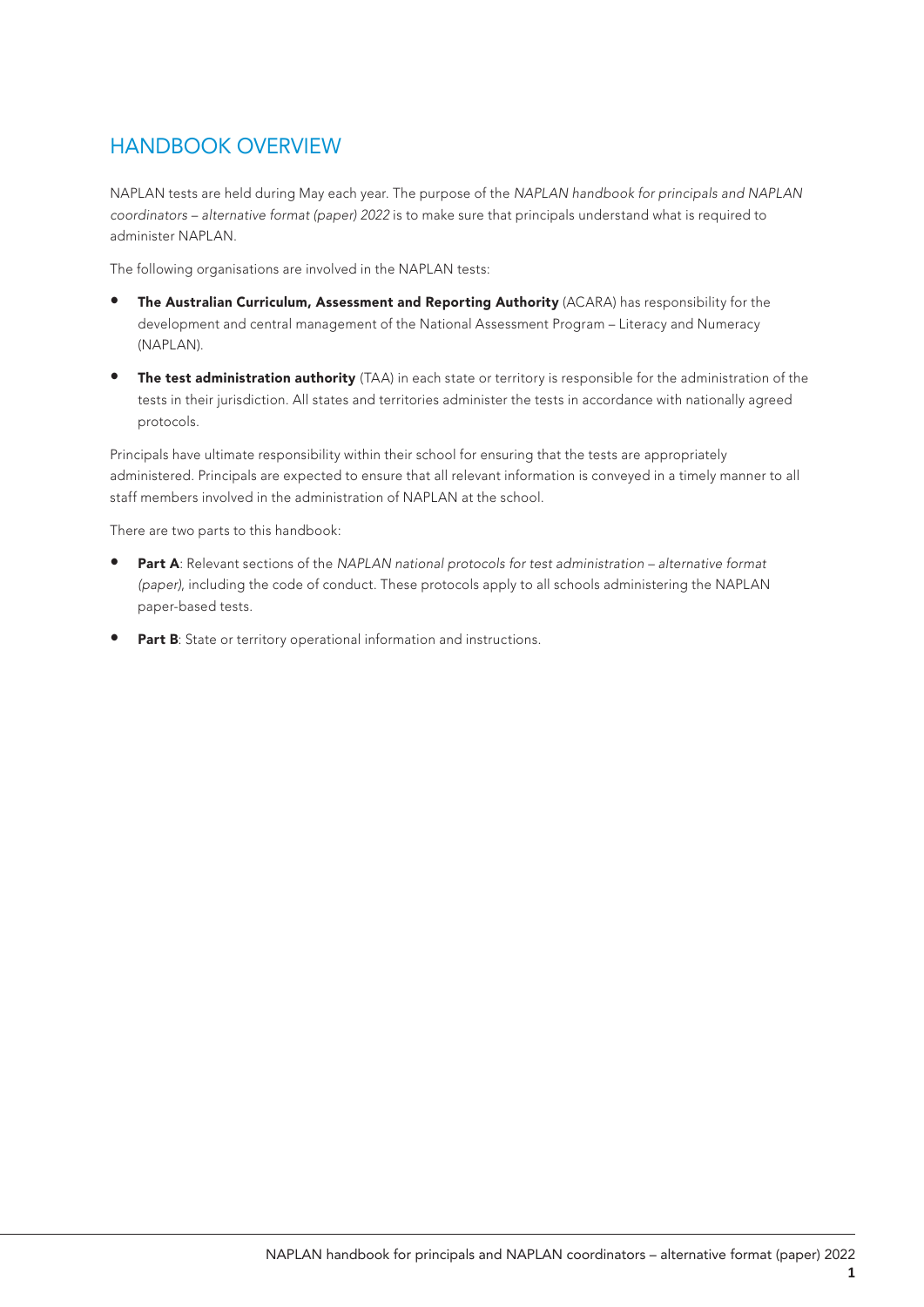## HANDBOOK OVERVIEW

NAPLAN tests are held during May each year. The purpose of the *NAPLAN handbook for principals and NAPLAN coordinators – alternative format (paper) 2022* is to make sure that principals understand what is required to administer NAPLAN.

The following organisations are involved in the NAPLAN tests:

- The Australian Curriculum, Assessment and Reporting Authority (ACARA) has responsibility for the development and central management of the National Assessment Program – Literacy and Numeracy (NAPLAN).
- The test administration authority (TAA) in each state or territory is responsible for the administration of the tests in their jurisdiction. All states and territories administer the tests in accordance with nationally agreed protocols.

Principals have ultimate responsibility within their school for ensuring that the tests are appropriately administered. Principals are expected to ensure that all relevant information is conveyed in a timely manner to all staff members involved in the administration of NAPLAN at the school.

There are two parts to this handbook:

- Part A: Relevant sections of the *NAPLAN national protocols for test administration alternative format (paper)*, including the code of conduct. These protocols apply to all schools administering the NAPLAN paper-based tests.
- Part B: State or territory operational information and instructions.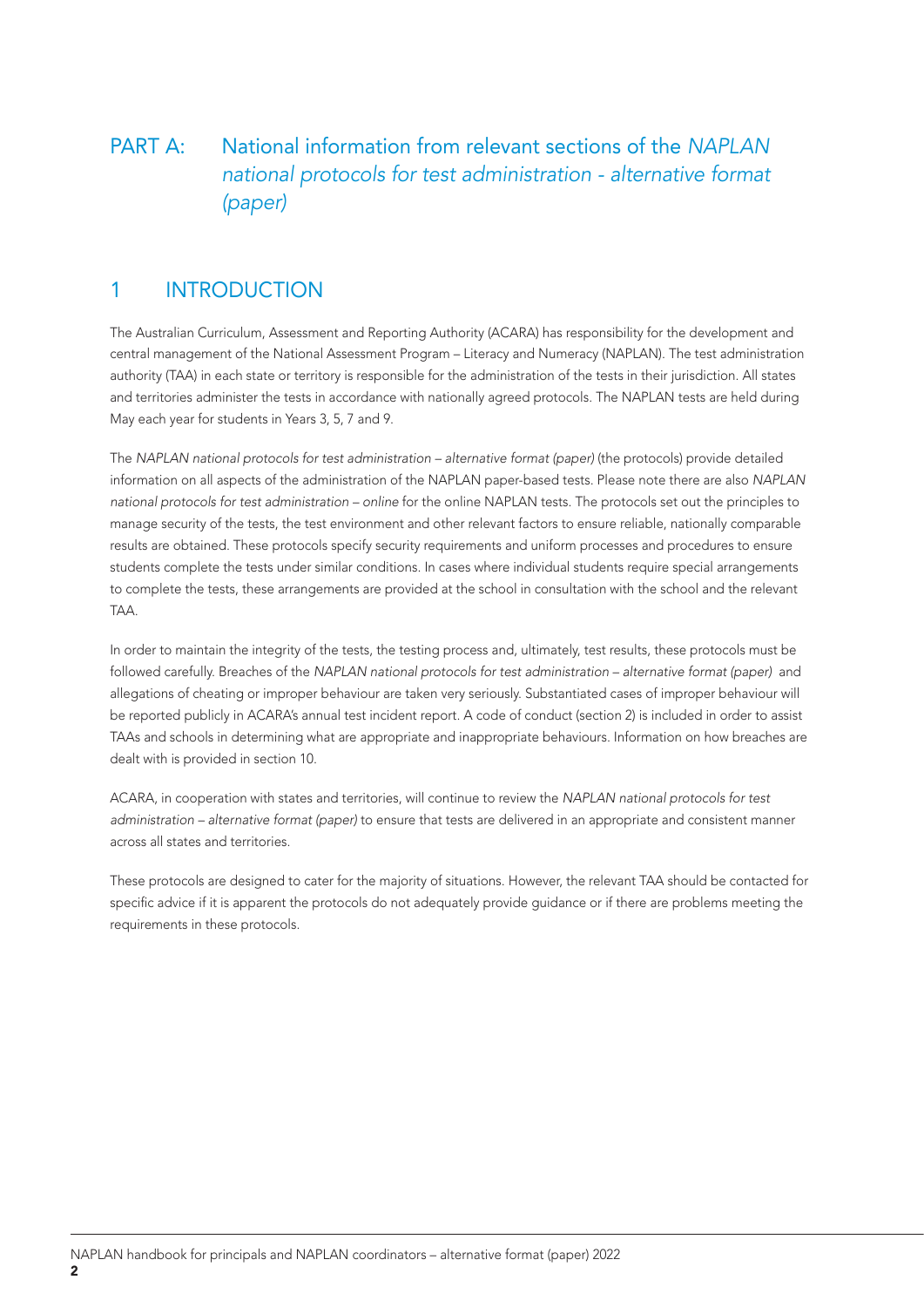## PART A: National information from relevant sections of the *NAPLAN national protocols for test administration - alternative format (paper)*

## 1 INTRODUCTION

The Australian Curriculum, Assessment and Reporting Authority (ACARA) has responsibility for the development and central management of the National Assessment Program – Literacy and Numeracy (NAPLAN). The test administration authority (TAA) in each state or territory is responsible for the administration of the tests in their jurisdiction. All states and territories administer the tests in accordance with nationally agreed protocols. The NAPLAN tests are held during May each year for students in Years 3, 5, 7 and 9.

The *NAPLAN national protocols for test administration – alternative format (paper)* (the protocols) provide detailed information on all aspects of the administration of the NAPLAN paper-based tests. Please note there are also *NAPLAN national protocols for test administration – online* for the online NAPLAN tests. The protocols set out the principles to manage security of the tests, the test environment and other relevant factors to ensure reliable, nationally comparable results are obtained. These protocols specify security requirements and uniform processes and procedures to ensure students complete the tests under similar conditions. In cases where individual students require special arrangements to complete the tests, these arrangements are provided at the school in consultation with the school and the relevant TAA.

In order to maintain the integrity of the tests, the testing process and, ultimately, test results, these protocols must be followed carefully. Breaches of the *NAPLAN national protocols for test administration – alternative format (paper)* and allegations of cheating or improper behaviour are taken very seriously. Substantiated cases of improper behaviour will be reported publicly in ACARA's annual test incident report. A code of conduct (section 2) is included in order to assist TAAs and schools in determining what are appropriate and inappropriate behaviours. Information on how breaches are dealt with is provided in section 10.

ACARA, in cooperation with states and territories, will continue to review the *NAPLAN national protocols for test administration – alternative format (paper)* to ensure that tests are delivered in an appropriate and consistent manner across all states and territories.

These protocols are designed to cater for the majority of situations. However, the relevant TAA should be contacted for specific advice if it is apparent the protocols do not adequately provide guidance or if there are problems meeting the requirements in these protocols.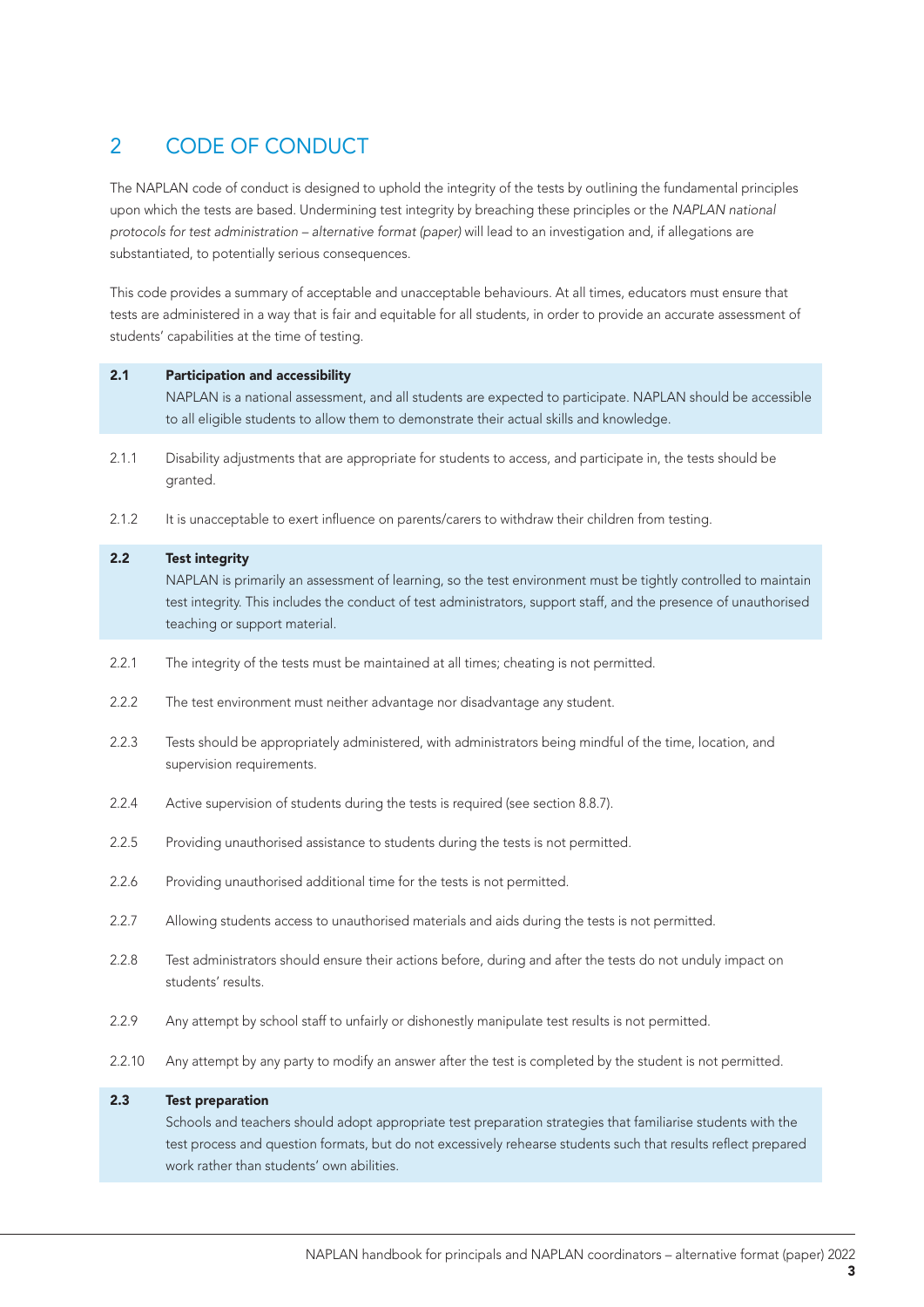## 2 CODE OF CONDUCT

The NAPLAN code of conduct is designed to uphold the integrity of the tests by outlining the fundamental principles upon which the tests are based. Undermining test integrity by breaching these principles or the *NAPLAN national protocols for test administration – alternative format (paper)* will lead to an investigation and, if allegations are substantiated, to potentially serious consequences.

This code provides a summary of acceptable and unacceptable behaviours. At all times, educators must ensure that tests are administered in a way that is fair and equitable for all students, in order to provide an accurate assessment of students' capabilities at the time of testing.

## 2.1 Participation and accessibility NAPLAN is a national assessment, and all students are expected to participate. NAPLAN should be accessible

- 2.1.1 Disability adjustments that are appropriate for students to access, and participate in, the tests should be granted.
- 2.1.2 It is unacceptable to exert influence on parents/carers to withdraw their children from testing.

to all eligible students to allow them to demonstrate their actual skills and knowledge.

#### 2.2 Test integrity

NAPLAN is primarily an assessment of learning, so the test environment must be tightly controlled to maintain test integrity. This includes the conduct of test administrators, support staff, and the presence of unauthorised teaching or support material.

- 2.2.1 The integrity of the tests must be maintained at all times; cheating is not permitted.
- 2.2.2 The test environment must neither advantage nor disadvantage any student.
- 2.2.3 Tests should be appropriately administered, with administrators being mindful of the time, location, and supervision requirements.
- 2.2.4 Active supervision of students during the tests is required (see section 8.8.7).
- 2.2.5 Providing unauthorised assistance to students during the tests is not permitted.
- 2.2.6 Providing unauthorised additional time for the tests is not permitted.
- 2.2.7 Allowing students access to unauthorised materials and aids during the tests is not permitted.
- 2.2.8 Test administrators should ensure their actions before, during and after the tests do not unduly impact on students' results.
- 2.2.9 Any attempt by school staff to unfairly or dishonestly manipulate test results is not permitted.
- 2.2.10 Any attempt by any party to modify an answer after the test is completed by the student is not permitted.

#### 2.3 Test preparation

Schools and teachers should adopt appropriate test preparation strategies that familiarise students with the test process and question formats, but do not excessively rehearse students such that results reflect prepared work rather than students' own abilities.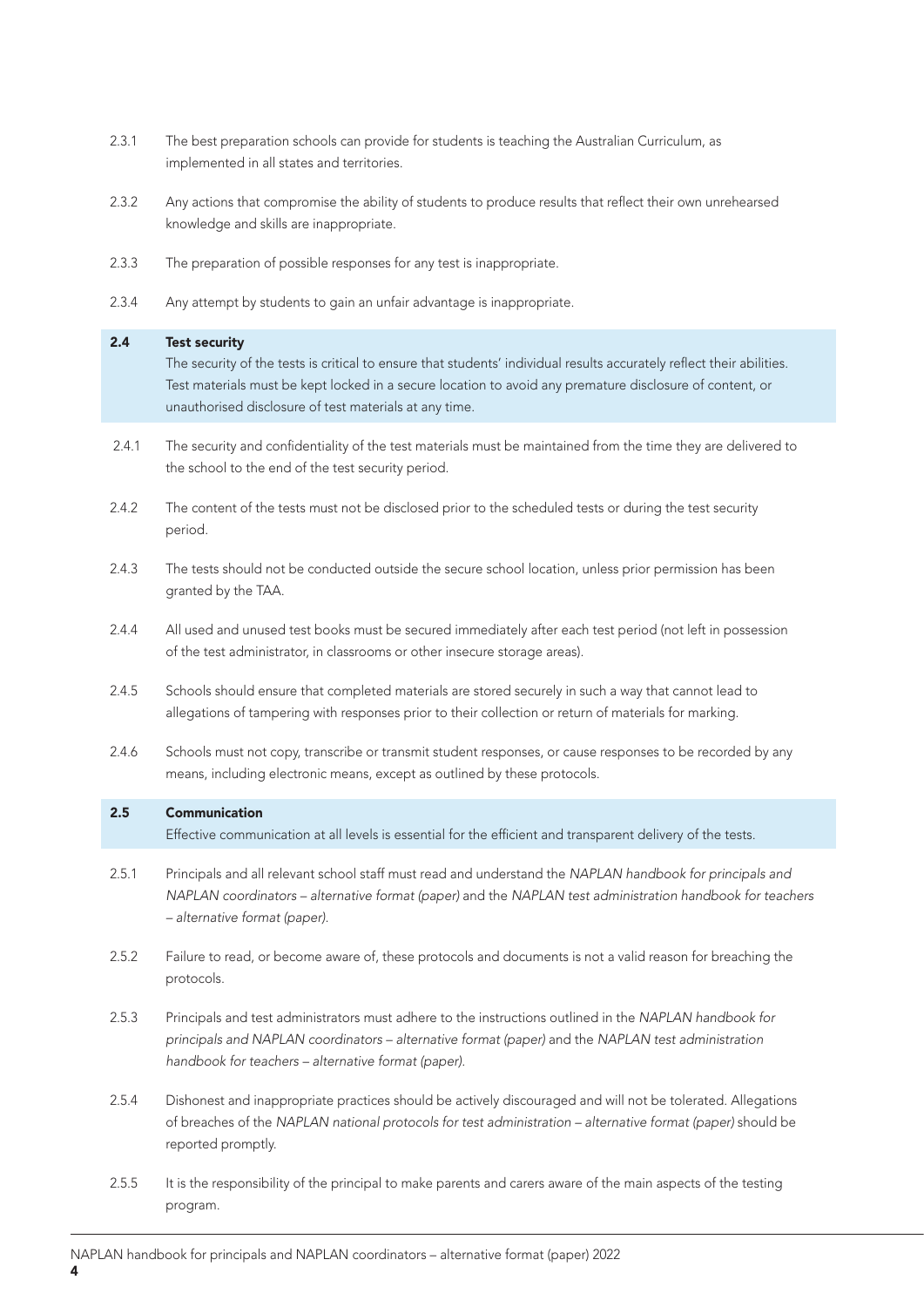- 2.3.1 The best preparation schools can provide for students is teaching the Australian Curriculum, as implemented in all states and territories.
- 2.3.2 Any actions that compromise the ability of students to produce results that reflect their own unrehearsed knowledge and skills are inappropriate.
- 2.3.3 The preparation of possible responses for any test is inappropriate.
- 2.3.4 Any attempt by students to gain an unfair advantage is inappropriate.

#### 2.4 Test security

The security of the tests is critical to ensure that students' individual results accurately reflect their abilities. Test materials must be kept locked in a secure location to avoid any premature disclosure of content, or unauthorised disclosure of test materials at any time.

- 2.4.1 The security and confidentiality of the test materials must be maintained from the time they are delivered to the school to the end of the test security period.
- 2.4.2 The content of the tests must not be disclosed prior to the scheduled tests or during the test security period.
- 2.4.3 The tests should not be conducted outside the secure school location, unless prior permission has been granted by the TAA.
- 2.4.4 All used and unused test books must be secured immediately after each test period (not left in possession of the test administrator, in classrooms or other insecure storage areas).
- 2.4.5 Schools should ensure that completed materials are stored securely in such a way that cannot lead to allegations of tampering with responses prior to their collection or return of materials for marking.
- 2.4.6 Schools must not copy, transcribe or transmit student responses, or cause responses to be recorded by any means, including electronic means, except as outlined by these protocols.

#### 2.5 Communication

Effective communication at all levels is essential for the efficient and transparent delivery of the tests.

- 2.5.1 Principals and all relevant school staff must read and understand the *NAPLAN handbook for principals and NAPLAN coordinators – alternative format (paper)* and the *NAPLAN test administration handbook for teachers – alternative format (paper).*
- 2.5.2 Failure to read, or become aware of, these protocols and documents is not a valid reason for breaching the protocols.
- 2.5.3 Principals and test administrators must adhere to the instructions outlined in the *NAPLAN handbook for principals and NAPLAN coordinators – alternative format (paper)* and the *NAPLAN test administration handbook for teachers – alternative format (paper).*
- 2.5.4 Dishonest and inappropriate practices should be actively discouraged and will not be tolerated. Allegations of breaches of the *NAPLAN national protocols for test administration – alternative format (paper)* should be reported promptly.
- 2.5.5 It is the responsibility of the principal to make parents and carers aware of the main aspects of the testing program.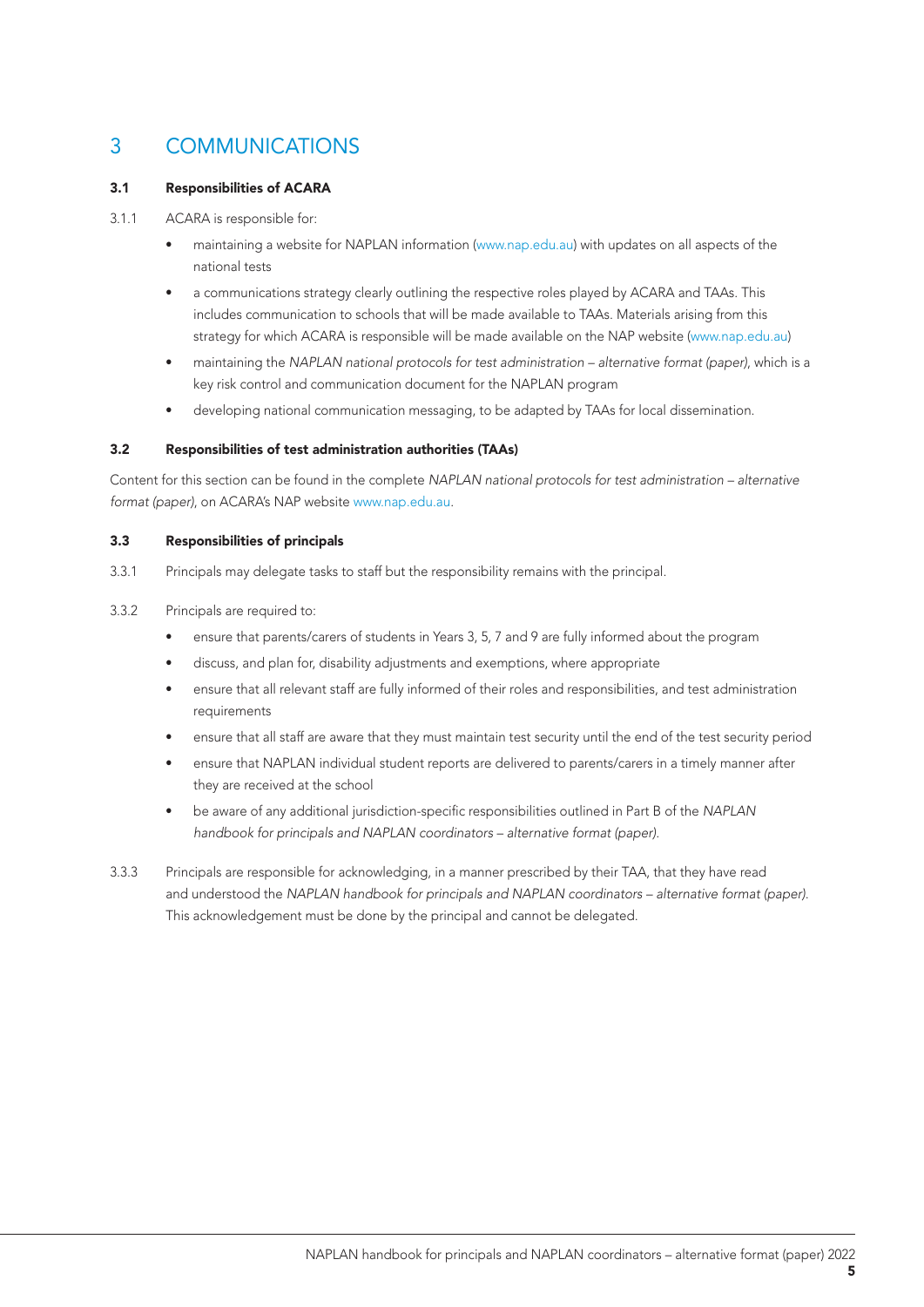## 3 COMMUNICATIONS

#### 3.1 Responsibilities of ACARA

- 3.1.1 ACARA is responsible for:
	- maintaining a website for NAPLAN information (www.nap.edu.au) with updates on all aspects of the national tests
	- a communications strategy clearly outlining the respective roles played by ACARA and TAAs. This includes communication to schools that will be made available to TAAs. Materials arising from this strategy for which ACARA is responsible will be made available on the NAP website (www.nap.edu.au)
	- maintaining the *NAPLAN national protocols for test administration alternative format (paper)*, which is a key risk control and communication document for the NAPLAN program
	- developing national communication messaging, to be adapted by TAAs for local dissemination.

#### 3.2 Responsibilities of test administration authorities (TAAs)

Content for this section can be found in the complete *NAPLAN national protocols for test administration – alternative format (paper)*, on ACARA's NAP website www.nap.edu.au.

#### 3.3 Responsibilities of principals

- 3.3.1 Principals may delegate tasks to staff but the responsibility remains with the principal.
- 3.3.2 Principals are required to:
	- ensure that parents/carers of students in Years 3, 5, 7 and 9 are fully informed about the program
	- discuss, and plan for, disability adjustments and exemptions, where appropriate
	- ensure that all relevant staff are fully informed of their roles and responsibilities, and test administration requirements
	- ensure that all staff are aware that they must maintain test security until the end of the test security period
	- ensure that NAPLAN individual student reports are delivered to parents/carers in a timely manner after they are received at the school
	- be aware of any additional jurisdiction-specific responsibilities outlined in Part B of the *NAPLAN handbook for principals and NAPLAN coordinators – alternative format (paper).*
- 3.3.3 Principals are responsible for acknowledging, in a manner prescribed by their TAA, that they have read and understood the *NAPLAN handbook for principals and NAPLAN coordinators – alternative format (paper)*. This acknowledgement must be done by the principal and cannot be delegated.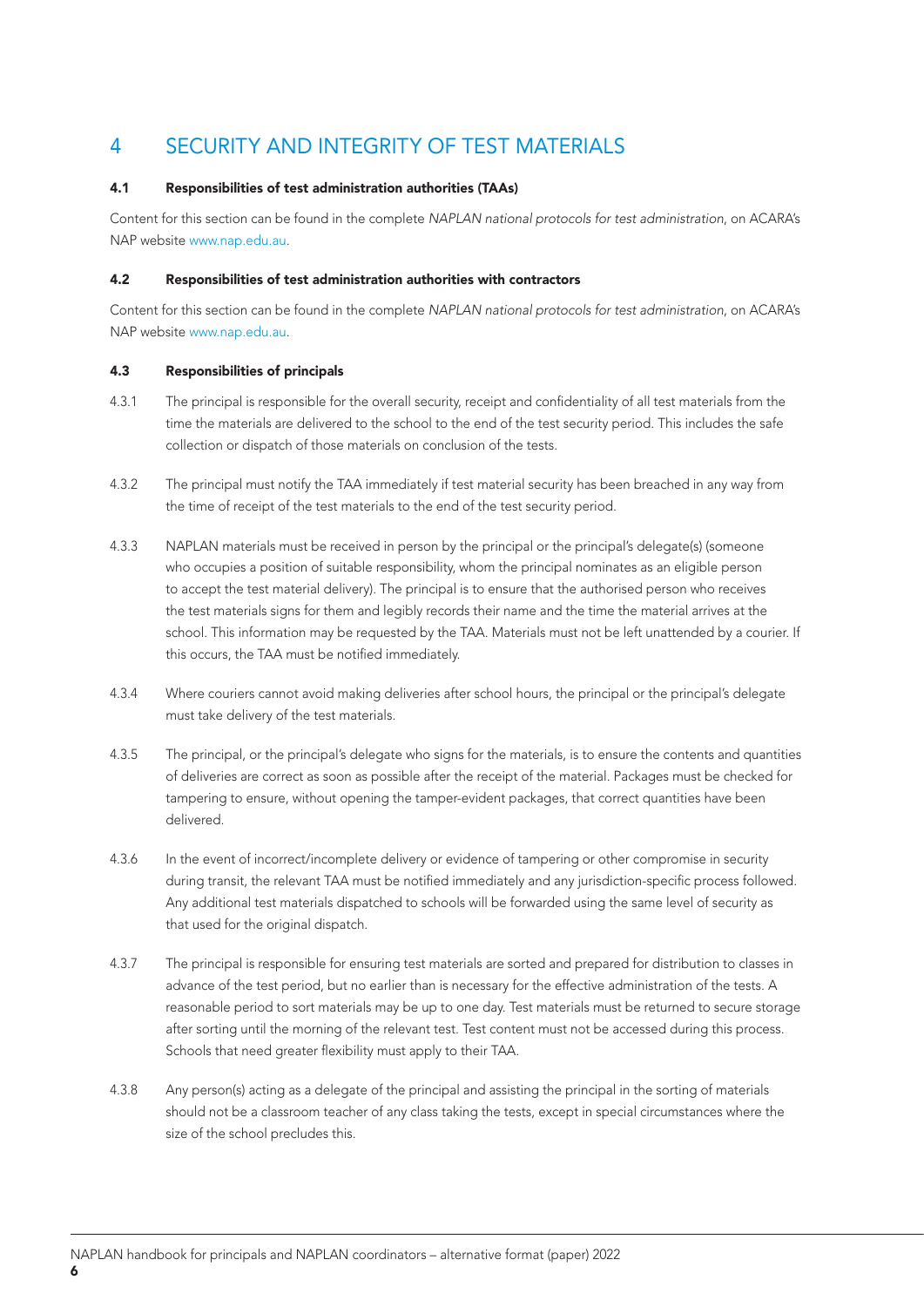## 4 SECURITY AND INTEGRITY OF TEST MATERIALS

#### 4.1 Responsibilities of test administration authorities (TAAs)

Content for this section can be found in the complete *NAPLAN national protocols for test administration*, on ACARA's NAP website www.nap.edu.au.

#### 4.2 Responsibilities of test administration authorities with contractors

Content for this section can be found in the complete *NAPLAN national protocols for test administration*, on ACARA's NAP website www.nap.edu.au.

#### 4.3 Responsibilities of principals

- 4.3.1 The principal is responsible for the overall security, receipt and confidentiality of all test materials from the time the materials are delivered to the school to the end of the test security period. This includes the safe collection or dispatch of those materials on conclusion of the tests.
- 4.3.2 The principal must notify the TAA immediately if test material security has been breached in any way from the time of receipt of the test materials to the end of the test security period.
- 4.3.3 NAPLAN materials must be received in person by the principal or the principal's delegate(s) (someone who occupies a position of suitable responsibility, whom the principal nominates as an eligible person to accept the test material delivery). The principal is to ensure that the authorised person who receives the test materials signs for them and legibly records their name and the time the material arrives at the school. This information may be requested by the TAA. Materials must not be left unattended by a courier. If this occurs, the TAA must be notified immediately.
- 4.3.4 Where couriers cannot avoid making deliveries after school hours, the principal or the principal's delegate must take delivery of the test materials.
- 4.3.5 The principal, or the principal's delegate who signs for the materials, is to ensure the contents and quantities of deliveries are correct as soon as possible after the receipt of the material. Packages must be checked for tampering to ensure, without opening the tamper-evident packages, that correct quantities have been delivered.
- 4.3.6 In the event of incorrect/incomplete delivery or evidence of tampering or other compromise in security during transit, the relevant TAA must be notified immediately and any jurisdiction-specific process followed. Any additional test materials dispatched to schools will be forwarded using the same level of security as that used for the original dispatch.
- 4.3.7 The principal is responsible for ensuring test materials are sorted and prepared for distribution to classes in advance of the test period, but no earlier than is necessary for the effective administration of the tests. A reasonable period to sort materials may be up to one day. Test materials must be returned to secure storage after sorting until the morning of the relevant test. Test content must not be accessed during this process. Schools that need greater flexibility must apply to their TAA.
- 4.3.8 Any person(s) acting as a delegate of the principal and assisting the principal in the sorting of materials should not be a classroom teacher of any class taking the tests, except in special circumstances where the size of the school precludes this.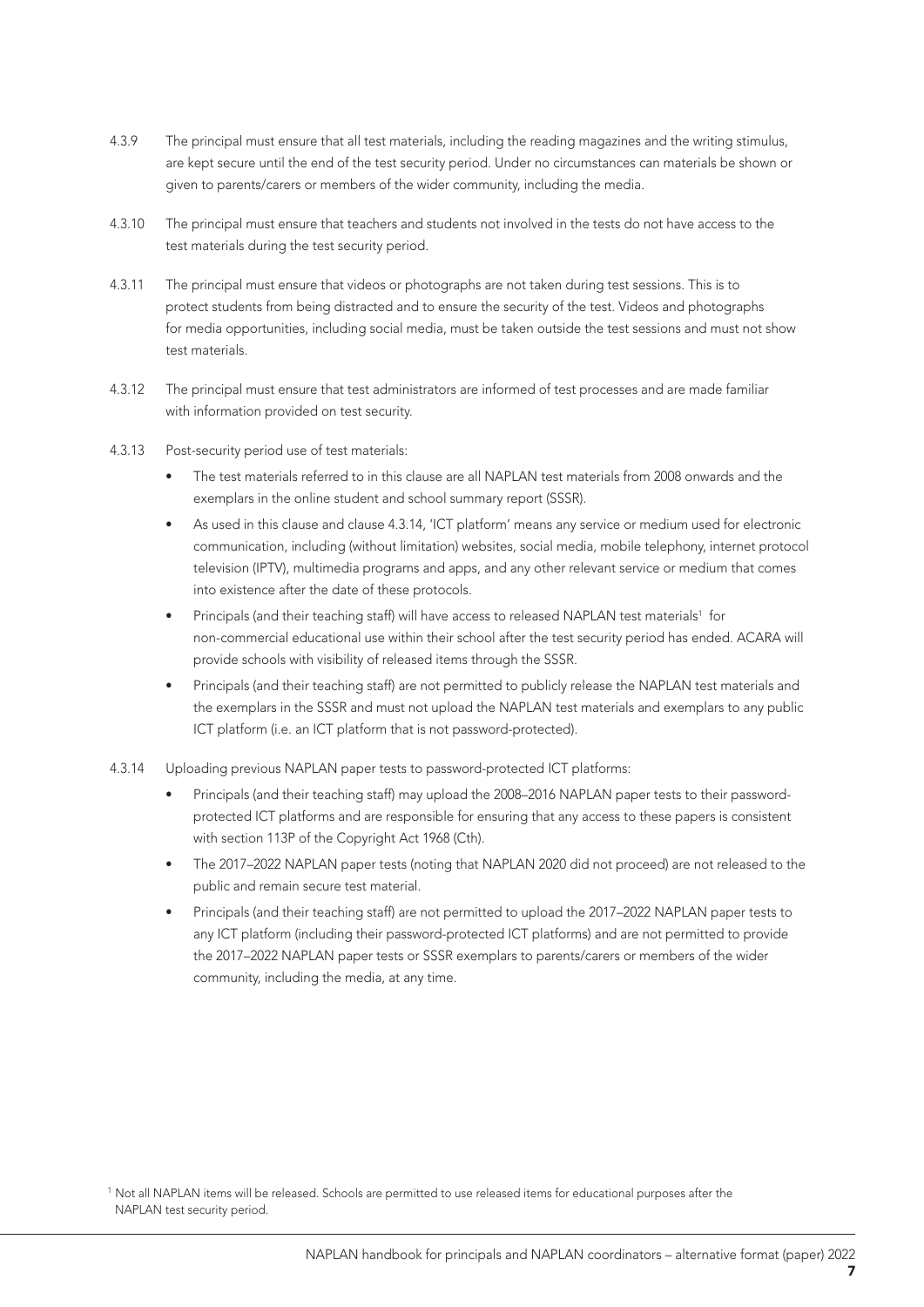- 4.3.9 The principal must ensure that all test materials, including the reading magazines and the writing stimulus, are kept secure until the end of the test security period. Under no circumstances can materials be shown or given to parents/carers or members of the wider community, including the media.
- 4.3.10 The principal must ensure that teachers and students not involved in the tests do not have access to the test materials during the test security period.
- 4.3.11 The principal must ensure that videos or photographs are not taken during test sessions. This is to protect students from being distracted and to ensure the security of the test. Videos and photographs for media opportunities, including social media, must be taken outside the test sessions and must not show test materials.
- 4.3.12 The principal must ensure that test administrators are informed of test processes and are made familiar with information provided on test security.
- 4.3.13 Post-security period use of test materials:
	- The test materials referred to in this clause are all NAPLAN test materials from 2008 onwards and the exemplars in the online student and school summary report (SSSR).
	- As used in this clause and clause 4.3.14, 'ICT platform' means any service or medium used for electronic communication, including (without limitation) websites, social media, mobile telephony, internet protocol television (IPTV), multimedia programs and apps, and any other relevant service or medium that comes into existence after the date of these protocols.
	- Principals (and their teaching staff) will have access to released NAPLAN test materials<sup>1</sup> for non-commercial educational use within their school after the test security period has ended. ACARA will provide schools with visibility of released items through the SSSR.
	- Principals (and their teaching staff) are not permitted to publicly release the NAPLAN test materials and the exemplars in the SSSR and must not upload the NAPLAN test materials and exemplars to any public ICT platform (i.e. an ICT platform that is not password-protected).
- 4.3.14 Uploading previous NAPLAN paper tests to password-protected ICT platforms:
	- Principals (and their teaching staff) may upload the 2008–2016 NAPLAN paper tests to their passwordprotected ICT platforms and are responsible for ensuring that any access to these papers is consistent with section 113P of the Copyright Act 1968 (Cth).
	- The 2017–2022 NAPLAN paper tests (noting that NAPLAN 2020 did not proceed) are not released to the public and remain secure test material.
	- Principals (and their teaching staff) are not permitted to upload the 2017–2022 NAPLAN paper tests to any ICT platform (including their password-protected ICT platforms) and are not permitted to provide the 2017–2022 NAPLAN paper tests or SSSR exemplars to parents/carers or members of the wider community, including the media, at any time.

<sup>1</sup> Not all NAPLAN items will be released. Schools are permitted to use released items for educational purposes after the NAPLAN test security period.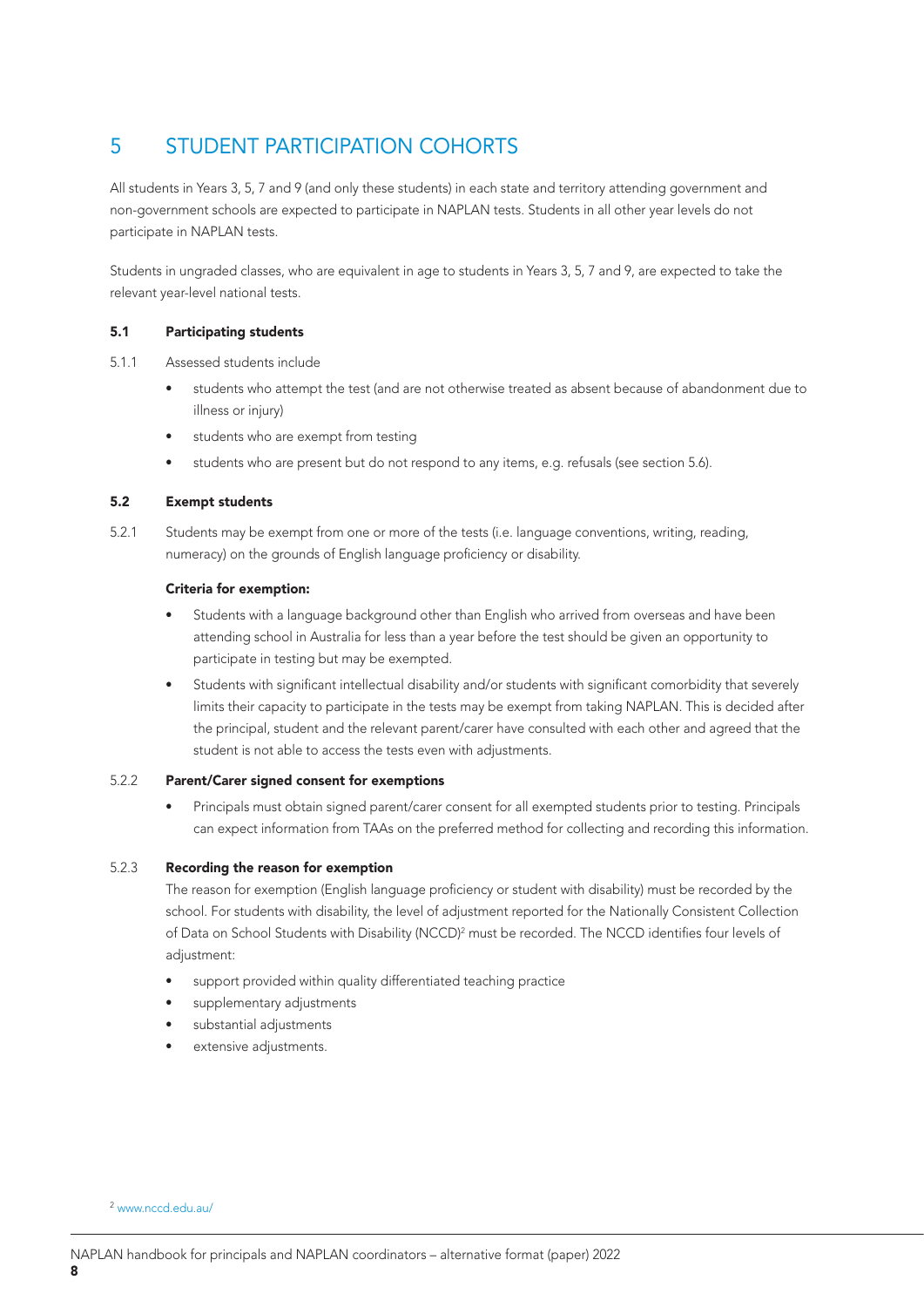## 5 STUDENT PARTICIPATION COHORTS

All students in Years 3, 5, 7 and 9 (and only these students) in each state and territory attending government and non-government schools are expected to participate in NAPLAN tests. Students in all other year levels do not participate in NAPLAN tests.

Students in ungraded classes, who are equivalent in age to students in Years 3, 5, 7 and 9, are expected to take the relevant year-level national tests.

#### 5.1 Participating students

5.1.1 Assessed students include

- students who attempt the test (and are not otherwise treated as absent because of abandonment due to illness or injury)
- students who are exempt from testing
- students who are present but do not respond to any items, e.g. refusals (see section 5.6).

#### 5.2 Exempt students

5.2.1 Students may be exempt from one or more of the tests (i.e. language conventions, writing, reading, numeracy) on the grounds of English language proficiency or disability.

#### Criteria for exemption:

- Students with a language background other than English who arrived from overseas and have been attending school in Australia for less than a year before the test should be given an opportunity to participate in testing but may be exempted.
- Students with significant intellectual disability and/or students with significant comorbidity that severely limits their capacity to participate in the tests may be exempt from taking NAPLAN. This is decided after the principal, student and the relevant parent/carer have consulted with each other and agreed that the student is not able to access the tests even with adjustments.

#### 5.2.2 Parent/Carer signed consent for exemptions

• Principals must obtain signed parent/carer consent for all exempted students prior to testing. Principals can expect information from TAAs on the preferred method for collecting and recording this information.

#### 5.2.3 Recording the reason for exemption

The reason for exemption (English language proficiency or student with disability) must be recorded by the school. For students with disability, the level of adjustment reported for the Nationally Consistent Collection of Data on School Students with Disability (NCCD)<sup>2</sup> must be recorded. The NCCD identifies four levels of adjustment:

- support provided within quality differentiated teaching practice
- supplementary adjustments
- substantial adjustments
- extensive adjustments.

<sup>2</sup> www.nccd.edu.au/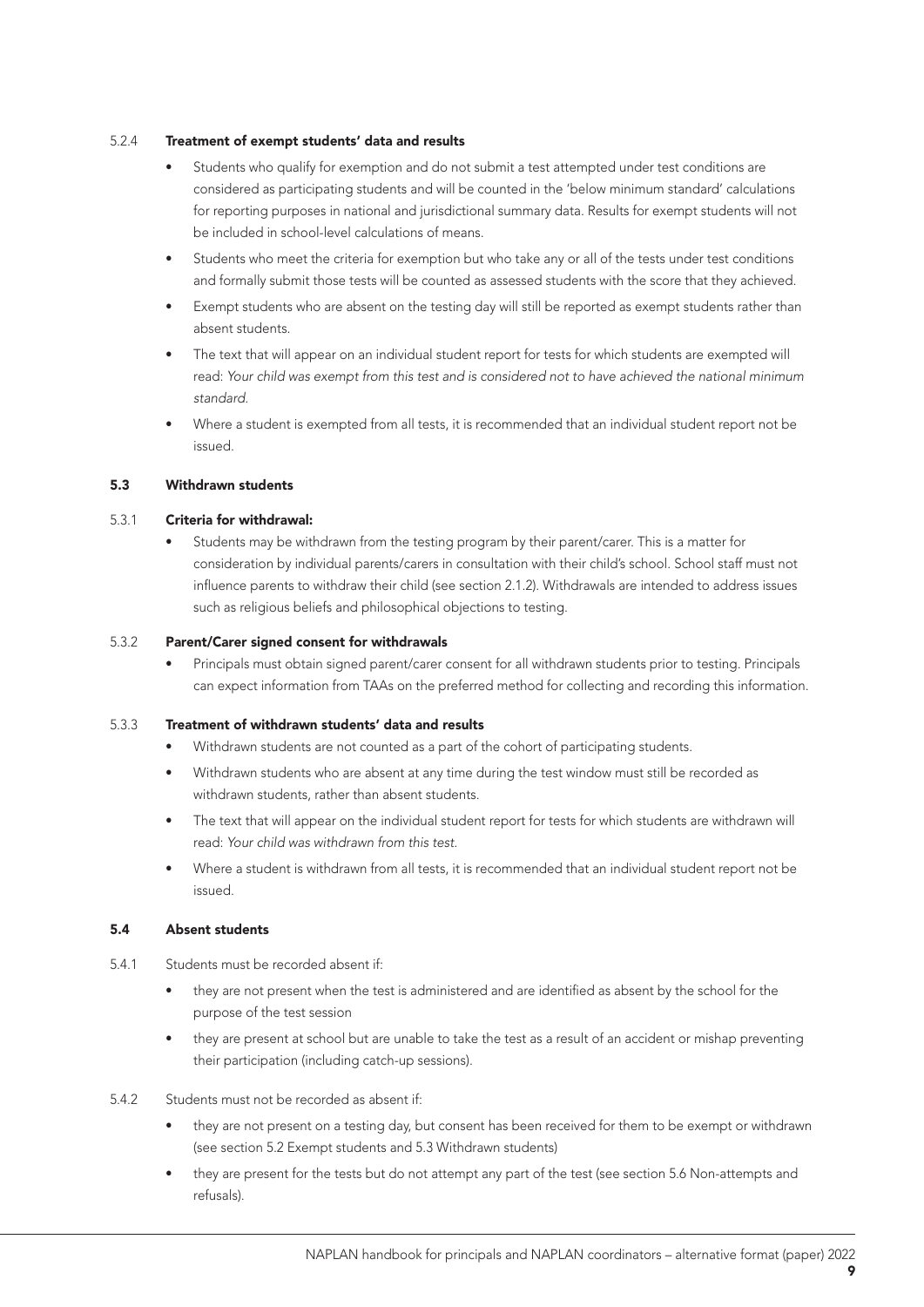#### 5.2.4 Treatment of exempt students' data and results

- Students who qualify for exemption and do not submit a test attempted under test conditions are considered as participating students and will be counted in the 'below minimum standard' calculations for reporting purposes in national and jurisdictional summary data. Results for exempt students will not be included in school-level calculations of means.
- Students who meet the criteria for exemption but who take any or all of the tests under test conditions and formally submit those tests will be counted as assessed students with the score that they achieved.
- Exempt students who are absent on the testing day will still be reported as exempt students rather than absent students.
- The text that will appear on an individual student report for tests for which students are exempted will read: *Your child was exempt from this test and is considered not to have achieved the national minimum standard.*
- Where a student is exempted from all tests, it is recommended that an individual student report not be issued.

#### 5.3 Withdrawn students

#### 5.3.1 Criteria for withdrawal:

• Students may be withdrawn from the testing program by their parent/carer. This is a matter for consideration by individual parents/carers in consultation with their child's school. School staff must not influence parents to withdraw their child (see section 2.1.2). Withdrawals are intended to address issues such as religious beliefs and philosophical objections to testing.

#### 5.3.2 Parent/Carer signed consent for withdrawals

• Principals must obtain signed parent/carer consent for all withdrawn students prior to testing. Principals can expect information from TAAs on the preferred method for collecting and recording this information.

#### 5.3.3 Treatment of withdrawn students' data and results

- Withdrawn students are not counted as a part of the cohort of participating students.
- Withdrawn students who are absent at any time during the test window must still be recorded as withdrawn students, rather than absent students.
- The text that will appear on the individual student report for tests for which students are withdrawn will read: *Your child was withdrawn from this test.*
- Where a student is withdrawn from all tests, it is recommended that an individual student report not be issued.

#### 5.4 Absent students

- 5.4.1 Students must be recorded absent if:
	- they are not present when the test is administered and are identified as absent by the school for the purpose of the test session
	- they are present at school but are unable to take the test as a result of an accident or mishap preventing their participation (including catch-up sessions).

#### 5.4.2 Students must not be recorded as absent if:

- they are not present on a testing day, but consent has been received for them to be exempt or withdrawn (see section 5.2 Exempt students and 5.3 Withdrawn students)
- they are present for the tests but do not attempt any part of the test (see section 5.6 Non-attempts and refusals).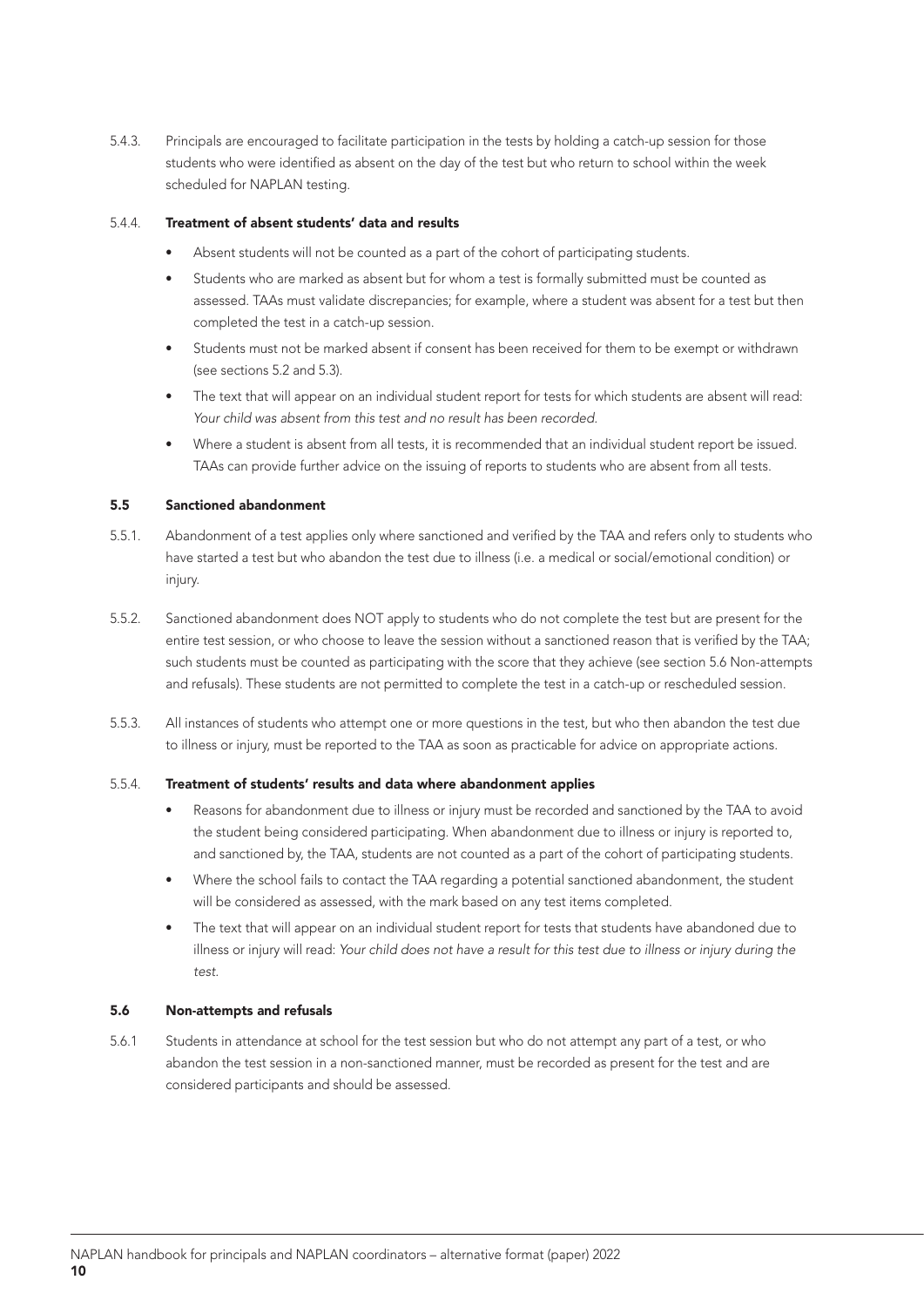5.4.3. Principals are encouraged to facilitate participation in the tests by holding a catch-up session for those students who were identified as absent on the day of the test but who return to school within the week scheduled for NAPLAN testing.

#### 5.4.4. Treatment of absent students' data and results

- Absent students will not be counted as a part of the cohort of participating students.
- Students who are marked as absent but for whom a test is formally submitted must be counted as assessed. TAAs must validate discrepancies; for example, where a student was absent for a test but then completed the test in a catch-up session.
- Students must not be marked absent if consent has been received for them to be exempt or withdrawn (see sections 5.2 and 5.3).
- The text that will appear on an individual student report for tests for which students are absent will read: *Your child was absent from this test and no result has been recorded.*
- Where a student is absent from all tests, it is recommended that an individual student report be issued. TAAs can provide further advice on the issuing of reports to students who are absent from all tests.

#### 5.5 Sanctioned abandonment

- 5.5.1. Abandonment of a test applies only where sanctioned and verified by the TAA and refers only to students who have started a test but who abandon the test due to illness (i.e. a medical or social/emotional condition) or injury.
- 5.5.2. Sanctioned abandonment does NOT apply to students who do not complete the test but are present for the entire test session, or who choose to leave the session without a sanctioned reason that is verified by the TAA; such students must be counted as participating with the score that they achieve (see section 5.6 Non-attempts and refusals). These students are not permitted to complete the test in a catch-up or rescheduled session.
- 5.5.3. All instances of students who attempt one or more questions in the test, but who then abandon the test due to illness or injury, must be reported to the TAA as soon as practicable for advice on appropriate actions.

#### 5.5.4. Treatment of students' results and data where abandonment applies

- Reasons for abandonment due to illness or injury must be recorded and sanctioned by the TAA to avoid the student being considered participating. When abandonment due to illness or injury is reported to, and sanctioned by, the TAA, students are not counted as a part of the cohort of participating students.
- Where the school fails to contact the TAA regarding a potential sanctioned abandonment, the student will be considered as assessed, with the mark based on any test items completed.
- The text that will appear on an individual student report for tests that students have abandoned due to illness or injury will read: *Your child does not have a result for this test due to illness or injury during the test.*

#### 5.6 Non-attempts and refusals

5.6.1 Students in attendance at school for the test session but who do not attempt any part of a test, or who abandon the test session in a non-sanctioned manner, must be recorded as present for the test and are considered participants and should be assessed.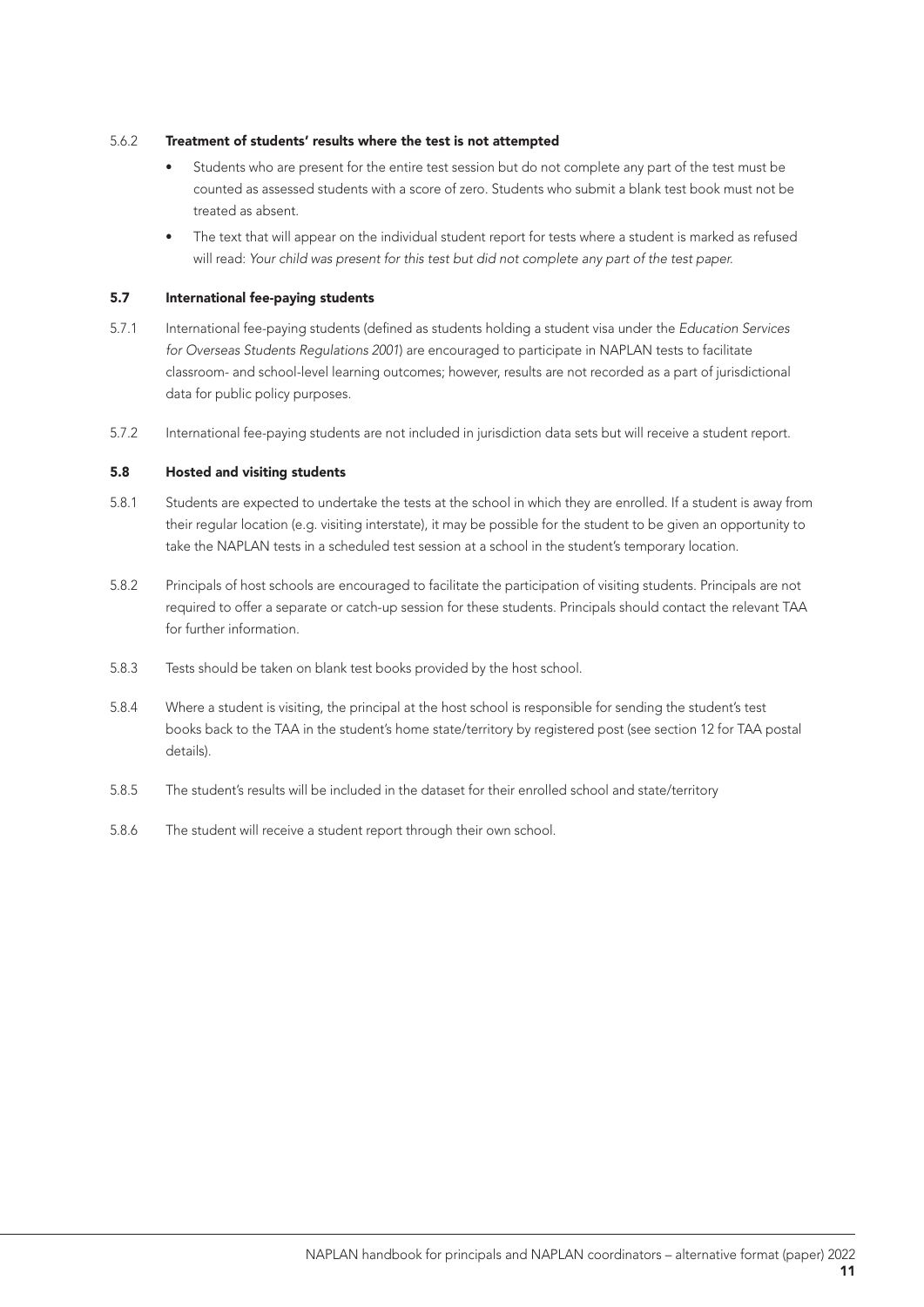#### 5.6.2 Treatment of students' results where the test is not attempted

- Students who are present for the entire test session but do not complete any part of the test must be counted as assessed students with a score of zero. Students who submit a blank test book must not be treated as absent.
- The text that will appear on the individual student report for tests where a student is marked as refused will read: *Your child was present for this test but did not complete any part of the test paper.*

#### 5.7 International fee-paying students

- 5.7.1 International fee-paying students (defined as students holding a student visa under the *Education Services for Overseas Students Regulations 2001*) are encouraged to participate in NAPLAN tests to facilitate classroom- and school-level learning outcomes; however, results are not recorded as a part of jurisdictional data for public policy purposes.
- 5.7.2 International fee-paying students are not included in jurisdiction data sets but will receive a student report.

#### 5.8 Hosted and visiting students

- 5.8.1 Students are expected to undertake the tests at the school in which they are enrolled. If a student is away from their regular location (e.g. visiting interstate), it may be possible for the student to be given an opportunity to take the NAPLAN tests in a scheduled test session at a school in the student's temporary location.
- 5.8.2 Principals of host schools are encouraged to facilitate the participation of visiting students. Principals are not required to offer a separate or catch-up session for these students. Principals should contact the relevant TAA for further information.
- 5.8.3 Tests should be taken on blank test books provided by the host school.
- 5.8.4 Where a student is visiting, the principal at the host school is responsible for sending the student's test books back to the TAA in the student's home state/territory by registered post (see section 12 for TAA postal details).
- 5.8.5 The student's results will be included in the dataset for their enrolled school and state/territory
- 5.8.6 The student will receive a student report through their own school.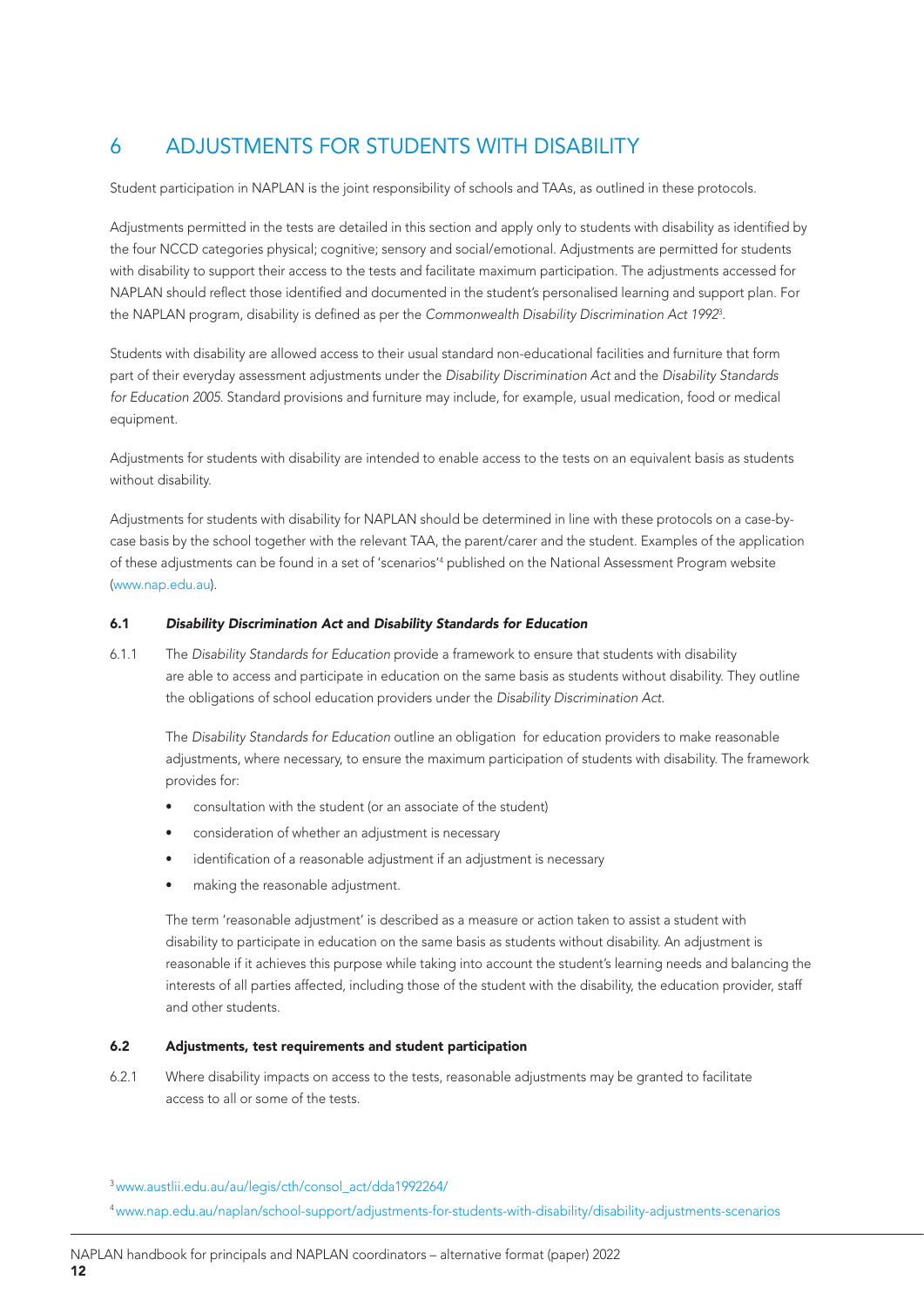## 6 ADJUSTMENTS FOR STUDENTS WITH DISABILITY

Student participation in NAPLAN is the joint responsibility of schools and TAAs, as outlined in these protocols.

Adjustments permitted in the tests are detailed in this section and apply only to students with disability as identified by the four NCCD categories physical; cognitive; sensory and social/emotional. Adjustments are permitted for students with disability to support their access to the tests and facilitate maximum participation. The adjustments accessed for NAPLAN should reflect those identified and documented in the student's personalised learning and support plan. For the NAPLAN program, disability is defined as per the *Commonwealth Disability Discrimination Act 1992*<sup>3</sup> .

Students with disability are allowed access to their usual standard non-educational facilities and furniture that form part of their everyday assessment adjustments under the *Disability Discrimination Act* and the *Disability Standards for Education 2005*. Standard provisions and furniture may include, for example, usual medication, food or medical equipment.

Adjustments for students with disability are intended to enable access to the tests on an equivalent basis as students without disability.

Adjustments for students with disability for NAPLAN should be determined in line with these protocols on a case-bycase basis by the school together with the relevant TAA, the parent/carer and the student. Examples of the application of these adjustments can be found in a set of 'scenarios'<sup>4</sup> published on the National Assessment Program website (www.nap.edu.au).

#### 6.1 *Disability Discrimination Act* and *Disability Standards for Education*

6.1.1 The *Disability Standards for Education* provide a framework to ensure that students with disability are able to access and participate in education on the same basis as students without disability. They outline the obligations of school education providers under the *Disability Discrimination Act*.

The *Disability Standards for Education* outline an obligation for education providers to make reasonable adjustments, where necessary, to ensure the maximum participation of students with disability. The framework provides for:

- consultation with the student (or an associate of the student)
- consideration of whether an adjustment is necessary
- identification of a reasonable adjustment if an adjustment is necessary
- making the reasonable adjustment.

The term 'reasonable adjustment' is described as a measure or action taken to assist a student with disability to participate in education on the same basis as students without disability. An adjustment is reasonable if it achieves this purpose while taking into account the student's learning needs and balancing the interests of all parties affected, including those of the student with the disability, the education provider, staff and other students.

#### 6.2 Adjustments, test requirements and student participation

6.2.1 Where disability impacts on access to the tests, reasonable adjustments may be granted to facilitate access to all or some of the tests.

<sup>3</sup>www.austlii.edu.au/au/legis/cth/consol\_act/dda1992264/

4 www.nap.edu.au/naplan/school-support/adjustments-for-students-with-disability/disability-adjustments-scenarios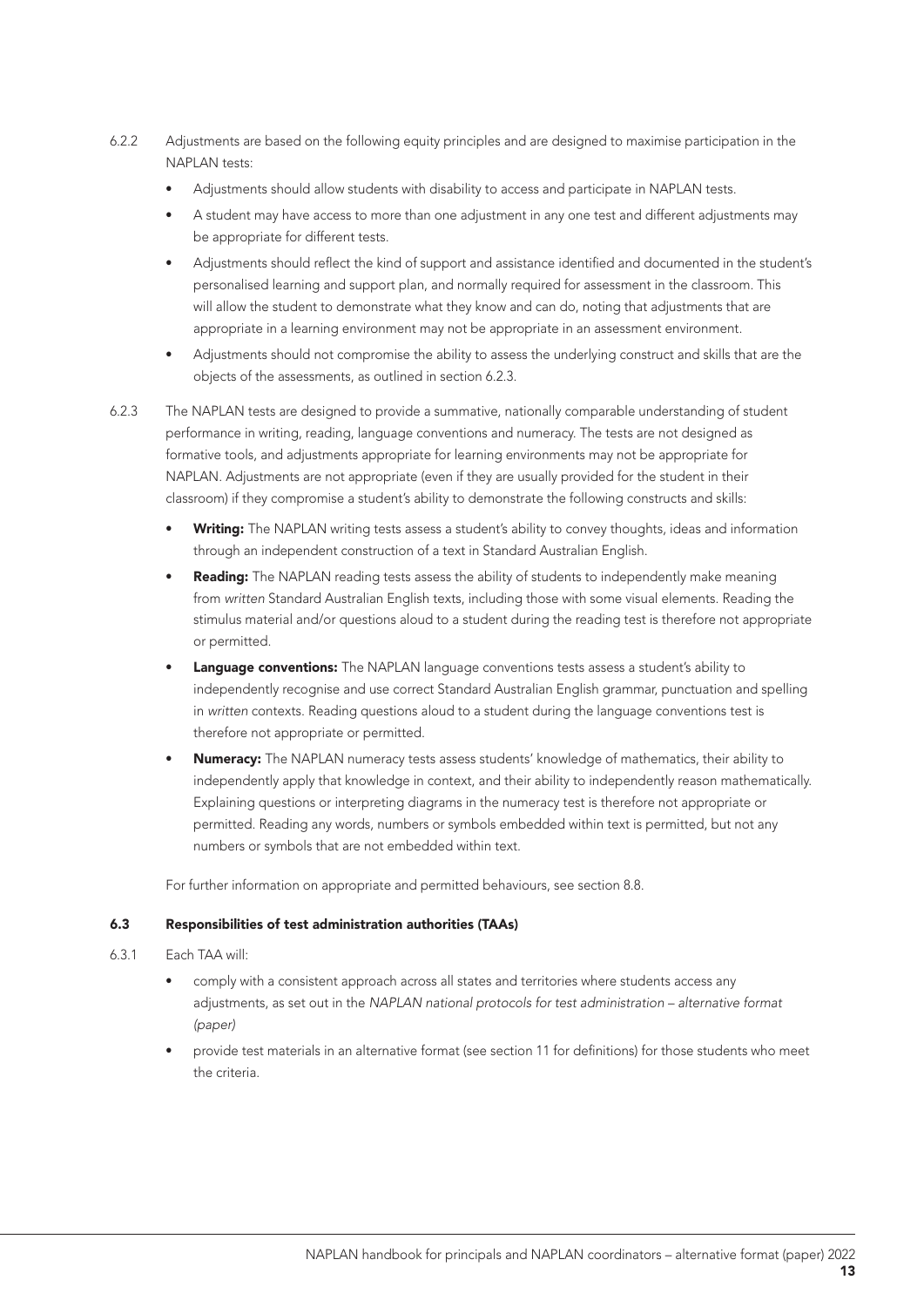- 6.2.2 Adjustments are based on the following equity principles and are designed to maximise participation in the NAPLAN tests:
	- Adjustments should allow students with disability to access and participate in NAPLAN tests.
	- A student may have access to more than one adjustment in any one test and different adjustments may be appropriate for different tests.
	- Adjustments should reflect the kind of support and assistance identified and documented in the student's personalised learning and support plan, and normally required for assessment in the classroom. This will allow the student to demonstrate what they know and can do, noting that adjustments that are appropriate in a learning environment may not be appropriate in an assessment environment.
	- Adjustments should not compromise the ability to assess the underlying construct and skills that are the objects of the assessments, as outlined in section 6.2.3.
- 6.2.3 The NAPLAN tests are designed to provide a summative, nationally comparable understanding of student performance in writing, reading, language conventions and numeracy. The tests are not designed as formative tools, and adjustments appropriate for learning environments may not be appropriate for NAPLAN. Adjustments are not appropriate (even if they are usually provided for the student in their classroom) if they compromise a student's ability to demonstrate the following constructs and skills:
	- Writing: The NAPLAN writing tests assess a student's ability to convey thoughts, ideas and information through an independent construction of a text in Standard Australian English.
	- Reading: The NAPLAN reading tests assess the ability of students to independently make meaning from *written* Standard Australian English texts, including those with some visual elements. Reading the stimulus material and/or questions aloud to a student during the reading test is therefore not appropriate or permitted.
	- Language conventions: The NAPLAN language conventions tests assess a student's ability to independently recognise and use correct Standard Australian English grammar, punctuation and spelling in *written* contexts. Reading questions aloud to a student during the language conventions test is therefore not appropriate or permitted.
	- **Numeracy:** The NAPLAN numeracy tests assess students' knowledge of mathematics, their ability to independently apply that knowledge in context, and their ability to independently reason mathematically. Explaining questions or interpreting diagrams in the numeracy test is therefore not appropriate or permitted. Reading any words, numbers or symbols embedded within text is permitted, but not any numbers or symbols that are not embedded within text.

For further information on appropriate and permitted behaviours, see section 8.8.

#### 6.3 Responsibilities of test administration authorities (TAAs)

- 6.3.1 Each TAA will:
	- comply with a consistent approach across all states and territories where students access any adjustments, as set out in the *NAPLAN national protocols for test administration – alternative format (paper)*
	- provide test materials in an alternative format (see section 11 for definitions) for those students who meet the criteria.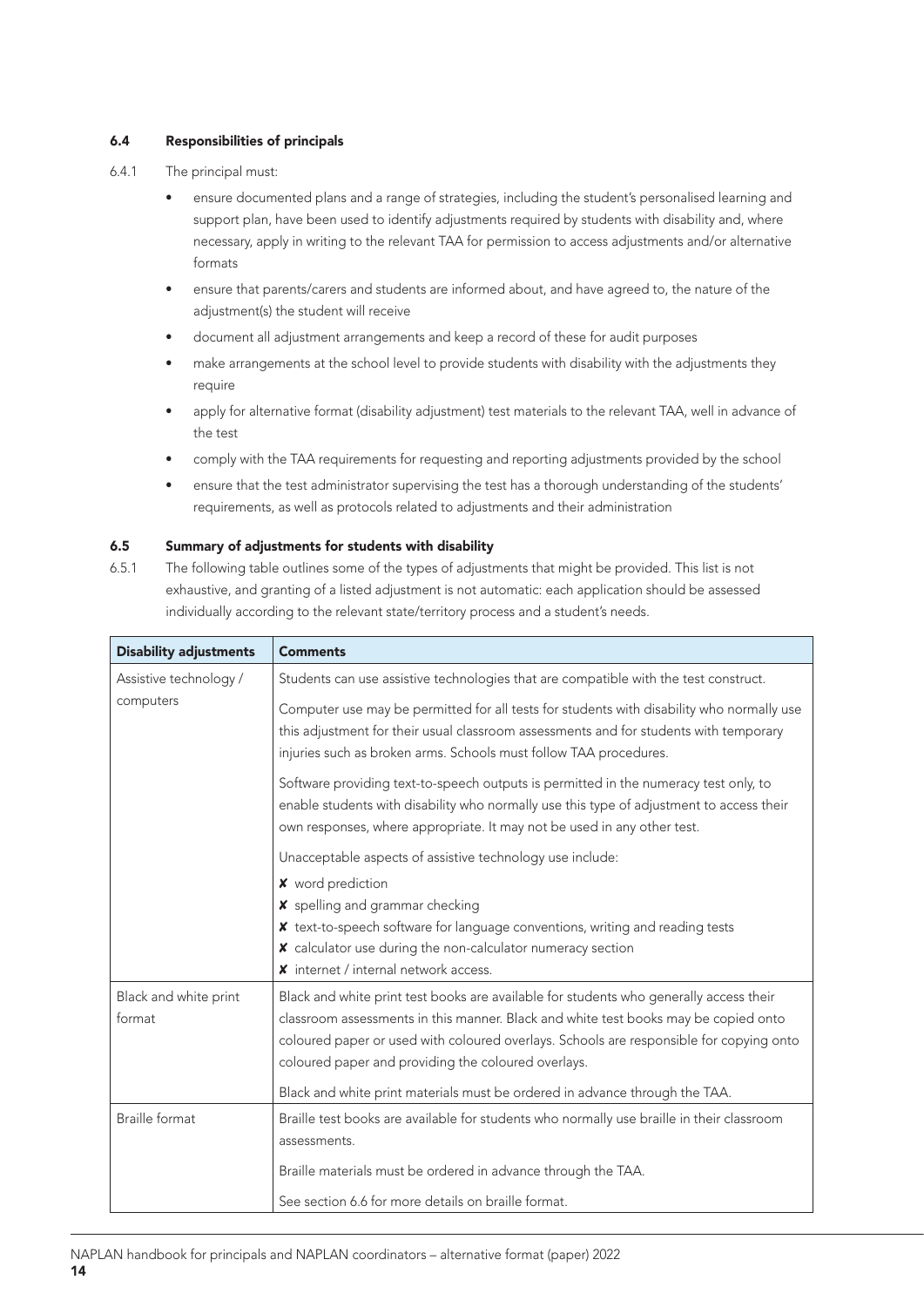#### 6.4 Responsibilities of principals

- 6.4.1 The principal must:
	- ensure documented plans and a range of strategies, including the student's personalised learning and support plan, have been used to identify adjustments required by students with disability and, where necessary, apply in writing to the relevant TAA for permission to access adjustments and/or alternative formats
	- ensure that parents/carers and students are informed about, and have agreed to, the nature of the adjustment(s) the student will receive
	- document all adjustment arrangements and keep a record of these for audit purposes
	- make arrangements at the school level to provide students with disability with the adjustments they require
	- apply for alternative format (disability adjustment) test materials to the relevant TAA, well in advance of the test
	- comply with the TAA requirements for requesting and reporting adjustments provided by the school
	- ensure that the test administrator supervising the test has a thorough understanding of the students' requirements, as well as protocols related to adjustments and their administration

#### 6.5 Summary of adjustments for students with disability

6.5.1 The following table outlines some of the types of adjustments that might be provided. This list is not exhaustive, and granting of a listed adjustment is not automatic: each application should be assessed individually according to the relevant state/territory process and a student's needs.

| <b>Disability adjustments</b>   | <b>Comments</b>                                                                                                                                                                                                                                                                                                                                                                                                |
|---------------------------------|----------------------------------------------------------------------------------------------------------------------------------------------------------------------------------------------------------------------------------------------------------------------------------------------------------------------------------------------------------------------------------------------------------------|
| Assistive technology /          | Students can use assistive technologies that are compatible with the test construct.                                                                                                                                                                                                                                                                                                                           |
| computers                       | Computer use may be permitted for all tests for students with disability who normally use<br>this adjustment for their usual classroom assessments and for students with temporary<br>injuries such as broken arms. Schools must follow TAA procedures.                                                                                                                                                        |
|                                 | Software providing text-to-speech outputs is permitted in the numeracy test only, to<br>enable students with disability who normally use this type of adjustment to access their<br>own responses, where appropriate. It may not be used in any other test.                                                                                                                                                    |
|                                 | Unacceptable aspects of assistive technology use include:                                                                                                                                                                                                                                                                                                                                                      |
|                                 | <b>x</b> word prediction<br>X spelling and grammar checking<br>X text-to-speech software for language conventions, writing and reading tests<br>X calculator use during the non-calculator numeracy section<br><b>X</b> internet / internal network access.                                                                                                                                                    |
| Black and white print<br>format | Black and white print test books are available for students who generally access their<br>classroom assessments in this manner. Black and white test books may be copied onto<br>coloured paper or used with coloured overlays. Schools are responsible for copying onto<br>coloured paper and providing the coloured overlays.<br>Black and white print materials must be ordered in advance through the TAA. |
| <b>Braille</b> format           | Braille test books are available for students who normally use braille in their classroom<br>assessments.<br>Braille materials must be ordered in advance through the TAA.<br>See section 6.6 for more details on braille format.                                                                                                                                                                              |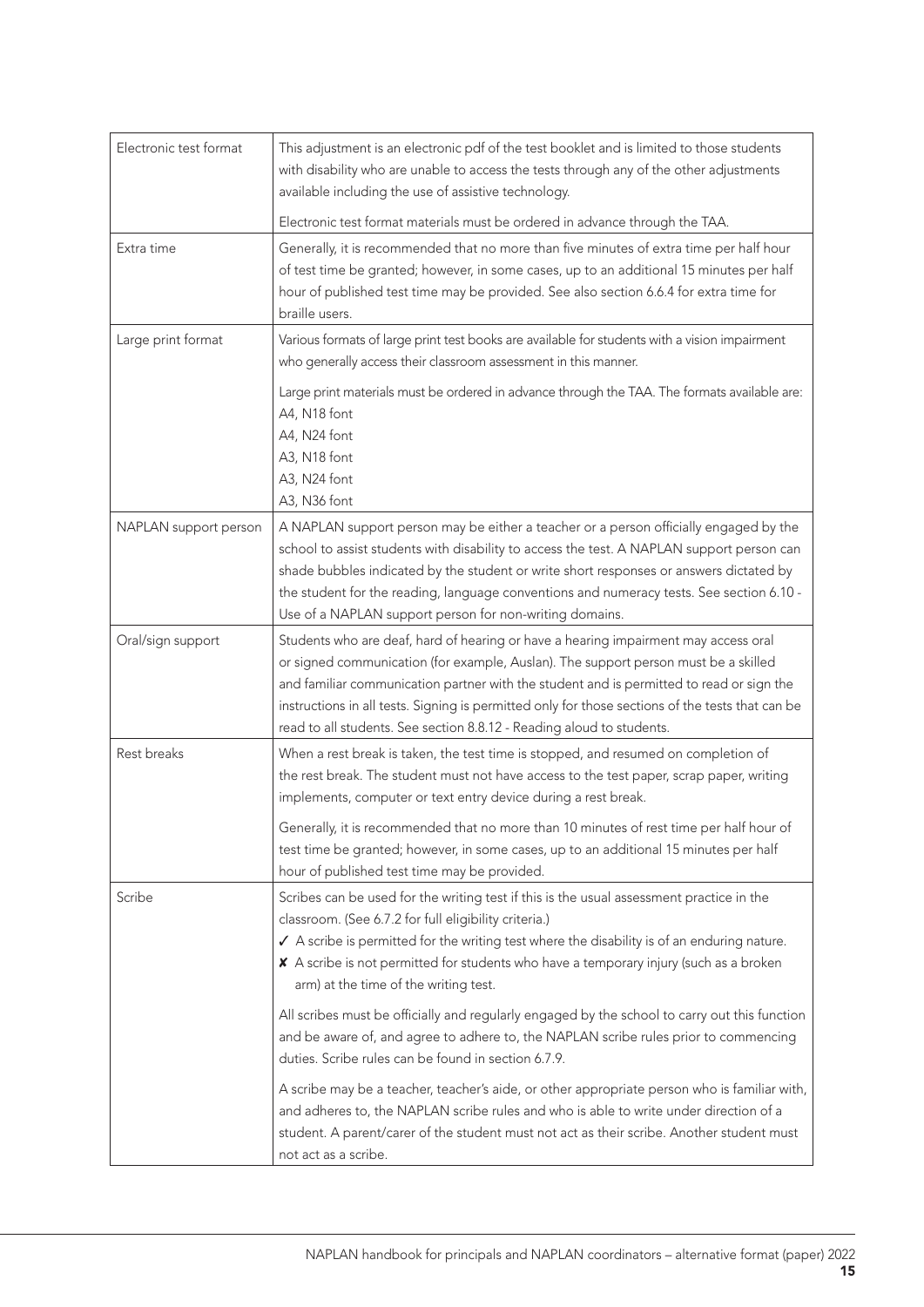| Electronic test format | This adjustment is an electronic pdf of the test booklet and is limited to those students<br>with disability who are unable to access the tests through any of the other adjustments<br>available including the use of assistive technology.<br>Electronic test format materials must be ordered in advance through the TAA.                                                                                                                                                                                                                                                                                                                                                                                                                                                                                                                                                                                                                                 |
|------------------------|--------------------------------------------------------------------------------------------------------------------------------------------------------------------------------------------------------------------------------------------------------------------------------------------------------------------------------------------------------------------------------------------------------------------------------------------------------------------------------------------------------------------------------------------------------------------------------------------------------------------------------------------------------------------------------------------------------------------------------------------------------------------------------------------------------------------------------------------------------------------------------------------------------------------------------------------------------------|
| Extra time             | Generally, it is recommended that no more than five minutes of extra time per half hour<br>of test time be granted; however, in some cases, up to an additional 15 minutes per half<br>hour of published test time may be provided. See also section 6.6.4 for extra time for<br>braille users.                                                                                                                                                                                                                                                                                                                                                                                                                                                                                                                                                                                                                                                              |
| Large print format     | Various formats of large print test books are available for students with a vision impairment<br>who generally access their classroom assessment in this manner.<br>Large print materials must be ordered in advance through the TAA. The formats available are:<br>A4, N18 font<br>A4, N24 font<br>A3, N18 font<br>A3, N24 font<br>A3, N36 font                                                                                                                                                                                                                                                                                                                                                                                                                                                                                                                                                                                                             |
| NAPLAN support person  | A NAPLAN support person may be either a teacher or a person officially engaged by the<br>school to assist students with disability to access the test. A NAPLAN support person can<br>shade bubbles indicated by the student or write short responses or answers dictated by<br>the student for the reading, language conventions and numeracy tests. See section 6.10 -<br>Use of a NAPLAN support person for non-writing domains.                                                                                                                                                                                                                                                                                                                                                                                                                                                                                                                          |
| Oral/sign support      | Students who are deaf, hard of hearing or have a hearing impairment may access oral<br>or signed communication (for example, Auslan). The support person must be a skilled<br>and familiar communication partner with the student and is permitted to read or sign the<br>instructions in all tests. Signing is permitted only for those sections of the tests that can be<br>read to all students. See section 8.8.12 - Reading aloud to students.                                                                                                                                                                                                                                                                                                                                                                                                                                                                                                          |
| Rest breaks            | When a rest break is taken, the test time is stopped, and resumed on completion of<br>the rest break. The student must not have access to the test paper, scrap paper, writing<br>implements, computer or text entry device during a rest break.<br>Generally, it is recommended that no more than 10 minutes of rest time per half hour of<br>test time be granted; however, in some cases, up to an additional 15 minutes per half<br>hour of published test time may be provided.                                                                                                                                                                                                                                                                                                                                                                                                                                                                         |
| Scribe                 | Scribes can be used for the writing test if this is the usual assessment practice in the<br>classroom. (See 6.7.2 for full eligibility criteria.)<br>$\checkmark$ A scribe is permitted for the writing test where the disability is of an enduring nature.<br>X A scribe is not permitted for students who have a temporary injury (such as a broken<br>arm) at the time of the writing test.<br>All scribes must be officially and regularly engaged by the school to carry out this function<br>and be aware of, and agree to adhere to, the NAPLAN scribe rules prior to commencing<br>duties. Scribe rules can be found in section 6.7.9.<br>A scribe may be a teacher, teacher's aide, or other appropriate person who is familiar with,<br>and adheres to, the NAPLAN scribe rules and who is able to write under direction of a<br>student. A parent/carer of the student must not act as their scribe. Another student must<br>not act as a scribe. |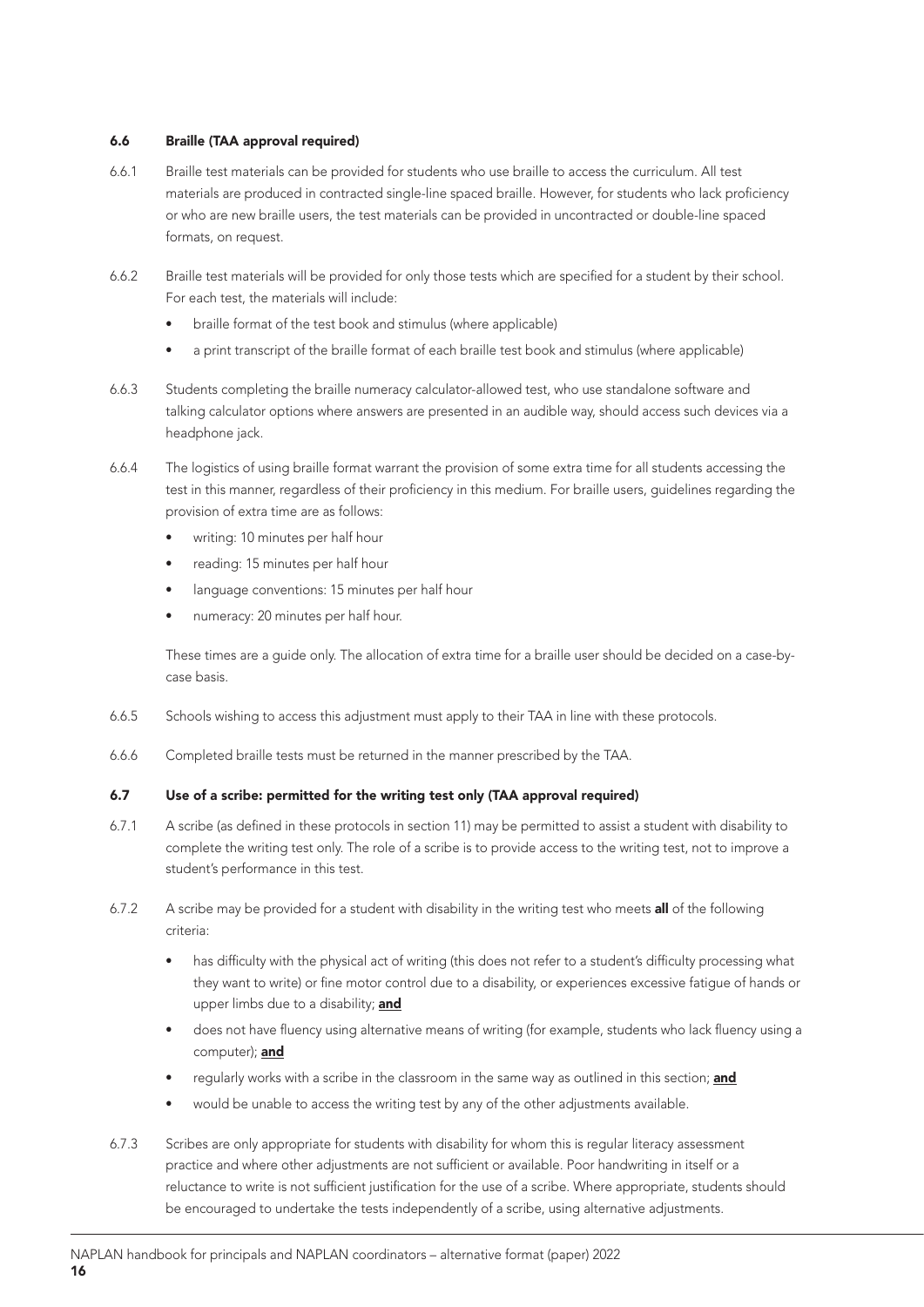#### 6.6 Braille (TAA approval required)

- 6.6.1 Braille test materials can be provided for students who use braille to access the curriculum. All test materials are produced in contracted single-line spaced braille. However, for students who lack proficiency or who are new braille users, the test materials can be provided in uncontracted or double-line spaced formats, on request.
- 6.6.2 Braille test materials will be provided for only those tests which are specified for a student by their school. For each test, the materials will include:
	- braille format of the test book and stimulus (where applicable)
	- a print transcript of the braille format of each braille test book and stimulus (where applicable)
- 6.6.3 Students completing the braille numeracy calculator-allowed test, who use standalone software and talking calculator options where answers are presented in an audible way, should access such devices via a headphone jack.
- 6.6.4 The logistics of using braille format warrant the provision of some extra time for all students accessing the test in this manner, regardless of their proficiency in this medium. For braille users, guidelines regarding the provision of extra time are as follows:
	- writing: 10 minutes per half hour
	- reading: 15 minutes per half hour
	- language conventions: 15 minutes per half hour
	- numeracy: 20 minutes per half hour.

These times are a guide only. The allocation of extra time for a braille user should be decided on a case-bycase basis.

- 6.6.5 Schools wishing to access this adjustment must apply to their TAA in line with these protocols.
- 6.6.6 Completed braille tests must be returned in the manner prescribed by the TAA.

#### 6.7 Use of a scribe: permitted for the writing test only (TAA approval required)

- 6.7.1 A scribe (as defined in these protocols in section 11) may be permitted to assist a student with disability to complete the writing test only. The role of a scribe is to provide access to the writing test, not to improve a student's performance in this test.
- 6.7.2 A scribe may be provided for a student with disability in the writing test who meets all of the following criteria:
	- has difficulty with the physical act of writing (this does not refer to a student's difficulty processing what they want to write) or fine motor control due to a disability, or experiences excessive fatigue of hands or upper limbs due to a disability; and
	- does not have fluency using alternative means of writing (for example, students who lack fluency using a computer); and
	- regularly works with a scribe in the classroom in the same way as outlined in this section; *and*
	- would be unable to access the writing test by any of the other adjustments available.
- 6.7.3 Scribes are only appropriate for students with disability for whom this is regular literacy assessment practice and where other adjustments are not sufficient or available. Poor handwriting in itself or a reluctance to write is not sufficient justification for the use of a scribe. Where appropriate, students should be encouraged to undertake the tests independently of a scribe, using alternative adjustments.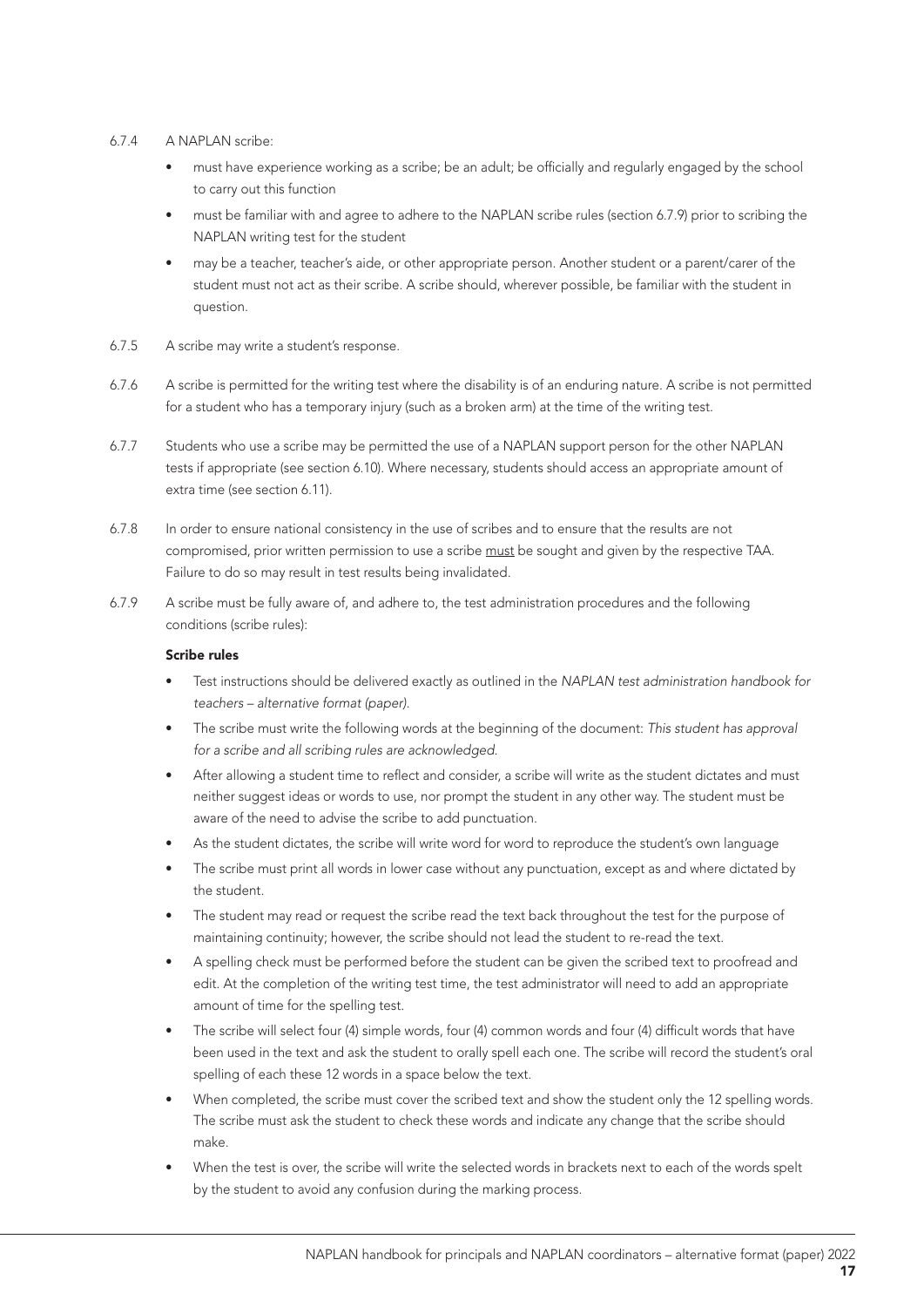#### 6.7.4 A NAPLAN scribe:

- must have experience working as a scribe; be an adult; be officially and regularly engaged by the school to carry out this function
- must be familiar with and agree to adhere to the NAPLAN scribe rules (section 6.7.9) prior to scribing the NAPLAN writing test for the student
- may be a teacher, teacher's aide, or other appropriate person. Another student or a parent/carer of the student must not act as their scribe. A scribe should, wherever possible, be familiar with the student in question.
- 6.7.5 A scribe may write a student's response.
- 6.7.6 A scribe is permitted for the writing test where the disability is of an enduring nature. A scribe is not permitted for a student who has a temporary injury (such as a broken arm) at the time of the writing test.
- 6.7.7 Students who use a scribe may be permitted the use of a NAPLAN support person for the other NAPLAN tests if appropriate (see section 6.10). Where necessary, students should access an appropriate amount of extra time (see section 6.11).
- 6.7.8 In order to ensure national consistency in the use of scribes and to ensure that the results are not compromised, prior written permission to use a scribe must be sought and given by the respective TAA. Failure to do so may result in test results being invalidated.
- 6.7.9 A scribe must be fully aware of, and adhere to, the test administration procedures and the following conditions (scribe rules):

#### Scribe rules

- Test instructions should be delivered exactly as outlined in the *NAPLAN test administration handbook for teachers – alternative format (paper).*
- The scribe must write the following words at the beginning of the document: *This student has approval for a scribe and all scribing rules are acknowledged.*
- After allowing a student time to reflect and consider, a scribe will write as the student dictates and must neither suggest ideas or words to use, nor prompt the student in any other way. The student must be aware of the need to advise the scribe to add punctuation.
- As the student dictates, the scribe will write word for word to reproduce the student's own language
- The scribe must print all words in lower case without any punctuation, except as and where dictated by the student.
- The student may read or request the scribe read the text back throughout the test for the purpose of maintaining continuity; however, the scribe should not lead the student to re-read the text.
- A spelling check must be performed before the student can be given the scribed text to proofread and edit. At the completion of the writing test time, the test administrator will need to add an appropriate amount of time for the spelling test.
- The scribe will select four (4) simple words, four (4) common words and four (4) difficult words that have been used in the text and ask the student to orally spell each one. The scribe will record the student's oral spelling of each these 12 words in a space below the text.
- When completed, the scribe must cover the scribed text and show the student only the 12 spelling words. The scribe must ask the student to check these words and indicate any change that the scribe should make.
- When the test is over, the scribe will write the selected words in brackets next to each of the words spelt by the student to avoid any confusion during the marking process.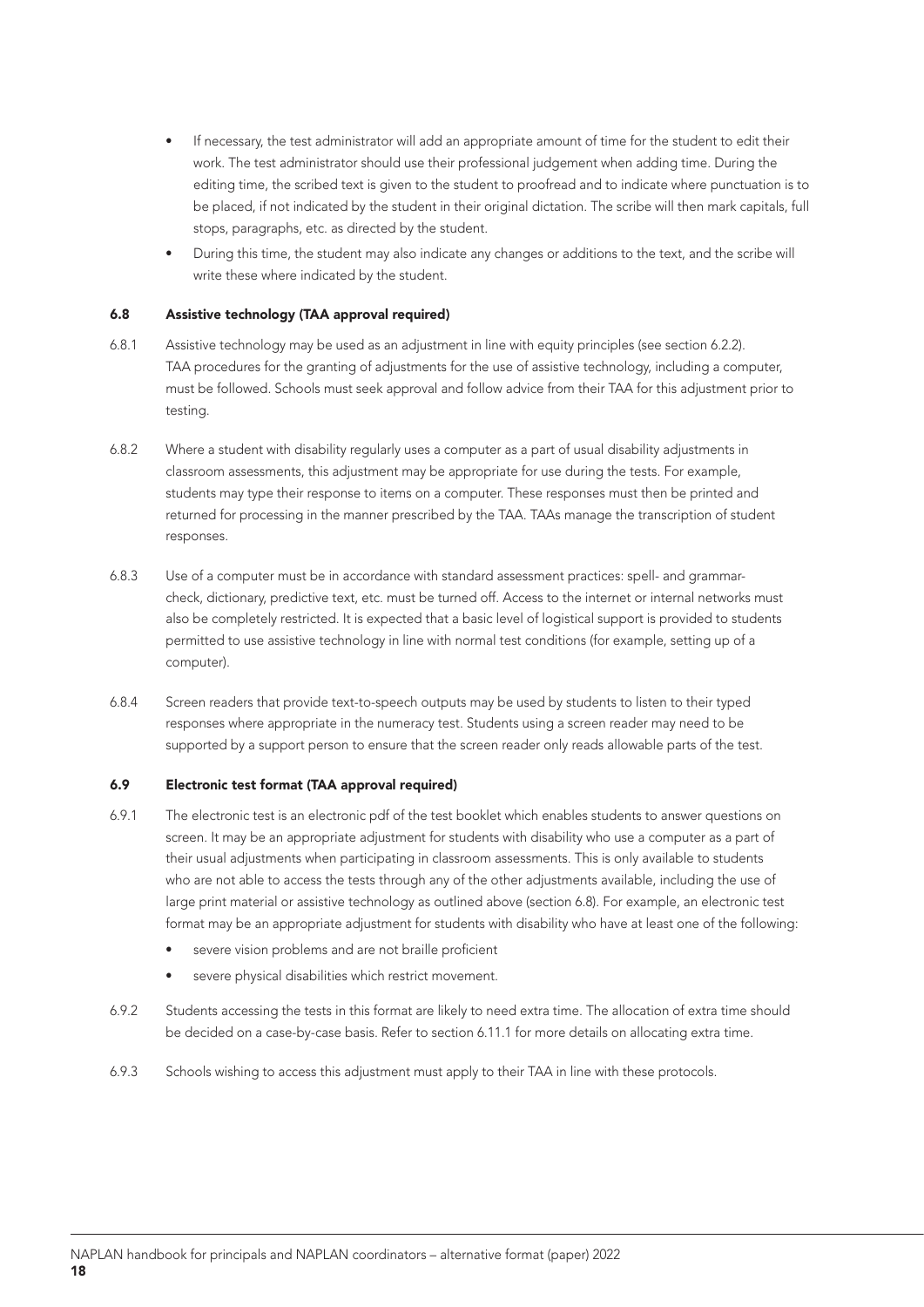- If necessary, the test administrator will add an appropriate amount of time for the student to edit their work. The test administrator should use their professional judgement when adding time. During the editing time, the scribed text is given to the student to proofread and to indicate where punctuation is to be placed, if not indicated by the student in their original dictation. The scribe will then mark capitals, full stops, paragraphs, etc. as directed by the student.
- During this time, the student may also indicate any changes or additions to the text, and the scribe will write these where indicated by the student.

#### 6.8 Assistive technology (TAA approval required)

- 6.8.1 Assistive technology may be used as an adjustment in line with equity principles (see section 6.2.2). TAA procedures for the granting of adjustments for the use of assistive technology, including a computer, must be followed. Schools must seek approval and follow advice from their TAA for this adjustment prior to testing.
- 6.8.2 Where a student with disability regularly uses a computer as a part of usual disability adjustments in classroom assessments, this adjustment may be appropriate for use during the tests. For example, students may type their response to items on a computer. These responses must then be printed and returned for processing in the manner prescribed by the TAA. TAAs manage the transcription of student responses.
- 6.8.3 Use of a computer must be in accordance with standard assessment practices: spell- and grammarcheck, dictionary, predictive text, etc. must be turned off. Access to the internet or internal networks must also be completely restricted. It is expected that a basic level of logistical support is provided to students permitted to use assistive technology in line with normal test conditions (for example, setting up of a computer).
- 6.8.4 Screen readers that provide text-to-speech outputs may be used by students to listen to their typed responses where appropriate in the numeracy test. Students using a screen reader may need to be supported by a support person to ensure that the screen reader only reads allowable parts of the test.

#### 6.9 Electronic test format (TAA approval required)

- 6.9.1 The electronic test is an electronic pdf of the test booklet which enables students to answer questions on screen. It may be an appropriate adjustment for students with disability who use a computer as a part of their usual adjustments when participating in classroom assessments. This is only available to students who are not able to access the tests through any of the other adjustments available, including the use of large print material or assistive technology as outlined above (section 6.8). For example, an electronic test format may be an appropriate adjustment for students with disability who have at least one of the following:
	- severe vision problems and are not braille proficient
	- severe physical disabilities which restrict movement.
- 6.9.2 Students accessing the tests in this format are likely to need extra time. The allocation of extra time should be decided on a case-by-case basis. Refer to section 6.11.1 for more details on allocating extra time.
- 6.9.3 Schools wishing to access this adjustment must apply to their TAA in line with these protocols.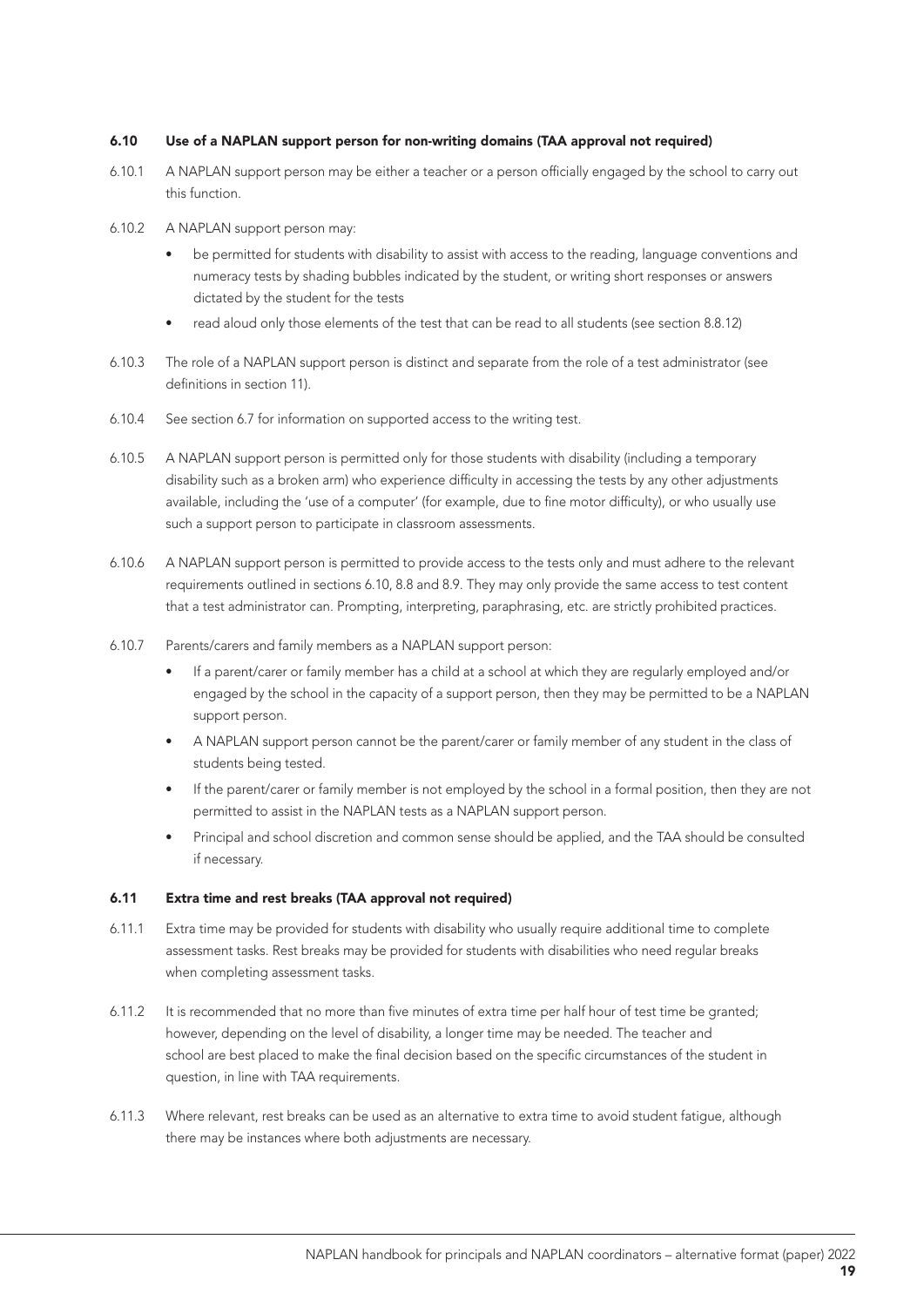#### 6.10 Use of a NAPLAN support person for non-writing domains (TAA approval not required)

- 6.10.1 A NAPLAN support person may be either a teacher or a person officially engaged by the school to carry out this function.
- 6.10.2 A NAPLAN support person may:
	- be permitted for students with disability to assist with access to the reading, language conventions and numeracy tests by shading bubbles indicated by the student, or writing short responses or answers dictated by the student for the tests
	- read aloud only those elements of the test that can be read to all students (see section 8.8.12)
- 6.10.3 The role of a NAPLAN support person is distinct and separate from the role of a test administrator (see definitions in section 11).
- 6.10.4 See section 6.7 for information on supported access to the writing test.
- 6.10.5 A NAPLAN support person is permitted only for those students with disability (including a temporary disability such as a broken arm) who experience difficulty in accessing the tests by any other adjustments available, including the 'use of a computer' (for example, due to fine motor difficulty), or who usually use such a support person to participate in classroom assessments.
- 6.10.6 A NAPLAN support person is permitted to provide access to the tests only and must adhere to the relevant requirements outlined in sections 6.10, 8.8 and 8.9. They may only provide the same access to test content that a test administrator can. Prompting, interpreting, paraphrasing, etc. are strictly prohibited practices.
- 6.10.7 Parents/carers and family members as a NAPLAN support person:
	- If a parent/carer or family member has a child at a school at which they are regularly employed and/or engaged by the school in the capacity of a support person, then they may be permitted to be a NAPLAN support person.
	- A NAPLAN support person cannot be the parent/carer or family member of any student in the class of students being tested.
	- If the parent/carer or family member is not employed by the school in a formal position, then they are not permitted to assist in the NAPLAN tests as a NAPLAN support person.
	- Principal and school discretion and common sense should be applied, and the TAA should be consulted if necessary.

#### 6.11 Extra time and rest breaks (TAA approval not required)

- 6.11.1 Extra time may be provided for students with disability who usually require additional time to complete assessment tasks. Rest breaks may be provided for students with disabilities who need regular breaks when completing assessment tasks.
- 6.11.2 It is recommended that no more than five minutes of extra time per half hour of test time be granted; however, depending on the level of disability, a longer time may be needed. The teacher and school are best placed to make the final decision based on the specific circumstances of the student in question, in line with TAA requirements.
- 6.11.3 Where relevant, rest breaks can be used as an alternative to extra time to avoid student fatigue, although there may be instances where both adjustments are necessary.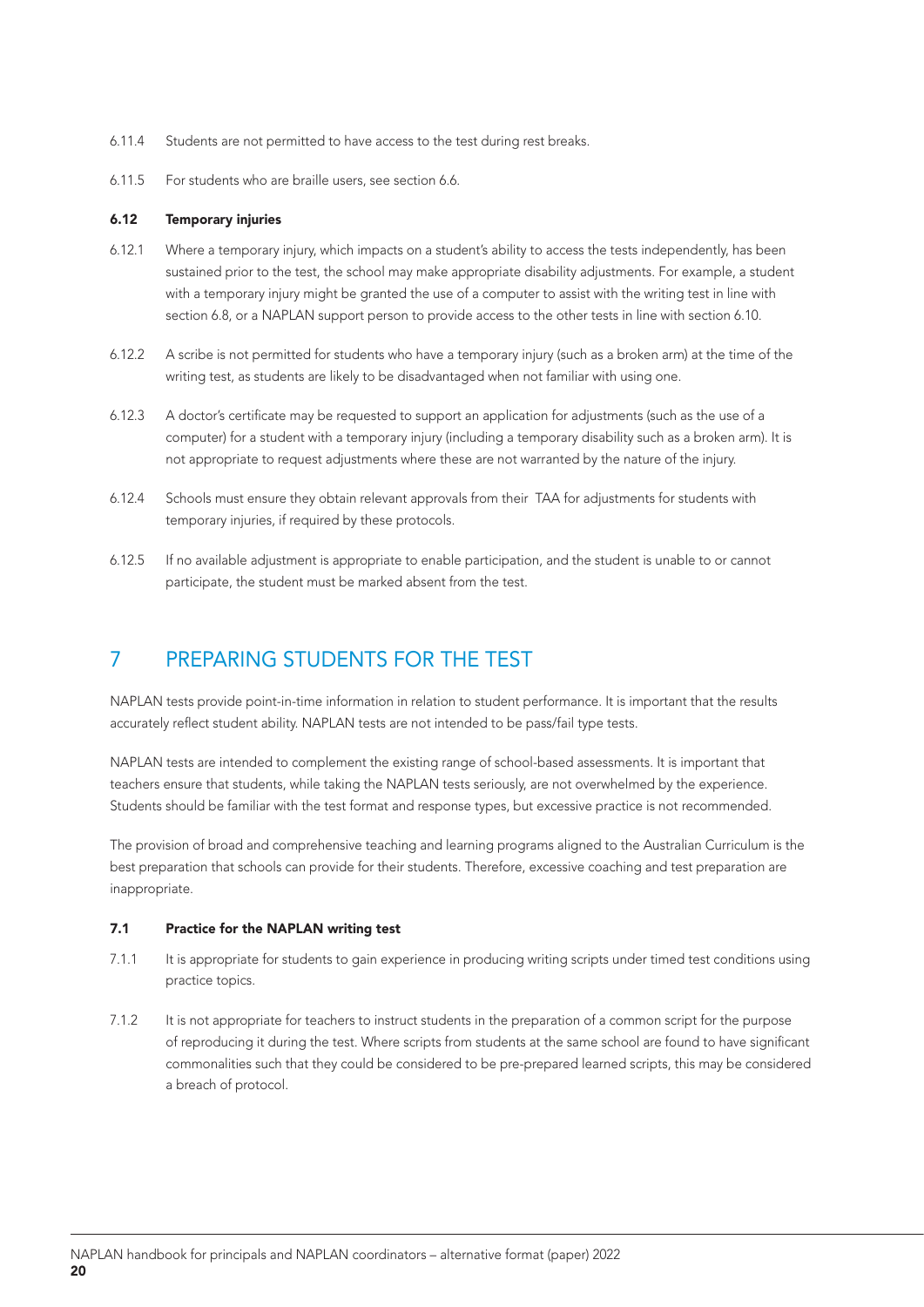- 6.11.4 Students are not permitted to have access to the test during rest breaks.
- 6.11.5 For students who are braille users, see section 6.6.

#### 6.12 Temporary injuries

- 6.12.1 Where a temporary injury, which impacts on a student's ability to access the tests independently, has been sustained prior to the test, the school may make appropriate disability adjustments. For example, a student with a temporary injury might be granted the use of a computer to assist with the writing test in line with section 6.8, or a NAPLAN support person to provide access to the other tests in line with section 6.10.
- 6.12.2 A scribe is not permitted for students who have a temporary injury (such as a broken arm) at the time of the writing test, as students are likely to be disadvantaged when not familiar with using one.
- 6.12.3 A doctor's certificate may be requested to support an application for adjustments (such as the use of a computer) for a student with a temporary injury (including a temporary disability such as a broken arm). It is not appropriate to request adjustments where these are not warranted by the nature of the injury.
- 6.12.4 Schools must ensure they obtain relevant approvals from their TAA for adjustments for students with temporary injuries, if required by these protocols.
- 6.12.5 If no available adjustment is appropriate to enable participation, and the student is unable to or cannot participate, the student must be marked absent from the test.

## 7 PREPARING STUDENTS FOR THE TEST

NAPLAN tests provide point-in-time information in relation to student performance. It is important that the results accurately reflect student ability. NAPLAN tests are not intended to be pass/fail type tests.

NAPLAN tests are intended to complement the existing range of school-based assessments. It is important that teachers ensure that students, while taking the NAPLAN tests seriously, are not overwhelmed by the experience. Students should be familiar with the test format and response types, but excessive practice is not recommended.

The provision of broad and comprehensive teaching and learning programs aligned to the Australian Curriculum is the best preparation that schools can provide for their students. Therefore, excessive coaching and test preparation are inappropriate.

#### 7.1 Practice for the NAPLAN writing test

- 7.1.1 It is appropriate for students to gain experience in producing writing scripts under timed test conditions using practice topics.
- 7.1.2 It is not appropriate for teachers to instruct students in the preparation of a common script for the purpose of reproducing it during the test. Where scripts from students at the same school are found to have significant commonalities such that they could be considered to be pre-prepared learned scripts, this may be considered a breach of protocol.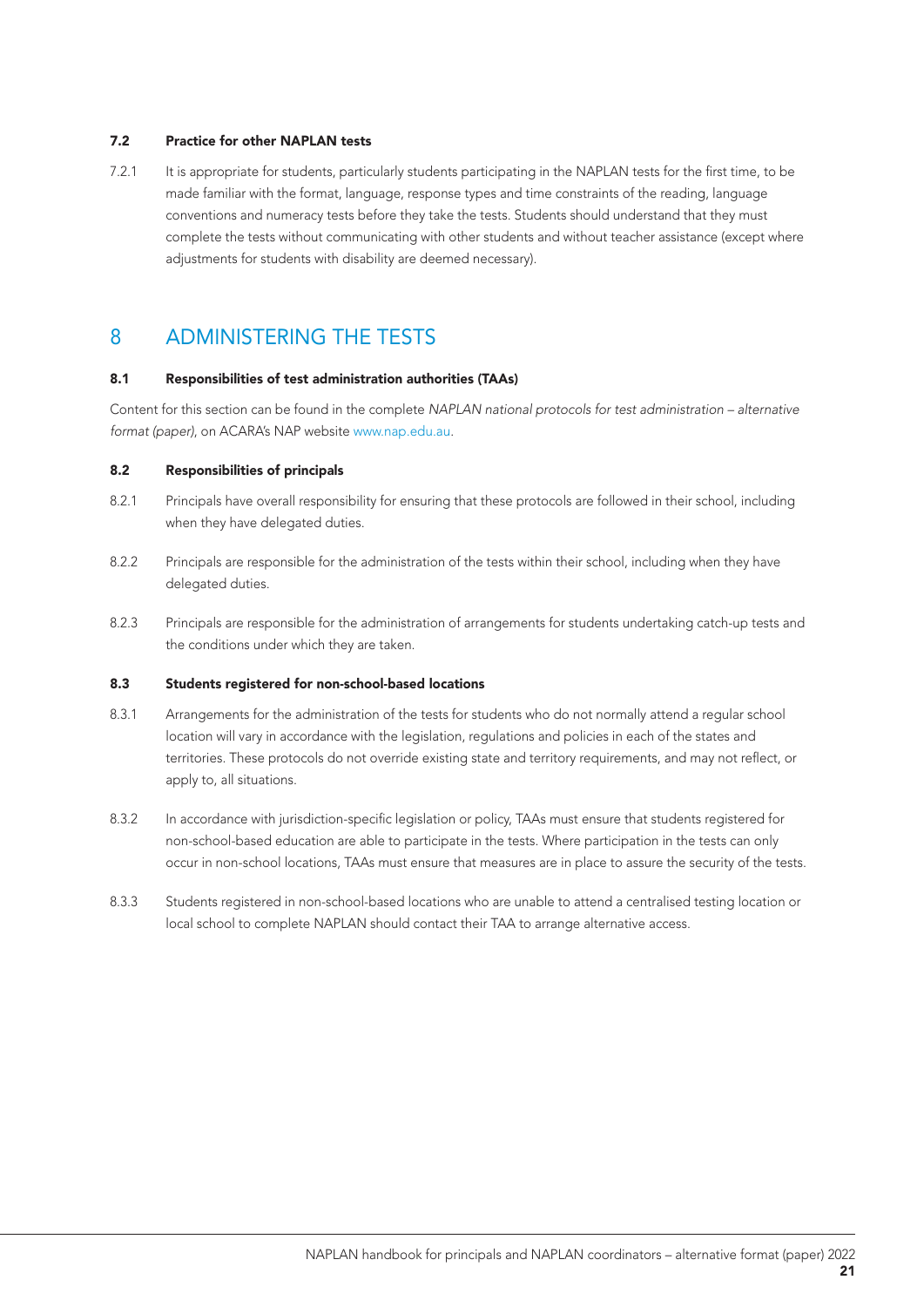#### 7.2 Practice for other NAPLAN tests

7.2.1 It is appropriate for students, particularly students participating in the NAPLAN tests for the first time, to be made familiar with the format, language, response types and time constraints of the reading, language conventions and numeracy tests before they take the tests. Students should understand that they must complete the tests without communicating with other students and without teacher assistance (except where adjustments for students with disability are deemed necessary).

## 8 ADMINISTERING THE TESTS

#### 8.1 Responsibilities of test administration authorities (TAAs)

Content for this section can be found in the complete *NAPLAN national protocols for test administration – alternative format (paper)*, on ACARA's NAP website www.nap.edu.au.

#### 8.2 Responsibilities of principals

- 8.2.1 Principals have overall responsibility for ensuring that these protocols are followed in their school, including when they have delegated duties.
- 8.2.2 Principals are responsible for the administration of the tests within their school, including when they have delegated duties.
- 8.2.3 Principals are responsible for the administration of arrangements for students undertaking catch-up tests and the conditions under which they are taken.

#### 8.3 Students registered for non-school-based locations

- 8.3.1 Arrangements for the administration of the tests for students who do not normally attend a regular school location will vary in accordance with the legislation, regulations and policies in each of the states and territories. These protocols do not override existing state and territory requirements, and may not reflect, or apply to, all situations.
- 8.3.2 In accordance with jurisdiction-specific legislation or policy, TAAs must ensure that students registered for non-school-based education are able to participate in the tests. Where participation in the tests can only occur in non-school locations, TAAs must ensure that measures are in place to assure the security of the tests.
- 8.3.3 Students registered in non-school-based locations who are unable to attend a centralised testing location or local school to complete NAPLAN should contact their TAA to arrange alternative access.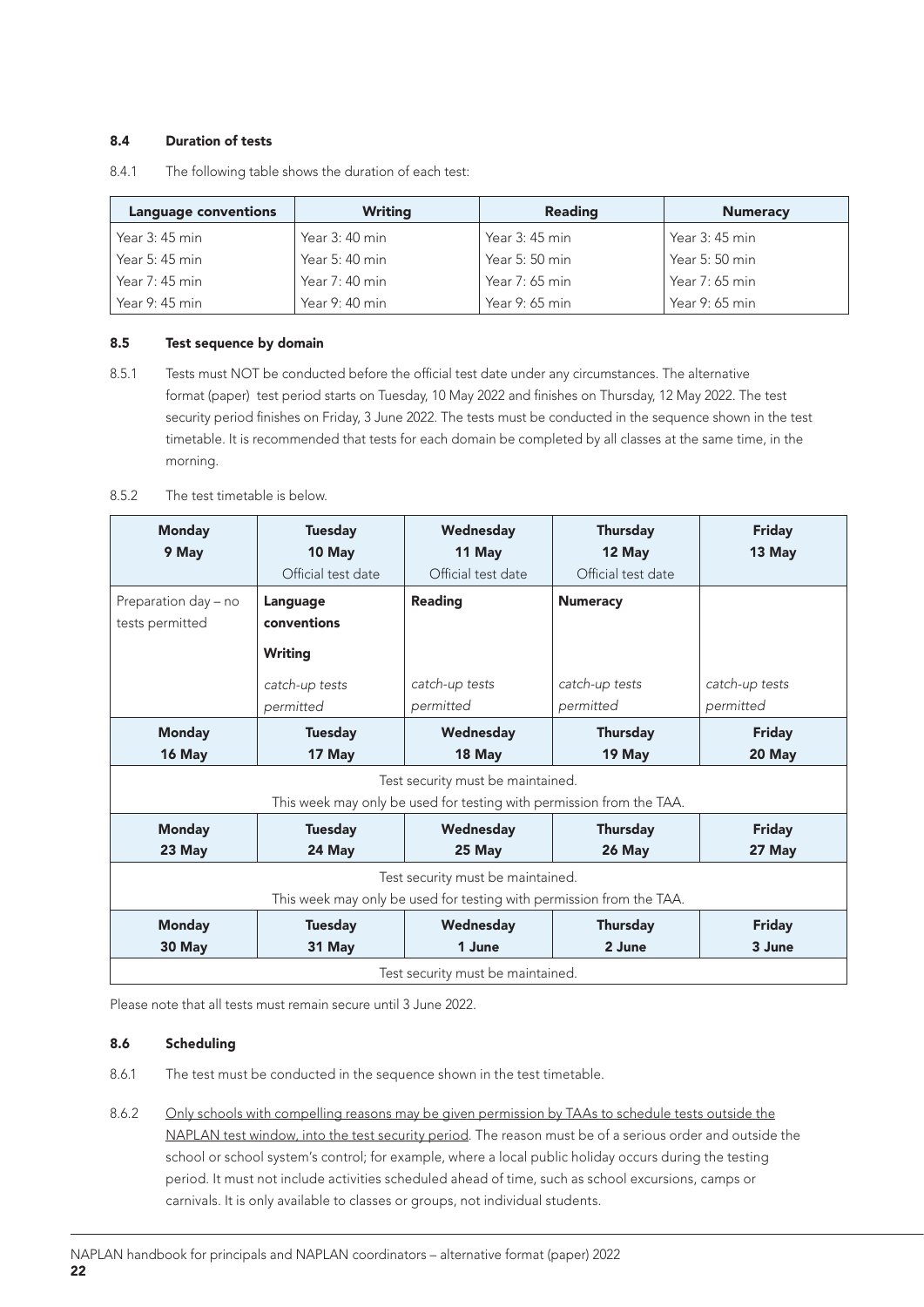#### 8.4 Duration of tests

| <b>Language conventions</b> | <b>Writing</b>  | <b>Reading</b> | <b>Numeracy</b> |
|-----------------------------|-----------------|----------------|-----------------|
| Year $3:45$ min             | Year 3: 40 min  | Year 3: 45 min | Year 3: 45 min  |
| Year 5: 45 min              | Year 5: 40 min  | Year 5: 50 min | Year 5: 50 min  |
| Year $7:45$ min             | Year 7: 40 min  | Year 7: 65 min | Year 7: 65 min  |
| Year $9:45$ min             | Year $9:40$ min | Year 9: 65 min | Year 9: 65 min  |

8.4.1 The following table shows the duration of each test:

#### 8.5 Test sequence by domain

8.5.1 Tests must NOT be conducted before the official test date under any circumstances. The alternative format (paper) test period starts on Tuesday, 10 May 2022 and finishes on Thursday, 12 May 2022. The test security period finishes on Friday, 3 June 2022. The tests must be conducted in the sequence shown in the test timetable. It is recommended that tests for each domain be completed by all classes at the same time, in the morning.

#### 8.5.2 The test timetable is below.

| <b>Monday</b><br><b>Tuesday</b><br>10 May<br>9 May |                                                                      | Wednesday<br>11 May                                                  | Thursday<br>12 May          | <b>Friday</b><br>13 May     |  |
|----------------------------------------------------|----------------------------------------------------------------------|----------------------------------------------------------------------|-----------------------------|-----------------------------|--|
|                                                    | Official test date                                                   | Official test date                                                   | Official test date          |                             |  |
| Preparation day - no<br>tests permitted            | Language<br>conventions                                              | <b>Reading</b>                                                       | <b>Numeracy</b>             |                             |  |
|                                                    | Writing                                                              |                                                                      |                             |                             |  |
|                                                    | catch-up tests<br>permitted                                          | catch-up tests<br>permitted                                          | catch-up tests<br>permitted | catch-up tests<br>permitted |  |
| <b>Monday</b><br><b>Tuesday</b>                    |                                                                      | Wednesday                                                            | Thursday                    | <b>Friday</b>               |  |
| 16 May                                             | 17 May                                                               | 18 May                                                               | 19 May                      | 20 May                      |  |
|                                                    |                                                                      | Test security must be maintained.                                    |                             |                             |  |
|                                                    |                                                                      | This week may only be used for testing with permission from the TAA. |                             |                             |  |
| <b>Monday</b>                                      | <b>Tuesday</b>                                                       | Wednesday                                                            | <b>Thursday</b>             | <b>Friday</b>               |  |
| 23 May                                             | 24 May                                                               | 25 May                                                               | 26 May                      | 27 May                      |  |
|                                                    |                                                                      | Test security must be maintained.                                    |                             |                             |  |
|                                                    | This week may only be used for testing with permission from the TAA. |                                                                      |                             |                             |  |
| <b>Monday</b>                                      | <b>Tuesday</b>                                                       | Wednesday                                                            | <b>Thursday</b>             | <b>Friday</b>               |  |
| 30 May                                             | 31 May                                                               | 1 June                                                               | 2 June                      | 3 June                      |  |
|                                                    |                                                                      | Test security must be maintained.                                    |                             |                             |  |

Please note that all tests must remain secure until 3 June 2022.

#### 8.6 Scheduling

- 8.6.1 The test must be conducted in the sequence shown in the test timetable.
- 8.6.2 Only schools with compelling reasons may be given permission by TAAs to schedule tests outside the NAPLAN test window, into the test security period. The reason must be of a serious order and outside the school or school system's control; for example, where a local public holiday occurs during the testing period. It must not include activities scheduled ahead of time, such as school excursions, camps or carnivals. It is only available to classes or groups, not individual students.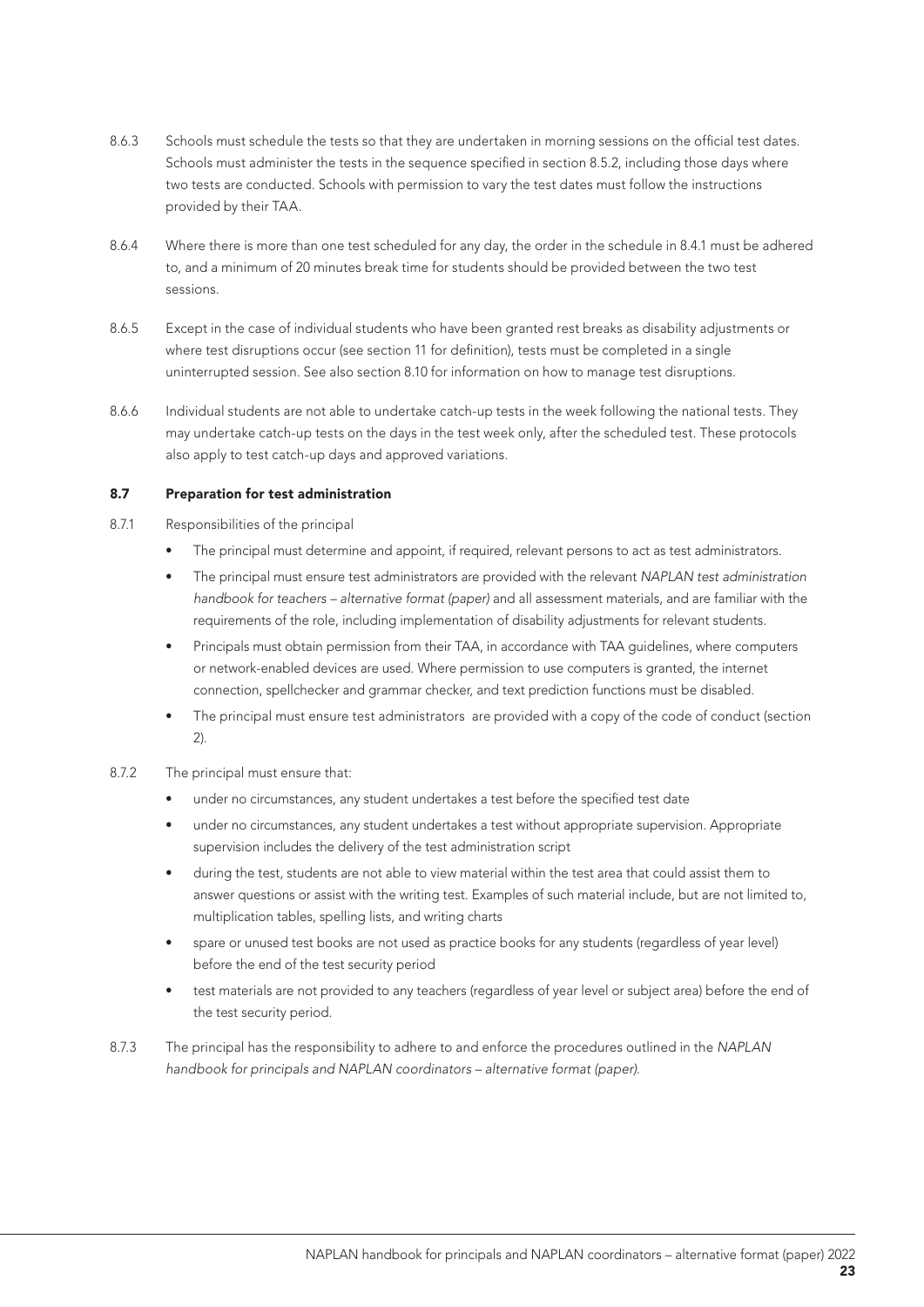- 8.6.3 Schools must schedule the tests so that they are undertaken in morning sessions on the official test dates. Schools must administer the tests in the sequence specified in section 8.5.2, including those days where two tests are conducted. Schools with permission to vary the test dates must follow the instructions provided by their TAA.
- 8.6.4 Where there is more than one test scheduled for any day, the order in the schedule in 8.4.1 must be adhered to, and a minimum of 20 minutes break time for students should be provided between the two test sessions.
- 8.6.5 Except in the case of individual students who have been granted rest breaks as disability adjustments or where test disruptions occur (see section 11 for definition), tests must be completed in a single uninterrupted session. See also section 8.10 for information on how to manage test disruptions.
- 8.6.6 Individual students are not able to undertake catch-up tests in the week following the national tests. They may undertake catch-up tests on the days in the test week only, after the scheduled test. These protocols also apply to test catch-up days and approved variations.

#### 8.7 Preparation for test administration

- 8.7.1 Responsibilities of the principal
	- The principal must determine and appoint, if required, relevant persons to act as test administrators.
	- The principal must ensure test administrators are provided with the relevant *NAPLAN test administration handbook for teachers – alternative format (paper)* and all assessment materials, and are familiar with the requirements of the role, including implementation of disability adjustments for relevant students.
	- Principals must obtain permission from their TAA, in accordance with TAA guidelines, where computers or network-enabled devices are used. Where permission to use computers is granted, the internet connection, spellchecker and grammar checker, and text prediction functions must be disabled.
	- The principal must ensure test administrators are provided with a copy of the code of conduct (section 2).
- 8.7.2 The principal must ensure that:
	- under no circumstances, any student undertakes a test before the specified test date
	- under no circumstances, any student undertakes a test without appropriate supervision. Appropriate supervision includes the delivery of the test administration script
	- during the test, students are not able to view material within the test area that could assist them to answer questions or assist with the writing test. Examples of such material include, but are not limited to, multiplication tables, spelling lists, and writing charts
	- spare or unused test books are not used as practice books for any students (regardless of year level) before the end of the test security period
	- test materials are not provided to any teachers (regardless of year level or subject area) before the end of the test security period.
- 8.7.3 The principal has the responsibility to adhere to and enforce the procedures outlined in the *NAPLAN handbook for principals and NAPLAN coordinators – alternative format (paper).*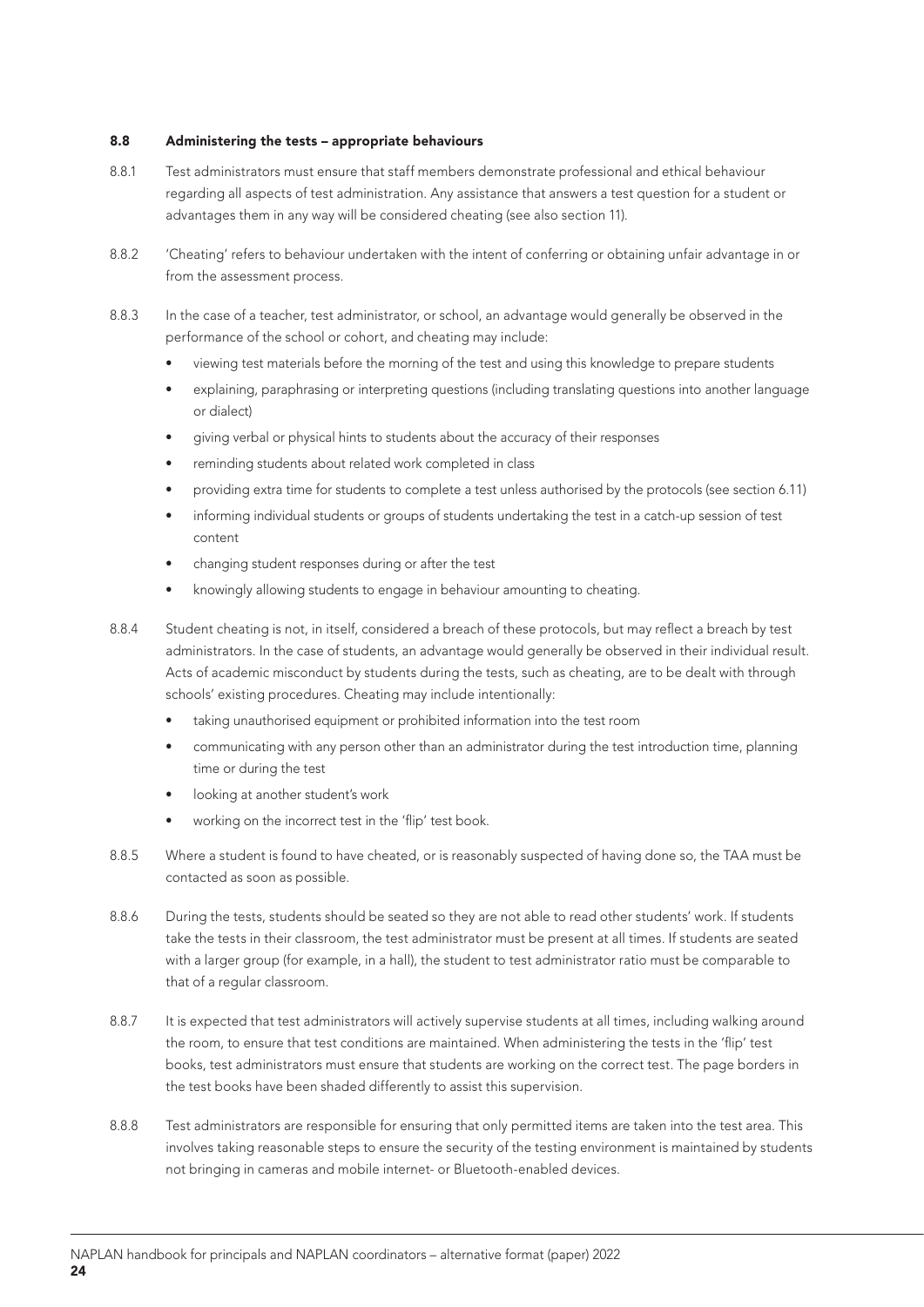#### 8.8 Administering the tests – appropriate behaviours

- 8.8.1 Test administrators must ensure that staff members demonstrate professional and ethical behaviour regarding all aspects of test administration. Any assistance that answers a test question for a student or advantages them in any way will be considered cheating (see also section 11).
- 8.8.2 'Cheating' refers to behaviour undertaken with the intent of conferring or obtaining unfair advantage in or from the assessment process.
- 8.8.3 In the case of a teacher, test administrator, or school, an advantage would generally be observed in the performance of the school or cohort, and cheating may include:
	- viewing test materials before the morning of the test and using this knowledge to prepare students
	- explaining, paraphrasing or interpreting questions (including translating questions into another language or dialect)
	- giving verbal or physical hints to students about the accuracy of their responses
	- reminding students about related work completed in class
	- providing extra time for students to complete a test unless authorised by the protocols (see section 6.11)
	- informing individual students or groups of students undertaking the test in a catch-up session of test content
	- changing student responses during or after the test
	- knowingly allowing students to engage in behaviour amounting to cheating.
- 8.8.4 Student cheating is not, in itself, considered a breach of these protocols, but may reflect a breach by test administrators. In the case of students, an advantage would generally be observed in their individual result. Acts of academic misconduct by students during the tests, such as cheating, are to be dealt with through schools' existing procedures. Cheating may include intentionally:
	- taking unauthorised equipment or prohibited information into the test room
	- communicating with any person other than an administrator during the test introduction time, planning time or during the test
	- looking at another student's work
	- working on the incorrect test in the 'flip' test book.
- 8.8.5 Where a student is found to have cheated, or is reasonably suspected of having done so, the TAA must be contacted as soon as possible.
- 8.8.6 During the tests, students should be seated so they are not able to read other students' work. If students take the tests in their classroom, the test administrator must be present at all times. If students are seated with a larger group (for example, in a hall), the student to test administrator ratio must be comparable to that of a regular classroom.
- 8.8.7 It is expected that test administrators will actively supervise students at all times, including walking around the room, to ensure that test conditions are maintained. When administering the tests in the 'flip' test books, test administrators must ensure that students are working on the correct test. The page borders in the test books have been shaded differently to assist this supervision.
- 8.8.8 Test administrators are responsible for ensuring that only permitted items are taken into the test area. This involves taking reasonable steps to ensure the security of the testing environment is maintained by students not bringing in cameras and mobile internet- or Bluetooth-enabled devices.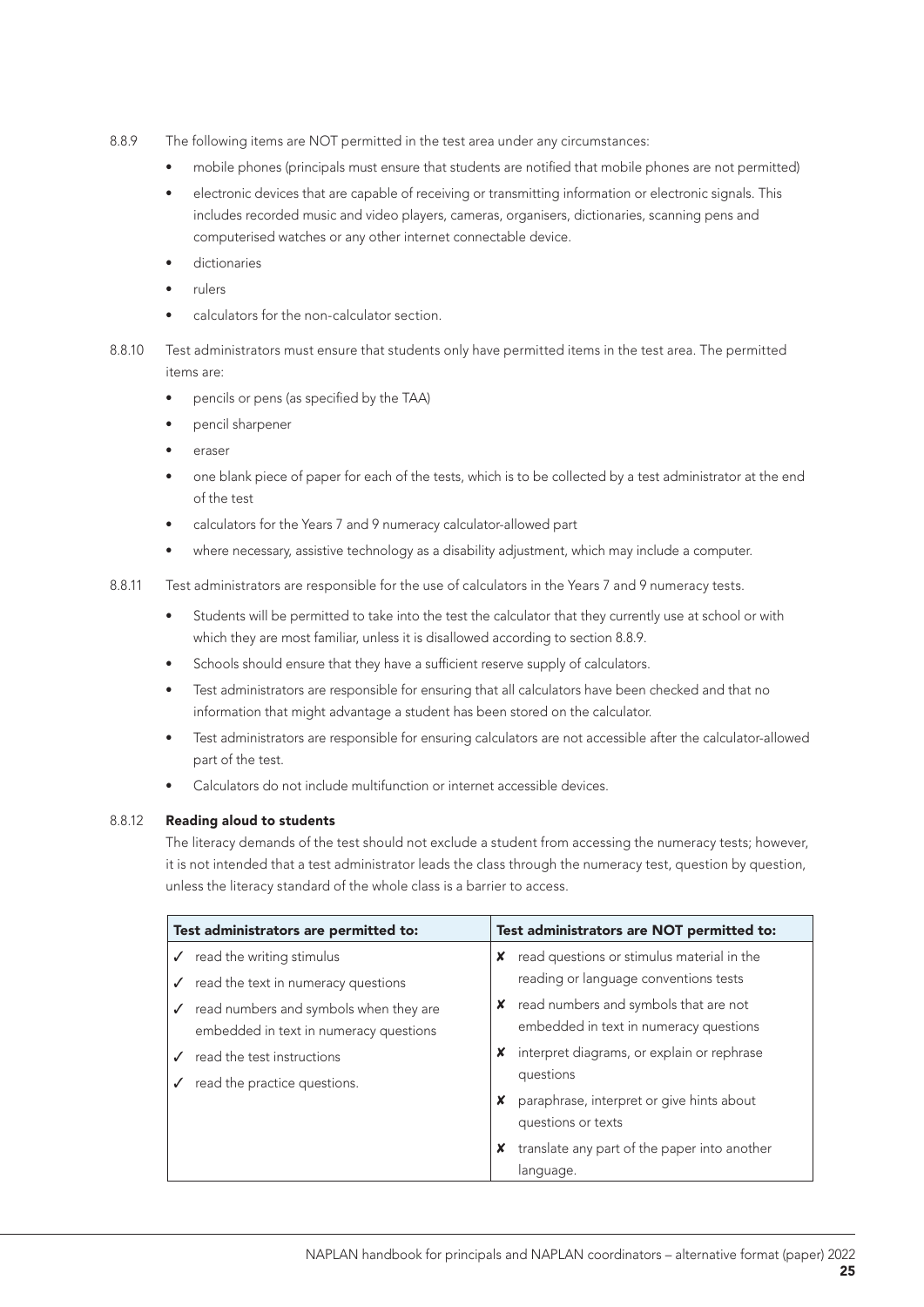- 8.8.9 The following items are NOT permitted in the test area under any circumstances:
	- mobile phones (principals must ensure that students are notified that mobile phones are not permitted)
	- electronic devices that are capable of receiving or transmitting information or electronic signals. This includes recorded music and video players, cameras, organisers, dictionaries, scanning pens and computerised watches or any other internet connectable device.
	- dictionaries
	- rulers
	- calculators for the non-calculator section.
- 8.8.10 Test administrators must ensure that students only have permitted items in the test area. The permitted items are:
	- pencils or pens (as specified by the TAA)
	- pencil sharpener
	- eraser
	- one blank piece of paper for each of the tests, which is to be collected by a test administrator at the end of the test
	- calculators for the Years 7 and 9 numeracy calculator-allowed part
	- where necessary, assistive technology as a disability adjustment, which may include a computer.
- 8.8.11 Test administrators are responsible for the use of calculators in the Years 7 and 9 numeracy tests.
	- Students will be permitted to take into the test the calculator that they currently use at school or with which they are most familiar, unless it is disallowed according to section 8.8.9.
	- Schools should ensure that they have a sufficient reserve supply of calculators.
	- Test administrators are responsible for ensuring that all calculators have been checked and that no information that might advantage a student has been stored on the calculator.
	- Test administrators are responsible for ensuring calculators are not accessible after the calculator-allowed part of the test.
	- Calculators do not include multifunction or internet accessible devices.

#### 8.8.12 Reading aloud to students

The literacy demands of the test should not exclude a student from accessing the numeracy tests; however, it is not intended that a test administrator leads the class through the numeracy test, question by question, unless the literacy standard of the whole class is a barrier to access.

| Test administrators are permitted to: |                                                                                  | Test administrators are NOT permitted to: |                                                                                 |
|---------------------------------------|----------------------------------------------------------------------------------|-------------------------------------------|---------------------------------------------------------------------------------|
|                                       | read the writing stimulus                                                        | x                                         | read questions or stimulus material in the                                      |
|                                       | read the text in numeracy questions                                              |                                           | reading or language conventions tests                                           |
|                                       | read numbers and symbols when they are<br>embedded in text in numeracy questions |                                           | read numbers and symbols that are not<br>embedded in text in numeracy questions |
|                                       | read the test instructions                                                       |                                           | interpret diagrams, or explain or rephrase                                      |
|                                       | read the practice questions.                                                     |                                           | questions                                                                       |
|                                       |                                                                                  | x                                         | paraphrase, interpret or give hints about<br>questions or texts                 |
|                                       |                                                                                  |                                           | translate any part of the paper into another                                    |
|                                       |                                                                                  |                                           | language.                                                                       |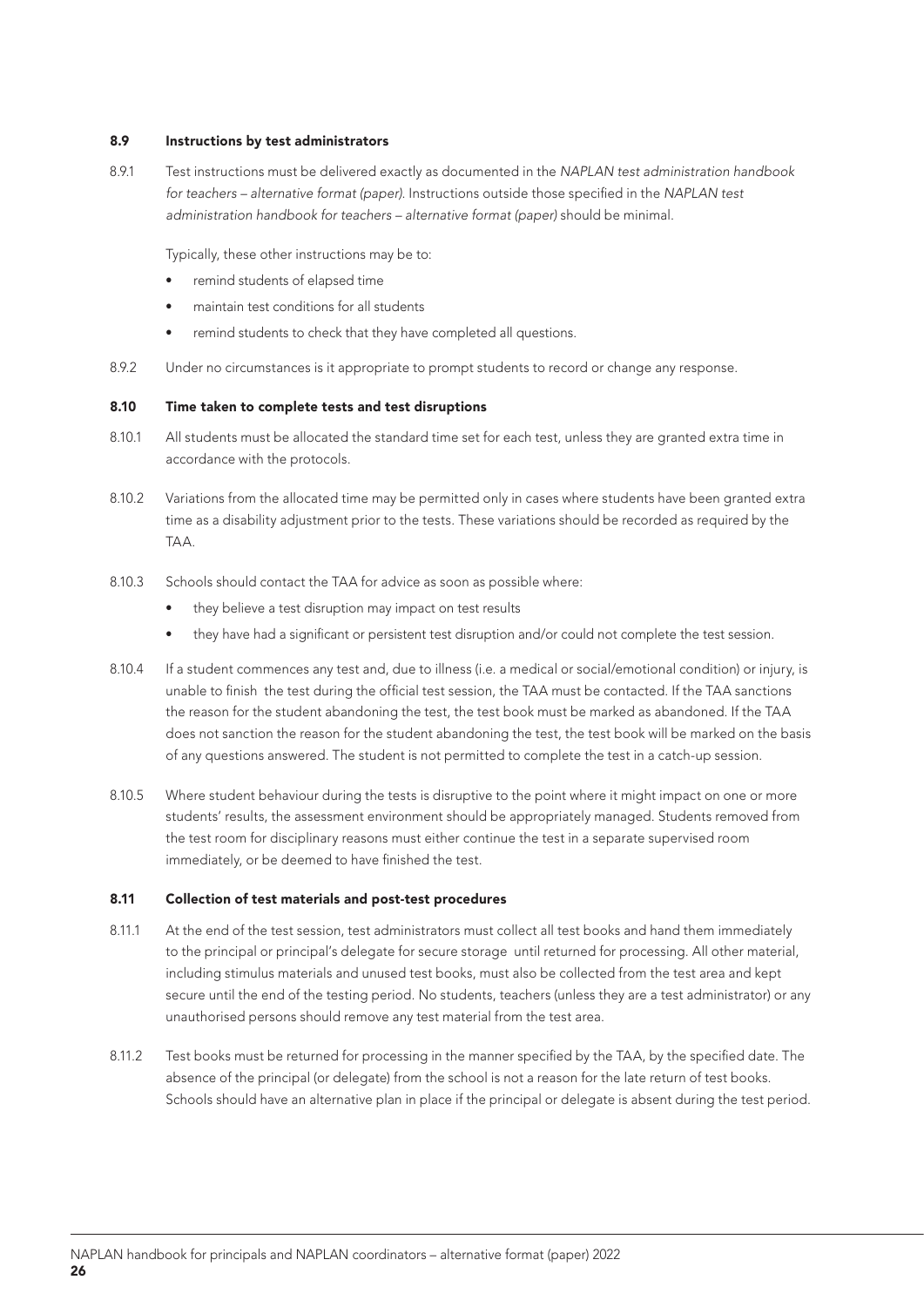#### 8.9 Instructions by test administrators

8.9.1 Test instructions must be delivered exactly as documented in the *NAPLAN test administration handbook for teachers – alternative format (paper)*. Instructions outside those specified in the *NAPLAN test administration handbook for teachers – alternative format (paper)* should be minimal.

Typically, these other instructions may be to:

- remind students of elapsed time
- maintain test conditions for all students
- remind students to check that they have completed all questions.
- 8.9.2 Under no circumstances is it appropriate to prompt students to record or change any response.

#### 8.10 Time taken to complete tests and test disruptions

- 8.10.1 All students must be allocated the standard time set for each test, unless they are granted extra time in accordance with the protocols.
- 8.10.2 Variations from the allocated time may be permitted only in cases where students have been granted extra time as a disability adjustment prior to the tests. These variations should be recorded as required by the TAA.
- 8.10.3 Schools should contact the TAA for advice as soon as possible where:
	- they believe a test disruption may impact on test results
	- they have had a significant or persistent test disruption and/or could not complete the test session.
- 8.10.4 If a student commences any test and, due to illness (i.e. a medical or social/emotional condition) or injury, is unable to finish the test during the official test session, the TAA must be contacted. If the TAA sanctions the reason for the student abandoning the test, the test book must be marked as abandoned. If the TAA does not sanction the reason for the student abandoning the test, the test book will be marked on the basis of any questions answered. The student is not permitted to complete the test in a catch-up session.
- 8.10.5 Where student behaviour during the tests is disruptive to the point where it might impact on one or more students' results, the assessment environment should be appropriately managed. Students removed from the test room for disciplinary reasons must either continue the test in a separate supervised room immediately, or be deemed to have finished the test.

#### 8.11 Collection of test materials and post-test procedures

- 8.11.1 At the end of the test session, test administrators must collect all test books and hand them immediately to the principal or principal's delegate for secure storage until returned for processing. All other material, including stimulus materials and unused test books, must also be collected from the test area and kept secure until the end of the testing period. No students, teachers (unless they are a test administrator) or any unauthorised persons should remove any test material from the test area.
- 8.11.2 Test books must be returned for processing in the manner specified by the TAA, by the specified date. The absence of the principal (or delegate) from the school is not a reason for the late return of test books. Schools should have an alternative plan in place if the principal or delegate is absent during the test period.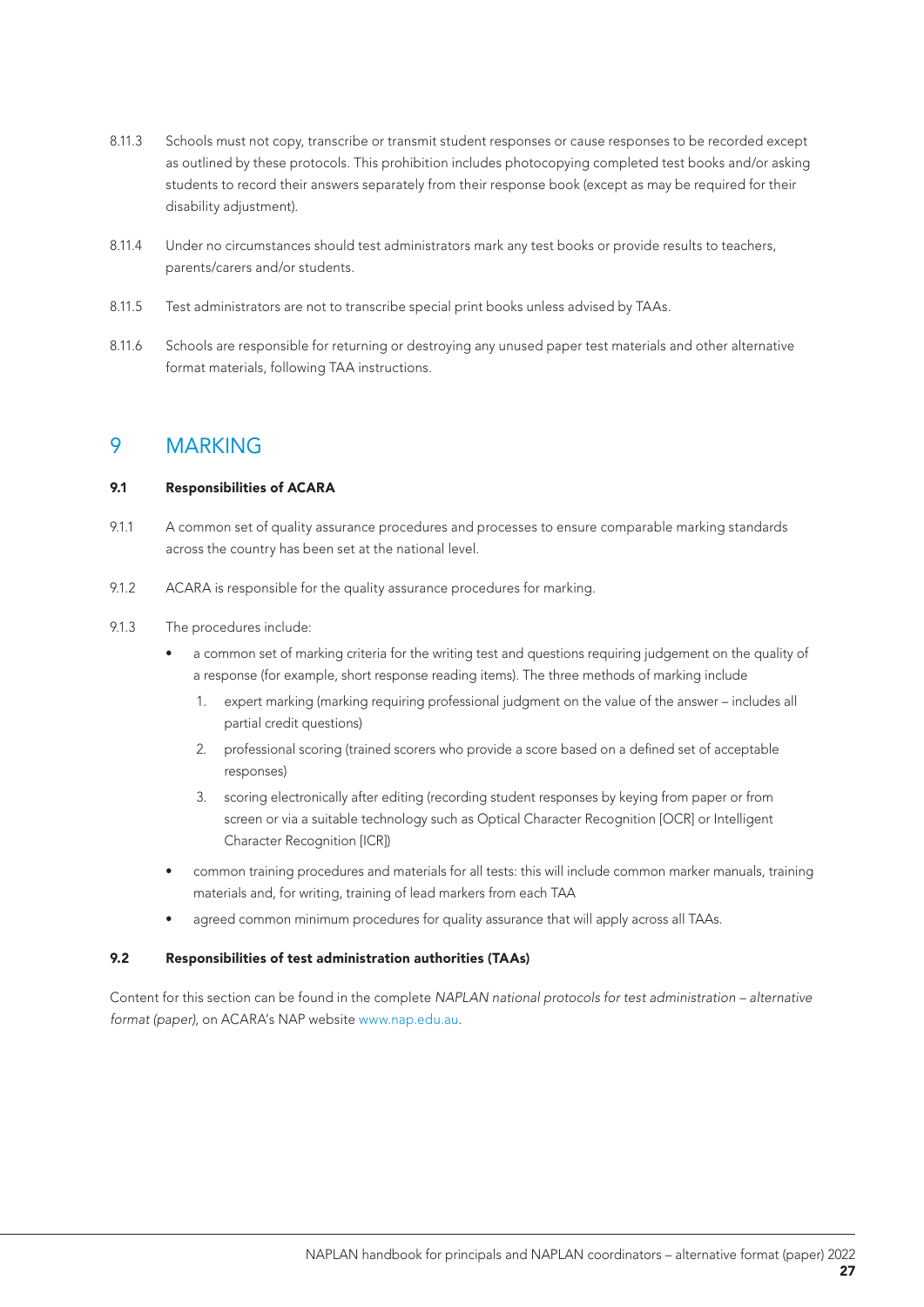- 8.11.3 Schools must not copy, transcribe or transmit student responses or cause responses to be recorded except as outlined by these protocols. This prohibition includes photocopying completed test books and/or asking students to record their answers separately from their response book (except as may be required for their disability adjustment).
- 8.11.4 Under no circumstances should test administrators mark any test books or provide results to teachers, parents/carers and/or students.
- 8.11.5 Test administrators are not to transcribe special print books unless advised by TAAs.
- 8.11.6 Schools are responsible for returning or destroying any unused paper test materials and other alternative format materials, following TAA instructions.

### 9 MARKING

#### 9.1 Responsibilities of ACARA

- 9.1.1 A common set of quality assurance procedures and processes to ensure comparable marking standards across the country has been set at the national level.
- 9.1.2 ACARA is responsible for the quality assurance procedures for marking.
- 9.1.3 The procedures include:
	- a common set of marking criteria for the writing test and questions requiring judgement on the quality of a response (for example, short response reading items). The three methods of marking include
		- 1. expert marking (marking requiring professional judgment on the value of the answer includes all partial credit questions)
		- 2. professional scoring (trained scorers who provide a score based on a defined set of acceptable responses)
		- 3. scoring electronically after editing (recording student responses by keying from paper or from screen or via a suitable technology such as Optical Character Recognition [OCR] or Intelligent Character Recognition [ICR])
	- common training procedures and materials for all tests: this will include common marker manuals, training materials and, for writing, training of lead markers from each TAA
	- agreed common minimum procedures for quality assurance that will apply across all TAAs.

#### 9.2 Responsibilities of test administration authorities (TAAs)

Content for this section can be found in the complete *NAPLAN national protocols for test administration – alternative format (paper)*, on ACARA's NAP website www.nap.edu.au.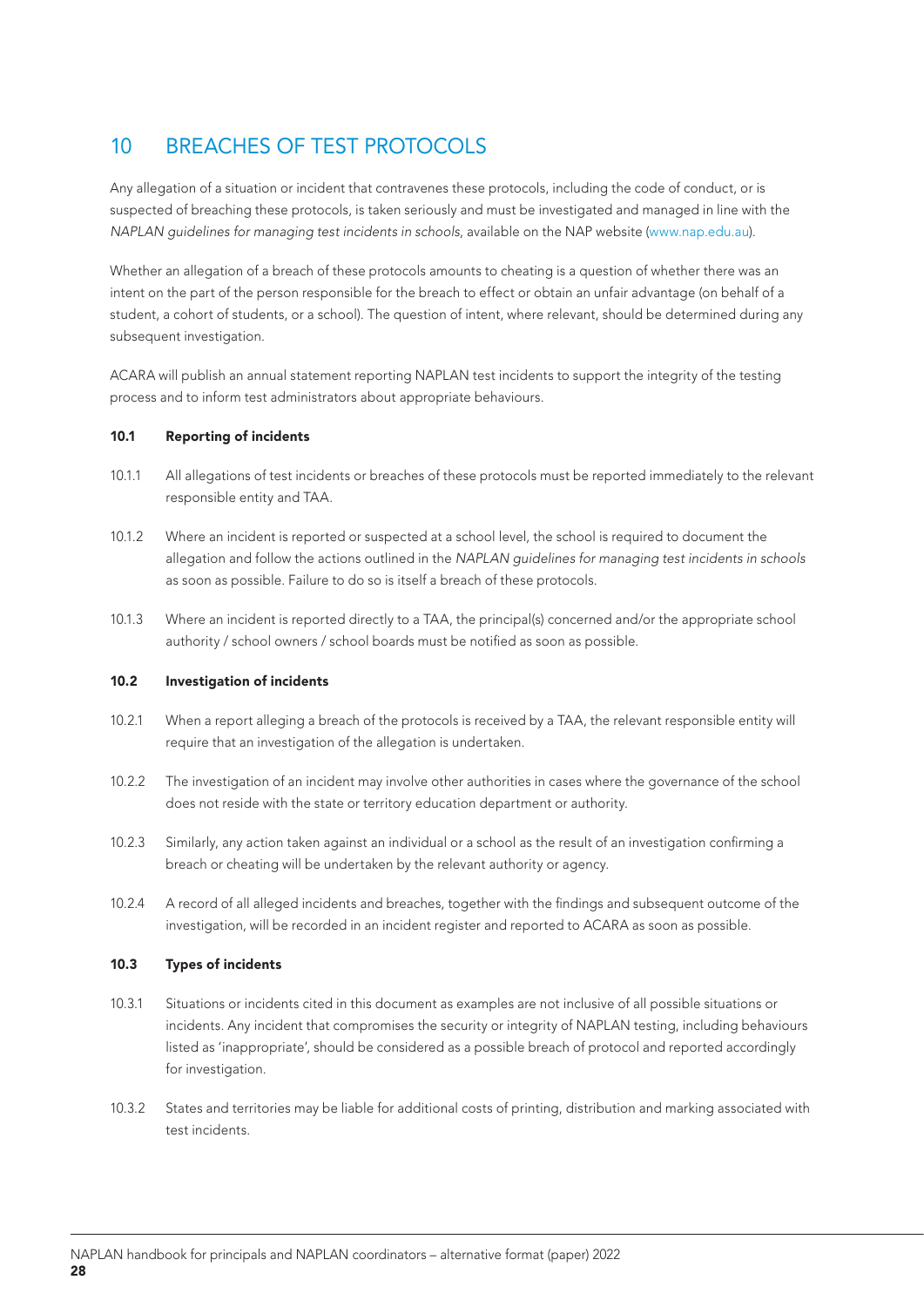## 10 BREACHES OF TEST PROTOCOLS

Any allegation of a situation or incident that contravenes these protocols, including the code of conduct, or is suspected of breaching these protocols, is taken seriously and must be investigated and managed in line with the *NAPLAN guidelines for managing test incidents in schools*, available on the NAP website (www.nap.edu.au).

Whether an allegation of a breach of these protocols amounts to cheating is a question of whether there was an intent on the part of the person responsible for the breach to effect or obtain an unfair advantage (on behalf of a student, a cohort of students, or a school). The question of intent, where relevant, should be determined during any subsequent investigation.

ACARA will publish an annual statement reporting NAPLAN test incidents to support the integrity of the testing process and to inform test administrators about appropriate behaviours.

#### 10.1 Reporting of incidents

- 10.1.1 All allegations of test incidents or breaches of these protocols must be reported immediately to the relevant responsible entity and TAA.
- 10.1.2 Where an incident is reported or suspected at a school level, the school is required to document the allegation and follow the actions outlined in the *NAPLAN guidelines for managing test incidents in schools* as soon as possible. Failure to do so is itself a breach of these protocols.
- 10.1.3 Where an incident is reported directly to a TAA, the principal(s) concerned and/or the appropriate school authority / school owners / school boards must be notified as soon as possible.

#### 10.2 Investigation of incidents

- 10.2.1 When a report alleging a breach of the protocols is received by a TAA, the relevant responsible entity will require that an investigation of the allegation is undertaken.
- 10.2.2 The investigation of an incident may involve other authorities in cases where the governance of the school does not reside with the state or territory education department or authority.
- 10.2.3 Similarly, any action taken against an individual or a school as the result of an investigation confirming a breach or cheating will be undertaken by the relevant authority or agency.
- 10.2.4 A record of all alleged incidents and breaches, together with the findings and subsequent outcome of the investigation, will be recorded in an incident register and reported to ACARA as soon as possible.

#### 10.3 Types of incidents

- 10.3.1 Situations or incidents cited in this document as examples are not inclusive of all possible situations or incidents. Any incident that compromises the security or integrity of NAPLAN testing, including behaviours listed as 'inappropriate', should be considered as a possible breach of protocol and reported accordingly for investigation.
- 10.3.2 States and territories may be liable for additional costs of printing, distribution and marking associated with test incidents.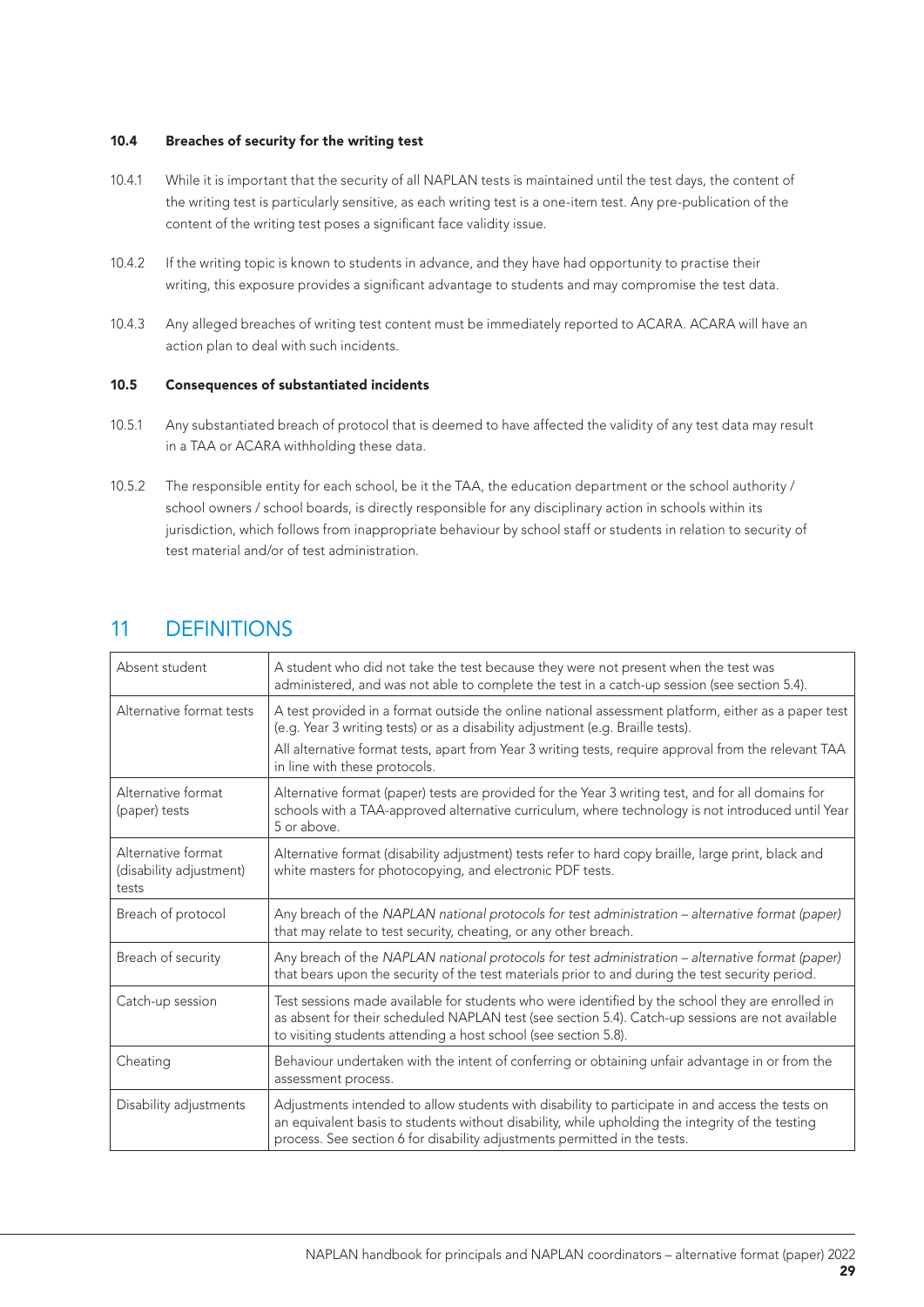#### 10.4 Breaches of security for the writing test

- 10.4.1 While it is important that the security of all NAPLAN tests is maintained until the test days, the content of the writing test is particularly sensitive, as each writing test is a one-item test. Any pre-publication of the content of the writing test poses a significant face validity issue.
- 10.4.2 If the writing topic is known to students in advance, and they have had opportunity to practise their writing, this exposure provides a significant advantage to students and may compromise the test data.
- 10.4.3 Any alleged breaches of writing test content must be immediately reported to ACARA. ACARA will have an action plan to deal with such incidents.

#### 10.5 Consequences of substantiated incidents

- 10.5.1 Any substantiated breach of protocol that is deemed to have affected the validity of any test data may result in a TAA or ACARA withholding these data.
- 10.5.2 The responsible entity for each school, be it the TAA, the education department or the school authority / school owners / school boards, is directly responsible for any disciplinary action in schools within its jurisdiction, which follows from inappropriate behaviour by school staff or students in relation to security of test material and/or of test administration.

| Absent student                                         | A student who did not take the test because they were not present when the test was<br>administered, and was not able to complete the test in a catch-up session (see section 5.4).                                                                                                                                              |
|--------------------------------------------------------|----------------------------------------------------------------------------------------------------------------------------------------------------------------------------------------------------------------------------------------------------------------------------------------------------------------------------------|
| Alternative format tests                               | A test provided in a format outside the online national assessment platform, either as a paper test<br>(e.g. Year 3 writing tests) or as a disability adjustment (e.g. Braille tests).<br>All alternative format tests, apart from Year 3 writing tests, require approval from the relevant TAA<br>in line with these protocols. |
| Alternative format<br>(paper) tests                    | Alternative format (paper) tests are provided for the Year 3 writing test, and for all domains for<br>schools with a TAA-approved alternative curriculum, where technology is not introduced until Year<br>5 or above.                                                                                                           |
| Alternative format<br>(disability adjustment)<br>tests | Alternative format (disability adjustment) tests refer to hard copy braille, large print, black and<br>white masters for photocopying, and electronic PDF tests.                                                                                                                                                                 |
| Breach of protocol                                     | Any breach of the NAPLAN national protocols for test administration - alternative format (paper)<br>that may relate to test security, cheating, or any other breach.                                                                                                                                                             |
| Breach of security                                     | Any breach of the NAPLAN national protocols for test administration - alternative format (paper)<br>that bears upon the security of the test materials prior to and during the test security period.                                                                                                                             |
| Catch-up session                                       | Test sessions made available for students who were identified by the school they are enrolled in<br>as absent for their scheduled NAPLAN test (see section 5.4). Catch-up sessions are not available<br>to visiting students attending a host school (see section 5.8).                                                          |
| Cheating                                               | Behaviour undertaken with the intent of conferring or obtaining unfair advantage in or from the<br>assessment process.                                                                                                                                                                                                           |
| Disability adjustments                                 | Adjustments intended to allow students with disability to participate in and access the tests on<br>an equivalent basis to students without disability, while upholding the integrity of the testing<br>process. See section 6 for disability adjustments permitted in the tests.                                                |

## 11 DEFINITIONS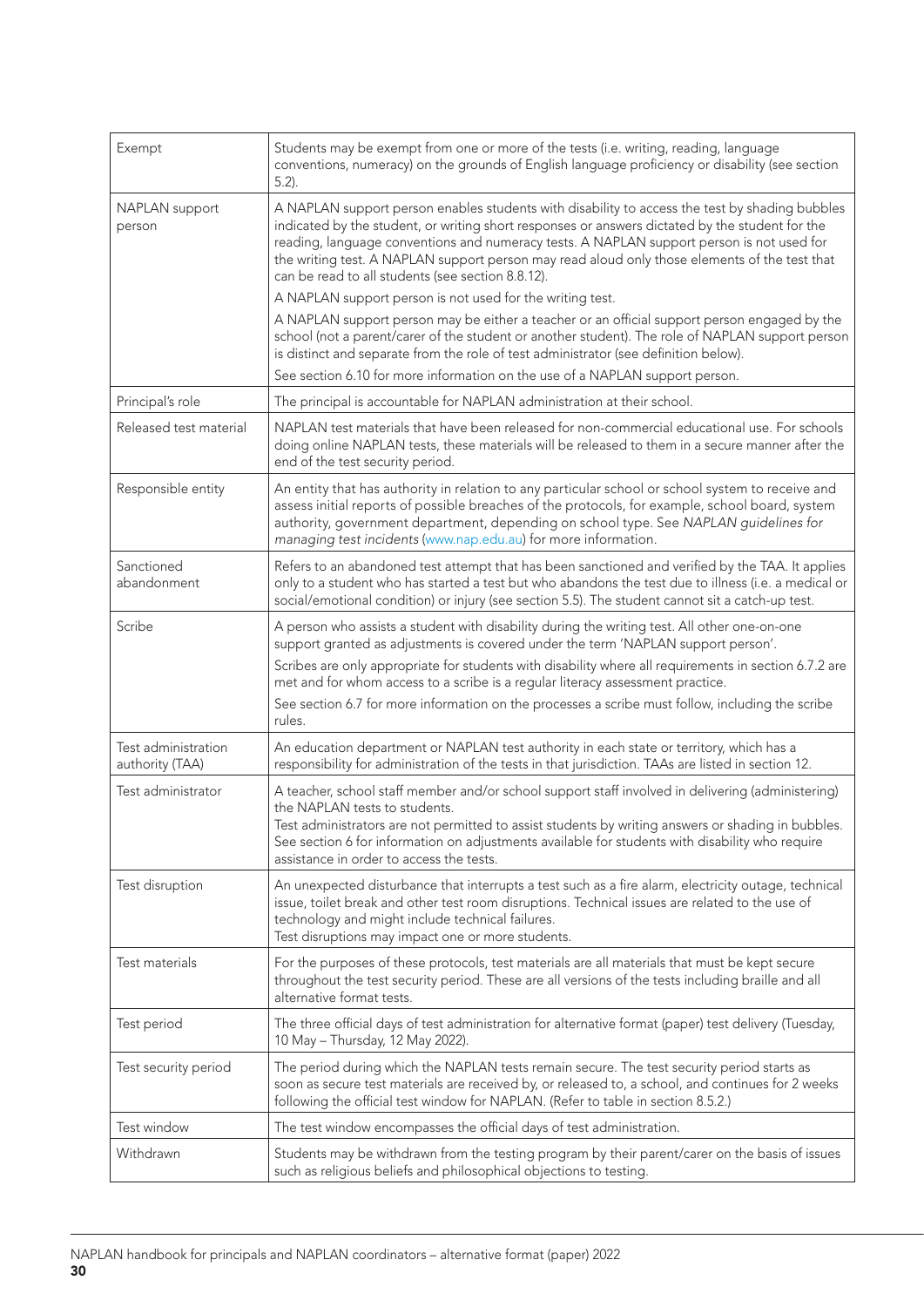| Exempt                                 | Students may be exempt from one or more of the tests (i.e. writing, reading, language<br>conventions, numeracy) on the grounds of English language proficiency or disability (see section<br>$5.2$ ).                                                                                                                                                                                                                                                |
|----------------------------------------|------------------------------------------------------------------------------------------------------------------------------------------------------------------------------------------------------------------------------------------------------------------------------------------------------------------------------------------------------------------------------------------------------------------------------------------------------|
| NAPLAN support<br>person               | A NAPLAN support person enables students with disability to access the test by shading bubbles<br>indicated by the student, or writing short responses or answers dictated by the student for the<br>reading, language conventions and numeracy tests. A NAPLAN support person is not used for<br>the writing test. A NAPLAN support person may read aloud only those elements of the test that<br>can be read to all students (see section 8.8.12). |
|                                        | A NAPLAN support person is not used for the writing test.                                                                                                                                                                                                                                                                                                                                                                                            |
|                                        | A NAPLAN support person may be either a teacher or an official support person engaged by the<br>school (not a parent/carer of the student or another student). The role of NAPLAN support person<br>is distinct and separate from the role of test administrator (see definition below).                                                                                                                                                             |
|                                        | See section 6.10 for more information on the use of a NAPLAN support person.                                                                                                                                                                                                                                                                                                                                                                         |
| Principal's role                       | The principal is accountable for NAPLAN administration at their school.                                                                                                                                                                                                                                                                                                                                                                              |
| Released test material                 | NAPLAN test materials that have been released for non-commercial educational use. For schools<br>doing online NAPLAN tests, these materials will be released to them in a secure manner after the<br>end of the test security period.                                                                                                                                                                                                                |
| Responsible entity                     | An entity that has authority in relation to any particular school or school system to receive and<br>assess initial reports of possible breaches of the protocols, for example, school board, system<br>authority, government department, depending on school type. See NAPLAN guidelines for<br>managing test incidents (www.nap.edu.au) for more information.                                                                                      |
| Sanctioned<br>abandonment              | Refers to an abandoned test attempt that has been sanctioned and verified by the TAA. It applies<br>only to a student who has started a test but who abandons the test due to illness (i.e. a medical or<br>social/emotional condition) or injury (see section 5.5). The student cannot sit a catch-up test.                                                                                                                                         |
| Scribe                                 | A person who assists a student with disability during the writing test. All other one-on-one<br>support granted as adjustments is covered under the term 'NAPLAN support person'.<br>Scribes are only appropriate for students with disability where all requirements in section 6.7.2 are                                                                                                                                                           |
|                                        | met and for whom access to a scribe is a regular literacy assessment practice.                                                                                                                                                                                                                                                                                                                                                                       |
|                                        | See section 6.7 for more information on the processes a scribe must follow, including the scribe<br>rules.                                                                                                                                                                                                                                                                                                                                           |
| Test administration<br>authority (TAA) | An education department or NAPLAN test authority in each state or territory, which has a<br>responsibility for administration of the tests in that jurisdiction. TAAs are listed in section 12.                                                                                                                                                                                                                                                      |
| Test administrator                     | A teacher, school staff member and/or school support staff involved in delivering (administering)<br>the NAPLAN tests to students.                                                                                                                                                                                                                                                                                                                   |
|                                        | Test administrators are not permitted to assist students by writing answers or shading in bubbles.<br>See section 6 for information on adjustments available for students with disability who require<br>assistance in order to access the tests.                                                                                                                                                                                                    |
| Test disruption                        | An unexpected disturbance that interrupts a test such as a fire alarm, electricity outage, technical<br>issue, toilet break and other test room disruptions. Technical issues are related to the use of<br>technology and might include technical failures.<br>Test disruptions may impact one or more students.                                                                                                                                     |
| Test materials                         | For the purposes of these protocols, test materials are all materials that must be kept secure<br>throughout the test security period. These are all versions of the tests including braille and all<br>alternative format tests.                                                                                                                                                                                                                    |
| Test period                            | The three official days of test administration for alternative format (paper) test delivery (Tuesday,<br>10 May - Thursday, 12 May 2022).                                                                                                                                                                                                                                                                                                            |
| Test security period                   | The period during which the NAPLAN tests remain secure. The test security period starts as<br>soon as secure test materials are received by, or released to, a school, and continues for 2 weeks<br>following the official test window for NAPLAN. (Refer to table in section 8.5.2.)                                                                                                                                                                |
| Test window                            | The test window encompasses the official days of test administration.                                                                                                                                                                                                                                                                                                                                                                                |
| Withdrawn                              | Students may be withdrawn from the testing program by their parent/carer on the basis of issues<br>such as religious beliefs and philosophical objections to testing.                                                                                                                                                                                                                                                                                |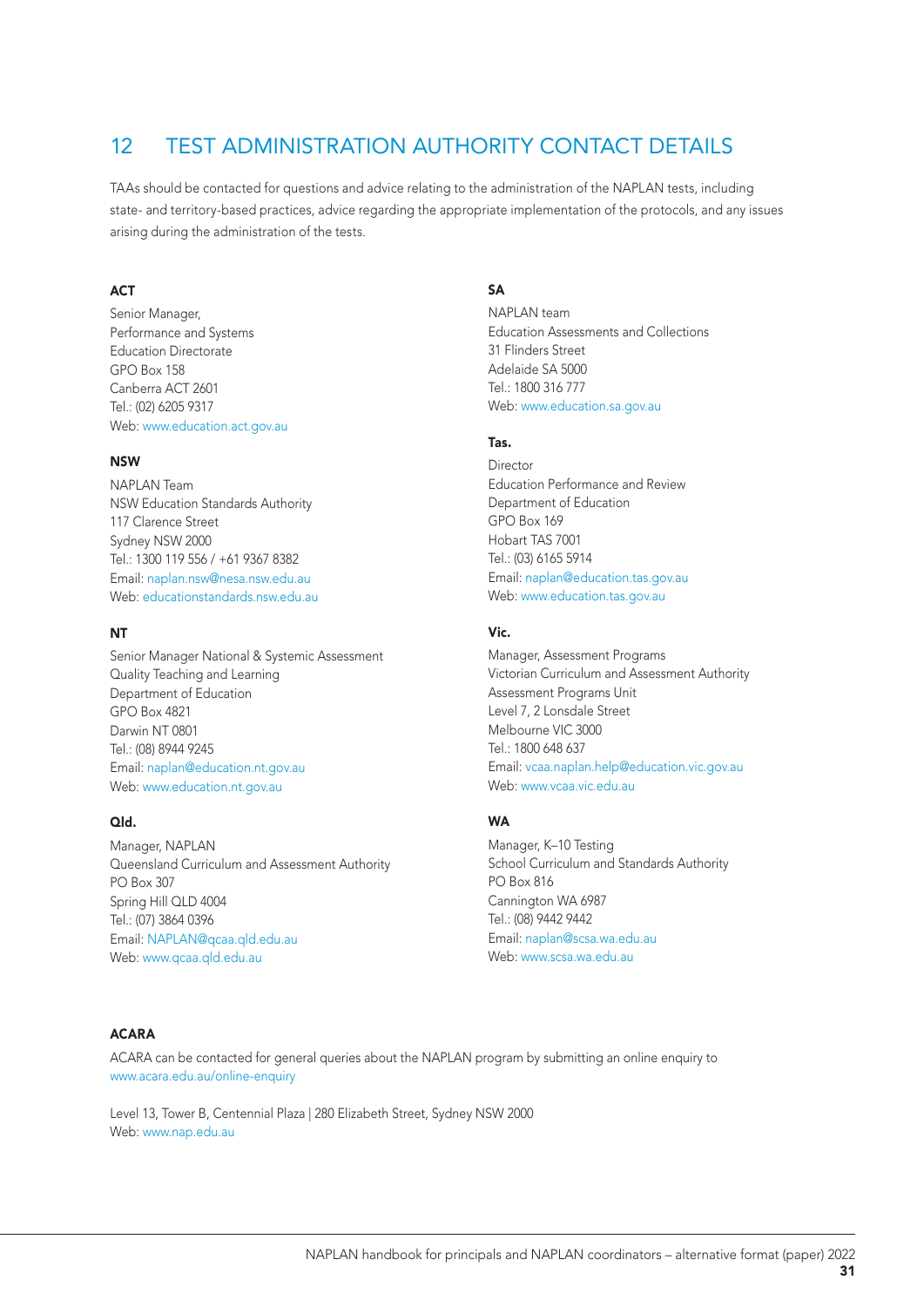## 12 TEST ADMINISTRATION AUTHORITY CONTACT DETAILS

TAAs should be contacted for questions and advice relating to the administration of the NAPLAN tests, including state- and territory-based practices, advice regarding the appropriate implementation of the protocols, and any issues arising during the administration of the tests.

#### **ACT**

Senior Manager, Performance and Systems Education Directorate GPO Box 158 Canberra ACT 2601 Tel.: (02) 6205 9317 Web: www.education.act.gov.au

#### **NSW**

NAPLAN Team NSW Education Standards Authority 117 Clarence Street Sydney NSW 2000 Tel.: 1300 119 556 / +61 9367 8382 Email: naplan.nsw@nesa.nsw.edu.au Web: educationstandards.nsw.edu.au

#### **NT**

Senior Manager National & Systemic Assessment Quality Teaching and Learning Department of Education GPO Box 4821 Darwin NT 0801 Tel.: (08) 8944 9245 Email: naplan@education.nt.gov.au Web: www.education.nt.gov.au

#### Qld.

Manager, NAPLAN Queensland Curriculum and Assessment Authority PO Box 307 Spring Hill QLD 4004 Tel.: (07) 3864 0396 Email: NAPLAN@qcaa.qld.edu.au Web: www.qcaa.qld.edu.au

#### **SΔ**

NAPLAN team Education Assessments and Collections 31 Flinders Street Adelaide SA 5000 Tel.: 1800 316 777 Web: www.education.sa.gov.au

#### Tas.

Director Education Performance and Review Department of Education GPO Box 169 Hobart TAS 7001 Tel.: (03) 6165 5914 Email: naplan@education.tas.gov.au Web: www.education.tas.gov.au

#### Vic.

Manager, Assessment Programs Victorian Curriculum and Assessment Authority Assessment Programs Unit Level 7, 2 Lonsdale Street Melbourne VIC 3000 Tel.: 1800 648 637 Email: vcaa.naplan.help@education.vic.gov.au Web: www.vcaa.vic.edu.au

#### **WA**

Manager, K–10 Testing School Curriculum and Standards Authority PO Box 816 Cannington WA 6987 Tel.: (08) 9442 9442 Email: naplan@scsa.wa.edu.au Web: www.scsa.wa.edu.au

#### ACARA

ACARA can be contacted for general queries about the NAPLAN program by submitting an online enquiry to www.acara.edu.au/online-enquiry

Level 13, Tower B, Centennial Plaza | 280 Elizabeth Street, Sydney NSW 2000 Web: www.nap.edu.au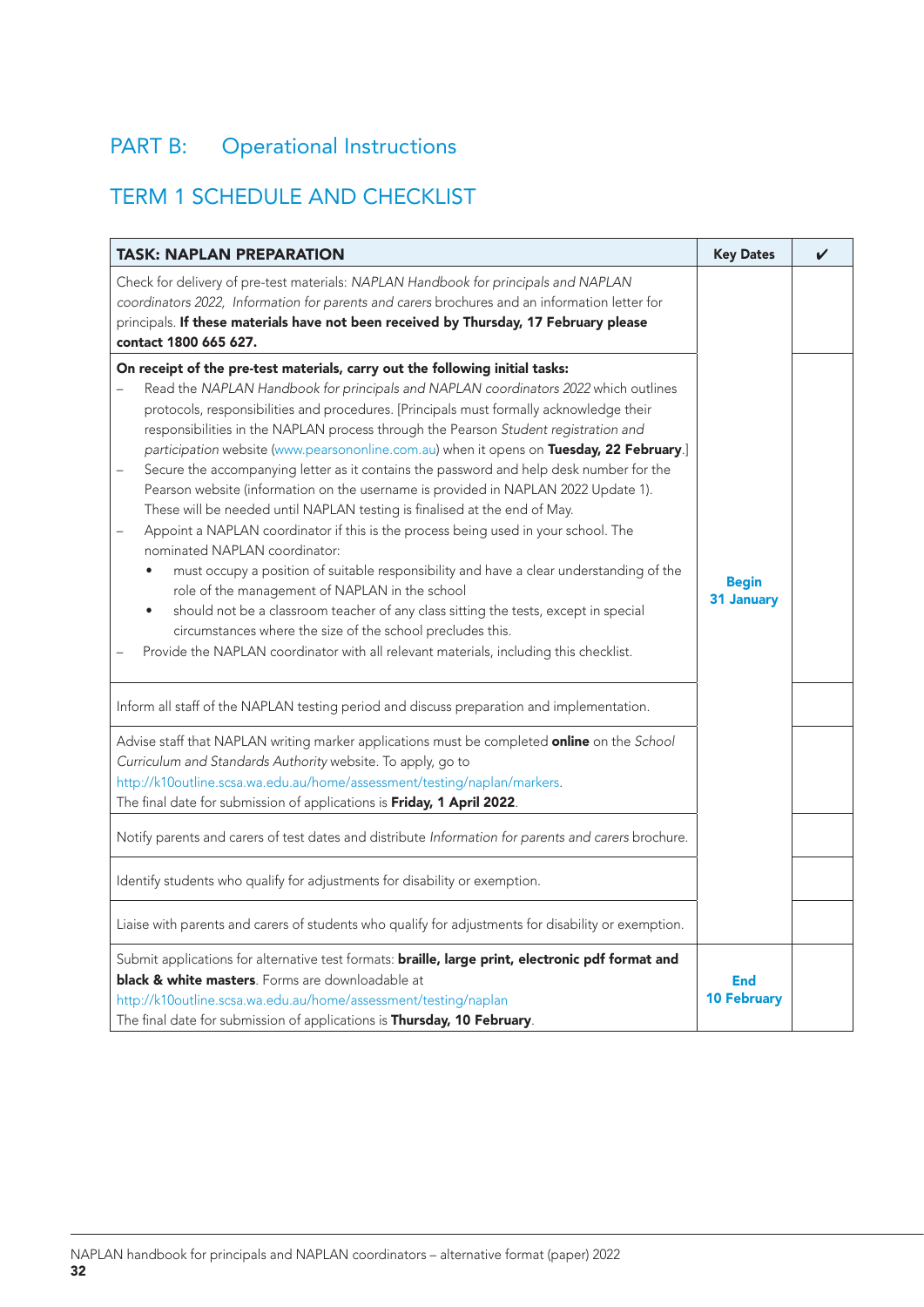## PART B: Operational Instructions

## TERM 1 SCHEDULE AND CHECKLIST

| <b>TASK: NAPLAN PREPARATION</b>                                                                                                                                                                                                                                                                                                                                                                                                                                                                                                                                                                                                                                                                                                                                                                                                                                                                                                                                                                                                                                                                                                                                                                                                                                                                        | <b>Key Dates</b>                 | V |
|--------------------------------------------------------------------------------------------------------------------------------------------------------------------------------------------------------------------------------------------------------------------------------------------------------------------------------------------------------------------------------------------------------------------------------------------------------------------------------------------------------------------------------------------------------------------------------------------------------------------------------------------------------------------------------------------------------------------------------------------------------------------------------------------------------------------------------------------------------------------------------------------------------------------------------------------------------------------------------------------------------------------------------------------------------------------------------------------------------------------------------------------------------------------------------------------------------------------------------------------------------------------------------------------------------|----------------------------------|---|
| Check for delivery of pre-test materials: NAPLAN Handbook for principals and NAPLAN<br>coordinators 2022, Information for parents and carers brochures and an information letter for<br>principals. If these materials have not been received by Thursday, 17 February please<br>contact 1800 665 627.                                                                                                                                                                                                                                                                                                                                                                                                                                                                                                                                                                                                                                                                                                                                                                                                                                                                                                                                                                                                 |                                  |   |
| On receipt of the pre-test materials, carry out the following initial tasks:<br>Read the NAPLAN Handbook for principals and NAPLAN coordinators 2022 which outlines<br>$\overline{\phantom{0}}$<br>protocols, responsibilities and procedures. [Principals must formally acknowledge their<br>responsibilities in the NAPLAN process through the Pearson Student registration and<br>participation website (www.pearsononline.com.au) when it opens on Tuesday, 22 February.]<br>Secure the accompanying letter as it contains the password and help desk number for the<br>$\overline{\phantom{0}}$<br>Pearson website (information on the username is provided in NAPLAN 2022 Update 1).<br>These will be needed until NAPLAN testing is finalised at the end of May.<br>Appoint a NAPLAN coordinator if this is the process being used in your school. The<br>nominated NAPLAN coordinator:<br>must occupy a position of suitable responsibility and have a clear understanding of the<br>role of the management of NAPLAN in the school<br>should not be a classroom teacher of any class sitting the tests, except in special<br>$\bullet$<br>circumstances where the size of the school precludes this.<br>Provide the NAPLAN coordinator with all relevant materials, including this checklist. | <b>Begin</b><br>31 January       |   |
| Inform all staff of the NAPLAN testing period and discuss preparation and implementation.                                                                                                                                                                                                                                                                                                                                                                                                                                                                                                                                                                                                                                                                                                                                                                                                                                                                                                                                                                                                                                                                                                                                                                                                              |                                  |   |
| Advise staff that NAPLAN writing marker applications must be completed <b>online</b> on the School<br>Curriculum and Standards Authority website. To apply, go to<br>http://k10outline.scsa.wa.edu.au/home/assessment/testing/naplan/markers.<br>The final date for submission of applications is Friday, 1 April 2022.                                                                                                                                                                                                                                                                                                                                                                                                                                                                                                                                                                                                                                                                                                                                                                                                                                                                                                                                                                                |                                  |   |
| Notify parents and carers of test dates and distribute Information for parents and carers brochure.                                                                                                                                                                                                                                                                                                                                                                                                                                                                                                                                                                                                                                                                                                                                                                                                                                                                                                                                                                                                                                                                                                                                                                                                    |                                  |   |
| Identify students who qualify for adjustments for disability or exemption.                                                                                                                                                                                                                                                                                                                                                                                                                                                                                                                                                                                                                                                                                                                                                                                                                                                                                                                                                                                                                                                                                                                                                                                                                             |                                  |   |
| Liaise with parents and carers of students who qualify for adjustments for disability or exemption.                                                                                                                                                                                                                                                                                                                                                                                                                                                                                                                                                                                                                                                                                                                                                                                                                                                                                                                                                                                                                                                                                                                                                                                                    |                                  |   |
| Submit applications for alternative test formats: braille, large print, electronic pdf format and<br>black & white masters. Forms are downloadable at<br>http://k10outline.scsa.wa.edu.au/home/assessment/testing/naplan<br>The final date for submission of applications is Thursday, 10 February.                                                                                                                                                                                                                                                                                                                                                                                                                                                                                                                                                                                                                                                                                                                                                                                                                                                                                                                                                                                                    | <b>End</b><br><b>10 February</b> |   |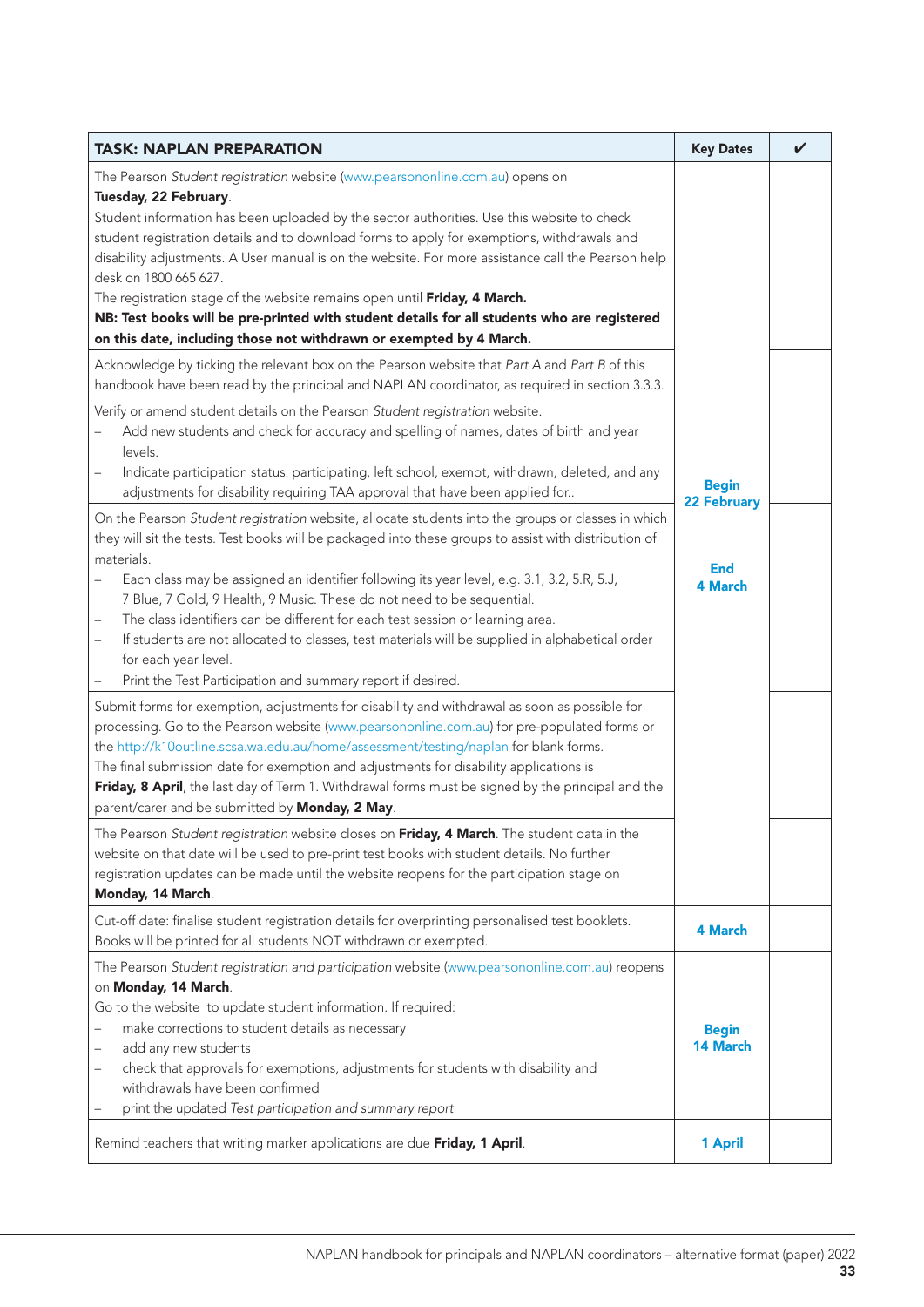| <b>TASK: NAPLAN PREPARATION</b>                                                                                                                                                                                                                                                                                                                                                                                                                                                                                                                                                                                                                                                                                                                                                                                                                                                                                                                                                                                                                                                                                                                                                                                                                                                                                                                                                                                                                                                                                                                                                                                                                                                                                                                                                                                                                                                                                                                                                                                                                                                                                                                                                                                                                                                                                                                                                                                                                                                                                                                                                                                                                                                                                                                                                                           |                                                             | V |
|-----------------------------------------------------------------------------------------------------------------------------------------------------------------------------------------------------------------------------------------------------------------------------------------------------------------------------------------------------------------------------------------------------------------------------------------------------------------------------------------------------------------------------------------------------------------------------------------------------------------------------------------------------------------------------------------------------------------------------------------------------------------------------------------------------------------------------------------------------------------------------------------------------------------------------------------------------------------------------------------------------------------------------------------------------------------------------------------------------------------------------------------------------------------------------------------------------------------------------------------------------------------------------------------------------------------------------------------------------------------------------------------------------------------------------------------------------------------------------------------------------------------------------------------------------------------------------------------------------------------------------------------------------------------------------------------------------------------------------------------------------------------------------------------------------------------------------------------------------------------------------------------------------------------------------------------------------------------------------------------------------------------------------------------------------------------------------------------------------------------------------------------------------------------------------------------------------------------------------------------------------------------------------------------------------------------------------------------------------------------------------------------------------------------------------------------------------------------------------------------------------------------------------------------------------------------------------------------------------------------------------------------------------------------------------------------------------------------------------------------------------------------------------------------------------------|-------------------------------------------------------------|---|
| The Pearson Student registration website (www.pearsononline.com.au) opens on<br>Tuesday, 22 February.<br>Student information has been uploaded by the sector authorities. Use this website to check<br>student registration details and to download forms to apply for exemptions, withdrawals and<br>disability adjustments. A User manual is on the website. For more assistance call the Pearson help<br>desk on 1800 665 627.<br>The registration stage of the website remains open until Friday, 4 March.<br>NB: Test books will be pre-printed with student details for all students who are registered<br>on this date, including those not withdrawn or exempted by 4 March.<br>Acknowledge by ticking the relevant box on the Pearson website that Part A and Part B of this<br>handbook have been read by the principal and NAPLAN coordinator, as required in section 3.3.3.<br>Verify or amend student details on the Pearson Student registration website.<br>Add new students and check for accuracy and spelling of names, dates of birth and year<br>levels.<br>Indicate participation status: participating, left school, exempt, withdrawn, deleted, and any<br>adjustments for disability requiring TAA approval that have been applied for<br>On the Pearson Student registration website, allocate students into the groups or classes in which<br>they will sit the tests. Test books will be packaged into these groups to assist with distribution of<br>materials.<br>Each class may be assigned an identifier following its year level, e.g. 3.1, 3.2, 5.R, 5.J,<br>7 Blue, 7 Gold, 9 Health, 9 Music. These do not need to be sequential.<br>The class identifiers can be different for each test session or learning area.<br>If students are not allocated to classes, test materials will be supplied in alphabetical order<br>for each year level.<br>Print the Test Participation and summary report if desired.<br>Submit forms for exemption, adjustments for disability and withdrawal as soon as possible for<br>processing. Go to the Pearson website (www.pearsononline.com.au) for pre-populated forms or<br>the http://k10outline.scsa.wa.edu.au/home/assessment/testing/naplan for blank forms.<br>The final submission date for exemption and adjustments for disability applications is<br>Friday, 8 April, the last day of Term 1. Withdrawal forms must be signed by the principal and the<br>parent/carer and be submitted by Monday, 2 May.<br>The Pearson Student registration website closes on Friday, 4 March. The student data in the<br>website on that date will be used to pre-print test books with student details. No further<br>registration updates can be made until the website reopens for the participation stage on<br>Monday, 14 March. | <b>Begin</b><br><b>22 February</b><br><b>End</b><br>4 March |   |
| Cut-off date: finalise student registration details for overprinting personalised test booklets.<br>Books will be printed for all students NOT withdrawn or exempted.                                                                                                                                                                                                                                                                                                                                                                                                                                                                                                                                                                                                                                                                                                                                                                                                                                                                                                                                                                                                                                                                                                                                                                                                                                                                                                                                                                                                                                                                                                                                                                                                                                                                                                                                                                                                                                                                                                                                                                                                                                                                                                                                                                                                                                                                                                                                                                                                                                                                                                                                                                                                                                     | <b>4 March</b>                                              |   |
| The Pearson Student registration and participation website (www.pearsononline.com.au) reopens<br>on Monday, 14 March.<br>Go to the website to update student information. If required:<br>make corrections to student details as necessary<br>add any new students<br>check that approvals for exemptions, adjustments for students with disability and<br>withdrawals have been confirmed<br>print the updated Test participation and summary report<br>Remind teachers that writing marker applications are due Friday, 1 April.                                                                                                                                                                                                                                                                                                                                                                                                                                                                                                                                                                                                                                                                                                                                                                                                                                                                                                                                                                                                                                                                                                                                                                                                                                                                                                                                                                                                                                                                                                                                                                                                                                                                                                                                                                                                                                                                                                                                                                                                                                                                                                                                                                                                                                                                        | <b>Begin</b><br>14 March<br>1 April                         |   |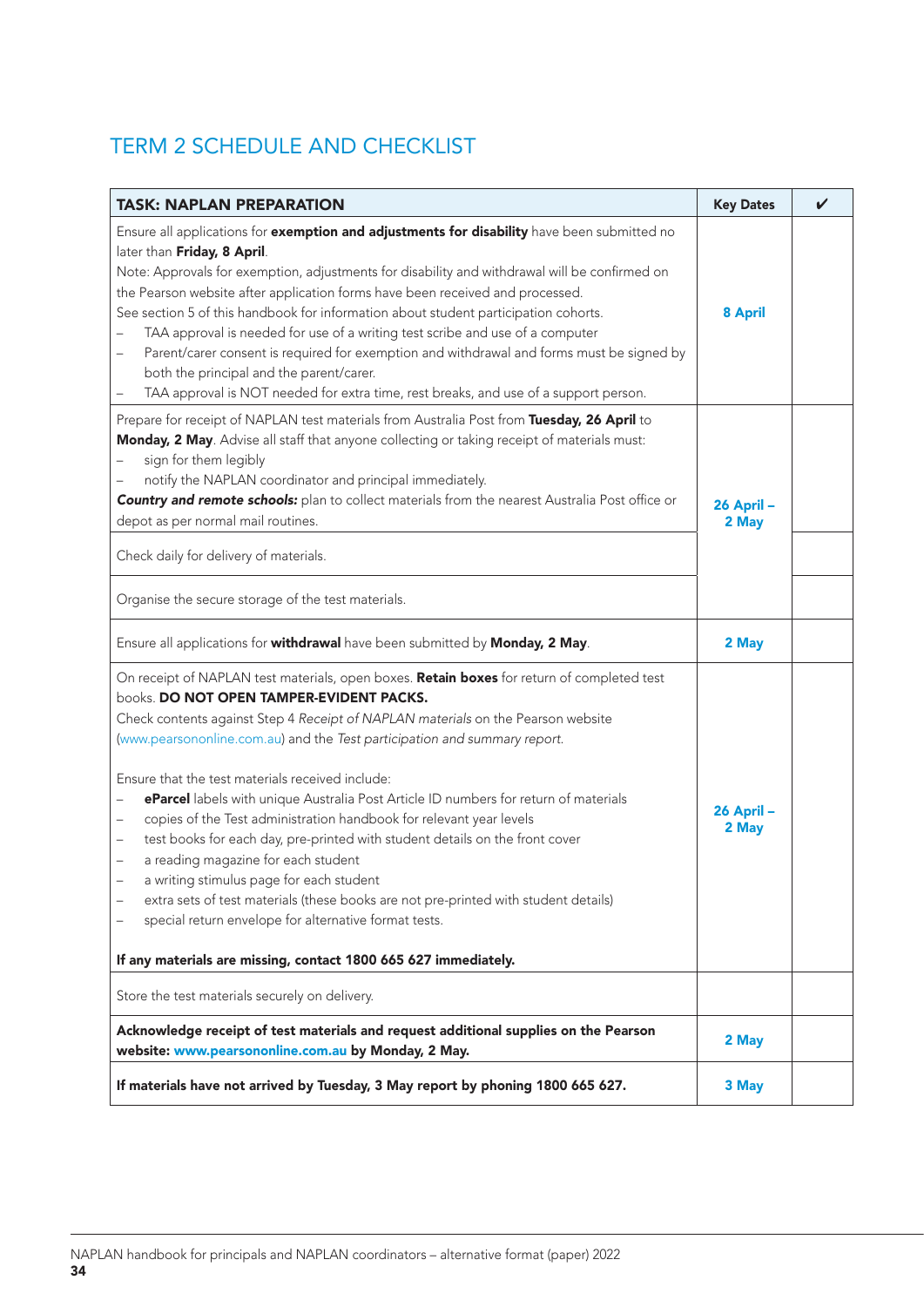## TERM 2 SCHEDULE AND CHECKLIST

| <b>TASK: NAPLAN PREPARATION</b>                                                                                                                                                                                                                                                                                                                                                                                                                                                                                                                                                                                                                                                                                                                                                                                                                                                                                                                                                                      |                     | V |
|------------------------------------------------------------------------------------------------------------------------------------------------------------------------------------------------------------------------------------------------------------------------------------------------------------------------------------------------------------------------------------------------------------------------------------------------------------------------------------------------------------------------------------------------------------------------------------------------------------------------------------------------------------------------------------------------------------------------------------------------------------------------------------------------------------------------------------------------------------------------------------------------------------------------------------------------------------------------------------------------------|---------------------|---|
| Ensure all applications for exemption and adjustments for disability have been submitted no<br>later than Friday, 8 April.<br>Note: Approvals for exemption, adjustments for disability and withdrawal will be confirmed on<br>the Pearson website after application forms have been received and processed.<br>See section 5 of this handbook for information about student participation cohorts.<br>TAA approval is needed for use of a writing test scribe and use of a computer<br>Parent/carer consent is required for exemption and withdrawal and forms must be signed by<br>both the principal and the parent/carer.<br>TAA approval is NOT needed for extra time, rest breaks, and use of a support person.<br>—                                                                                                                                                                                                                                                                           | 8 April             |   |
| Prepare for receipt of NAPLAN test materials from Australia Post from Tuesday, 26 April to<br>Monday, 2 May. Advise all staff that anyone collecting or taking receipt of materials must:<br>sign for them legibly<br>notify the NAPLAN coordinator and principal immediately.<br>Country and remote schools: plan to collect materials from the nearest Australia Post office or<br>depot as per normal mail routines.<br>Check daily for delivery of materials.<br>Organise the secure storage of the test materials.                                                                                                                                                                                                                                                                                                                                                                                                                                                                              | 26 April -<br>2 May |   |
| Ensure all applications for withdrawal have been submitted by Monday, 2 May.                                                                                                                                                                                                                                                                                                                                                                                                                                                                                                                                                                                                                                                                                                                                                                                                                                                                                                                         | 2 May               |   |
| On receipt of NAPLAN test materials, open boxes. Retain boxes for return of completed test<br>books. DO NOT OPEN TAMPER-EVIDENT PACKS.<br>Check contents against Step 4 Receipt of NAPLAN materials on the Pearson website<br>(www.pearsononline.com.au) and the Test participation and summary report.<br>Ensure that the test materials received include:<br>eParcel labels with unique Australia Post Article ID numbers for return of materials<br>$\qquad \qquad -$<br>copies of the Test administration handbook for relevant year levels<br>$\qquad \qquad -$<br>test books for each day, pre-printed with student details on the front cover<br>$\qquad \qquad -$<br>a reading magazine for each student<br>$\qquad \qquad -$<br>a writing stimulus page for each student<br>extra sets of test materials (these books are not pre-printed with student details)<br>special return envelope for alternative format tests.<br>If any materials are missing, contact 1800 665 627 immediately. |                     |   |
| Store the test materials securely on delivery.                                                                                                                                                                                                                                                                                                                                                                                                                                                                                                                                                                                                                                                                                                                                                                                                                                                                                                                                                       |                     |   |
| Acknowledge receipt of test materials and request additional supplies on the Pearson<br>website: www.pearsononline.com.au by Monday, 2 May.                                                                                                                                                                                                                                                                                                                                                                                                                                                                                                                                                                                                                                                                                                                                                                                                                                                          | 2 May               |   |
| If materials have not arrived by Tuesday, 3 May report by phoning 1800 665 627.                                                                                                                                                                                                                                                                                                                                                                                                                                                                                                                                                                                                                                                                                                                                                                                                                                                                                                                      | 3 May               |   |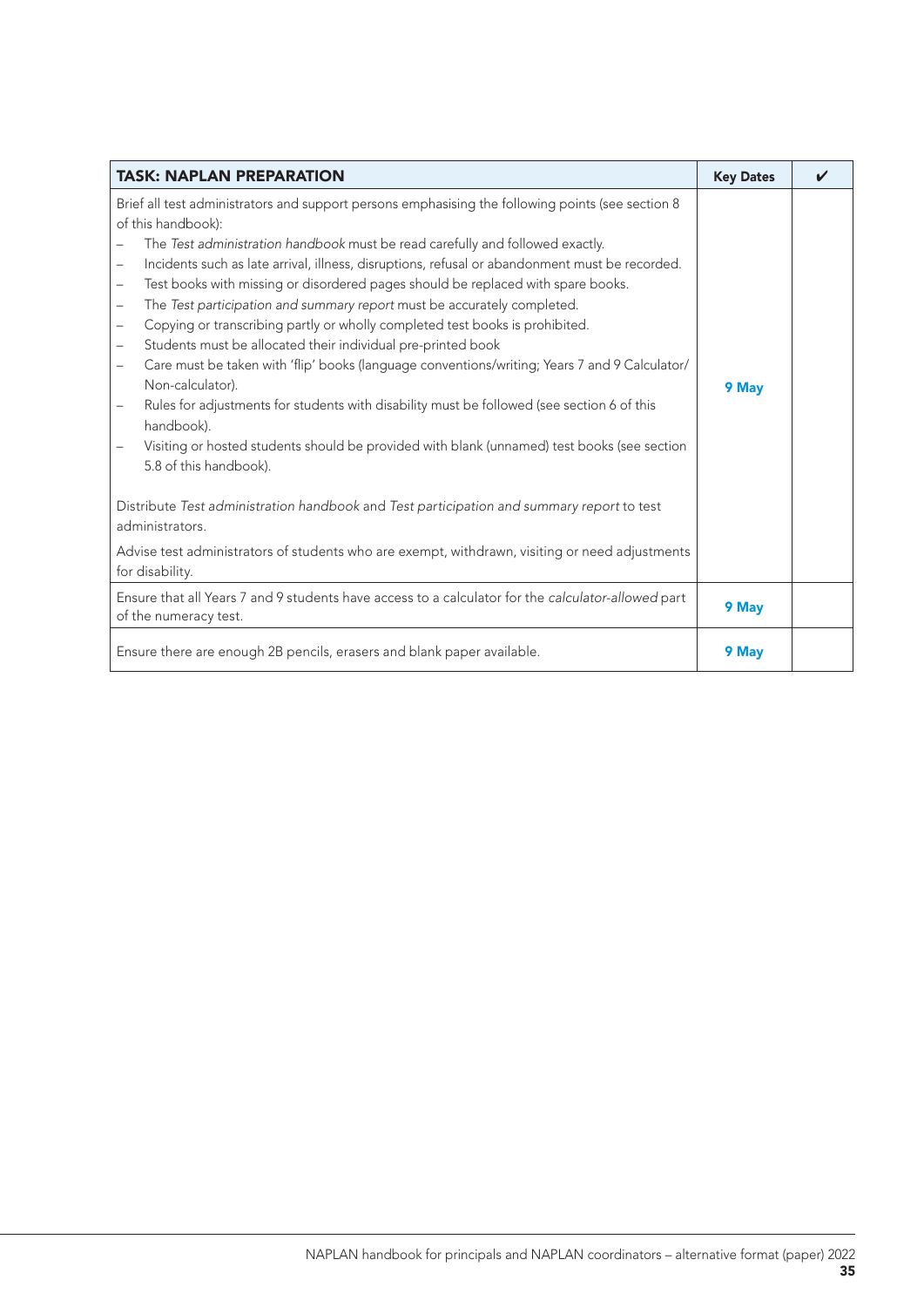| <b>TASK: NAPLAN PREPARATION</b>                                                                                                                                                                                                                                                                                                                                                                                                                                                                                                                                                                                                                                                                                                                                                                                                                                                                                                                                                                                                                                                                                                                                                         | <b>Key Dates</b> | ✔ |
|-----------------------------------------------------------------------------------------------------------------------------------------------------------------------------------------------------------------------------------------------------------------------------------------------------------------------------------------------------------------------------------------------------------------------------------------------------------------------------------------------------------------------------------------------------------------------------------------------------------------------------------------------------------------------------------------------------------------------------------------------------------------------------------------------------------------------------------------------------------------------------------------------------------------------------------------------------------------------------------------------------------------------------------------------------------------------------------------------------------------------------------------------------------------------------------------|------------------|---|
| Brief all test administrators and support persons emphasising the following points (see section 8<br>of this handbook):<br>The Test administration handbook must be read carefully and followed exactly.<br>Incidents such as late arrival, illness, disruptions, refusal or abandonment must be recorded.<br>$\overline{\phantom{m}}$<br>Test books with missing or disordered pages should be replaced with spare books.<br>$\overline{\phantom{m}}$<br>The Test participation and summary report must be accurately completed.<br>$\overline{\phantom{m}}$<br>Copying or transcribing partly or wholly completed test books is prohibited.<br>$\overline{\phantom{a}}$<br>Students must be allocated their individual pre-printed book<br>$\overline{\phantom{m}}$<br>Care must be taken with 'flip' books (language conventions/writing; Years 7 and 9 Calculator/<br>$\overline{\phantom{m}}$<br>Non-calculator).<br>Rules for adjustments for students with disability must be followed (see section 6 of this<br>$\overline{\phantom{0}}$<br>handbook).<br>Visiting or hosted students should be provided with blank (unnamed) test books (see section<br>5.8 of this handbook). | 9 May            |   |
| Distribute Test administration handbook and Test participation and summary report to test<br>administrators.                                                                                                                                                                                                                                                                                                                                                                                                                                                                                                                                                                                                                                                                                                                                                                                                                                                                                                                                                                                                                                                                            |                  |   |
| Advise test administrators of students who are exempt, withdrawn, visiting or need adjustments<br>for disability.                                                                                                                                                                                                                                                                                                                                                                                                                                                                                                                                                                                                                                                                                                                                                                                                                                                                                                                                                                                                                                                                       |                  |   |
| Ensure that all Years 7 and 9 students have access to a calculator for the calculator-allowed part<br>of the numeracy test.                                                                                                                                                                                                                                                                                                                                                                                                                                                                                                                                                                                                                                                                                                                                                                                                                                                                                                                                                                                                                                                             | 9 May            |   |
| Ensure there are enough 2B pencils, erasers and blank paper available.                                                                                                                                                                                                                                                                                                                                                                                                                                                                                                                                                                                                                                                                                                                                                                                                                                                                                                                                                                                                                                                                                                                  | 9 May            |   |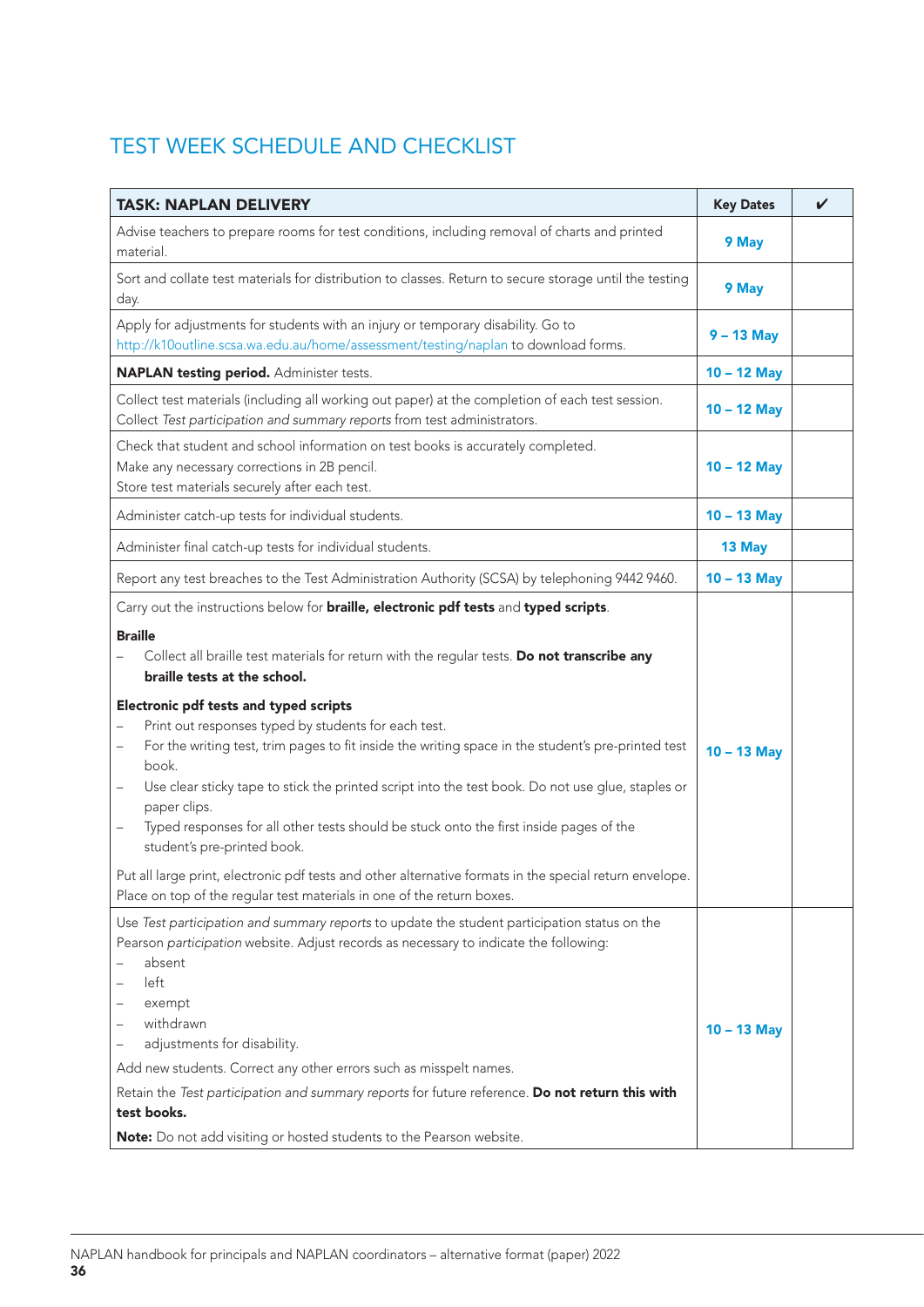## TEST WEEK SCHEDULE AND CHECKLIST

| <b>TASK: NAPLAN DELIVERY</b>                                                                                                                                                                                                                                                                                                                                                                                                                                                                                                                                                                                                                                                                                                                                                                                                                                                                                                         | <b>Key Dates</b> | V |
|--------------------------------------------------------------------------------------------------------------------------------------------------------------------------------------------------------------------------------------------------------------------------------------------------------------------------------------------------------------------------------------------------------------------------------------------------------------------------------------------------------------------------------------------------------------------------------------------------------------------------------------------------------------------------------------------------------------------------------------------------------------------------------------------------------------------------------------------------------------------------------------------------------------------------------------|------------------|---|
| Advise teachers to prepare rooms for test conditions, including removal of charts and printed<br>material.                                                                                                                                                                                                                                                                                                                                                                                                                                                                                                                                                                                                                                                                                                                                                                                                                           | 9 May            |   |
| Sort and collate test materials for distribution to classes. Return to secure storage until the testing<br>day.                                                                                                                                                                                                                                                                                                                                                                                                                                                                                                                                                                                                                                                                                                                                                                                                                      | 9 May            |   |
| Apply for adjustments for students with an injury or temporary disability. Go to<br>http://k10outline.scsa.wa.edu.au/home/assessment/testing/naplan to download forms.                                                                                                                                                                                                                                                                                                                                                                                                                                                                                                                                                                                                                                                                                                                                                               | $9 - 13$ May     |   |
| NAPLAN testing period. Administer tests.                                                                                                                                                                                                                                                                                                                                                                                                                                                                                                                                                                                                                                                                                                                                                                                                                                                                                             | $10 - 12$ May    |   |
| Collect test materials (including all working out paper) at the completion of each test session.<br>Collect Test participation and summary reports from test administrators.                                                                                                                                                                                                                                                                                                                                                                                                                                                                                                                                                                                                                                                                                                                                                         | $10 - 12$ May    |   |
| Check that student and school information on test books is accurately completed.<br>Make any necessary corrections in 2B pencil.<br>Store test materials securely after each test.                                                                                                                                                                                                                                                                                                                                                                                                                                                                                                                                                                                                                                                                                                                                                   | $10 - 12$ May    |   |
| Administer catch-up tests for individual students.                                                                                                                                                                                                                                                                                                                                                                                                                                                                                                                                                                                                                                                                                                                                                                                                                                                                                   | $10 - 13$ May    |   |
| Administer final catch-up tests for individual students.                                                                                                                                                                                                                                                                                                                                                                                                                                                                                                                                                                                                                                                                                                                                                                                                                                                                             | 13 May           |   |
| Report any test breaches to the Test Administration Authority (SCSA) by telephoning 9442 9460.                                                                                                                                                                                                                                                                                                                                                                                                                                                                                                                                                                                                                                                                                                                                                                                                                                       | $10 - 13$ May    |   |
| Carry out the instructions below for braille, electronic pdf tests and typed scripts.<br><b>Braille</b><br>Collect all braille test materials for return with the regular tests. Do not transcribe any<br>braille tests at the school.<br>Electronic pdf tests and typed scripts<br>Print out responses typed by students for each test.<br>For the writing test, trim pages to fit inside the writing space in the student's pre-printed test<br>$\qquad \qquad -$<br>book.<br>Use clear sticky tape to stick the printed script into the test book. Do not use glue, staples or<br>$\qquad \qquad -$<br>paper clips.<br>Typed responses for all other tests should be stuck onto the first inside pages of the<br>student's pre-printed book.<br>Put all large print, electronic pdf tests and other alternative formats in the special return envelope.<br>Place on top of the regular test materials in one of the return boxes. | $10 - 13$ May    |   |
| Use Test participation and summary reports to update the student participation status on the<br>Pearson participation website. Adjust records as necessary to indicate the following:<br>absent<br>left<br>exempt<br>withdrawn<br>adjustments for disability.<br>Add new students. Correct any other errors such as misspelt names.<br>Retain the Test participation and summary reports for future reference. Do not return this with<br>test books.<br>Note: Do not add visiting or hosted students to the Pearson website.                                                                                                                                                                                                                                                                                                                                                                                                        | $10 - 13$ May    |   |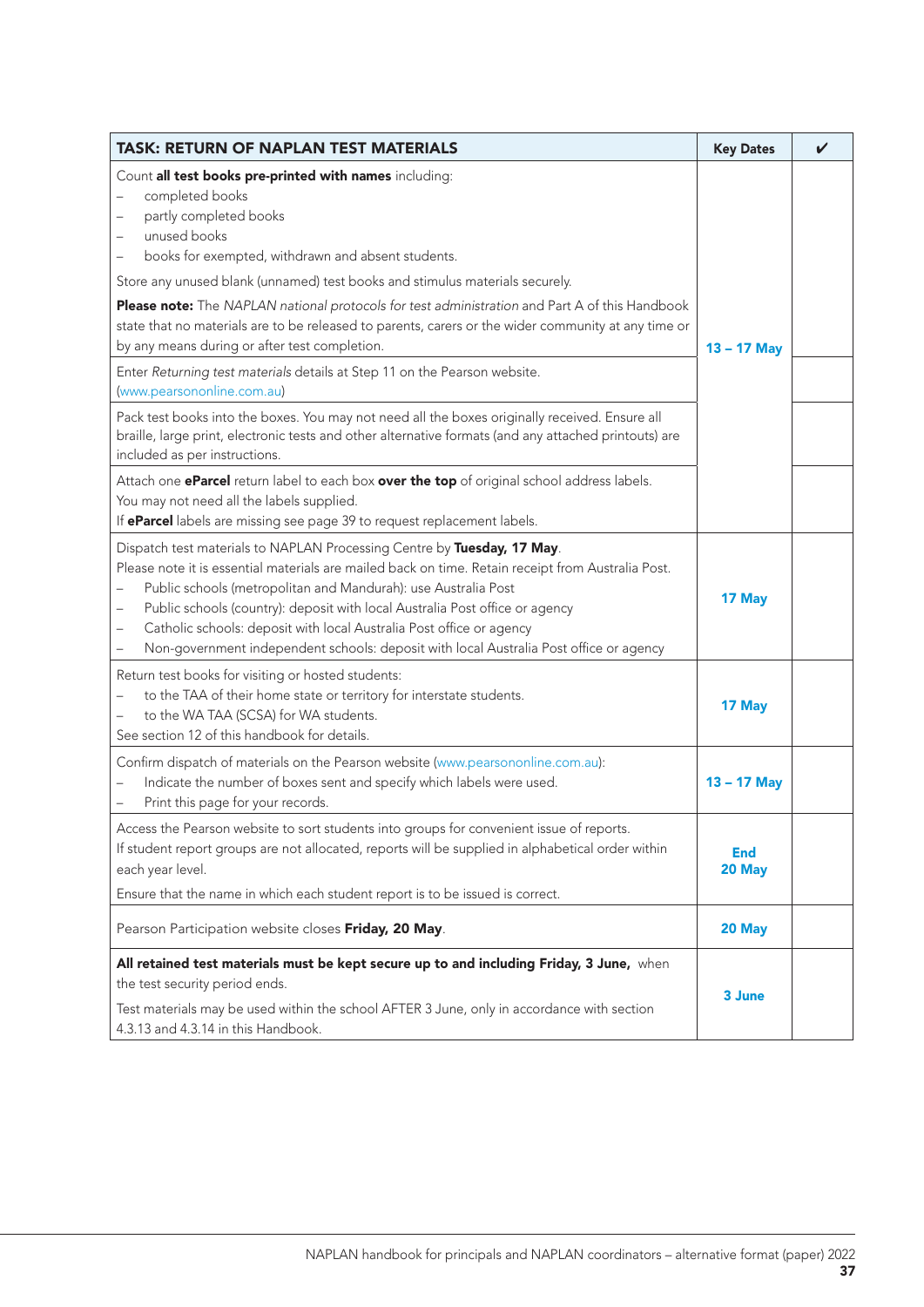| <b>TASK: RETURN OF NAPLAN TEST MATERIALS</b>                                                                                                                                                                                                                                                                                                                                                                                                                                                                                                                                                                                                                                                                                                                                                                                              | <b>Key Dates</b>     | ✔ |
|-------------------------------------------------------------------------------------------------------------------------------------------------------------------------------------------------------------------------------------------------------------------------------------------------------------------------------------------------------------------------------------------------------------------------------------------------------------------------------------------------------------------------------------------------------------------------------------------------------------------------------------------------------------------------------------------------------------------------------------------------------------------------------------------------------------------------------------------|----------------------|---|
| Count all test books pre-printed with names including:<br>completed books<br>partly completed books<br>unused books<br>books for exempted, withdrawn and absent students.<br>Store any unused blank (unnamed) test books and stimulus materials securely.<br>Please note: The NAPLAN national protocols for test administration and Part A of this Handbook<br>state that no materials are to be released to parents, carers or the wider community at any time or<br>by any means during or after test completion.<br>Enter Returning test materials details at Step 11 on the Pearson website.<br>(www.pearsononline.com.au)<br>Pack test books into the boxes. You may not need all the boxes originally received. Ensure all<br>braille, large print, electronic tests and other alternative formats (and any attached printouts) are | $13 - 17$ May        |   |
| included as per instructions.<br>Attach one <b>eParcel</b> return label to each box <b>over the top</b> of original school address labels.<br>You may not need all the labels supplied.<br>If eParcel labels are missing see page 39 to request replacement labels.                                                                                                                                                                                                                                                                                                                                                                                                                                                                                                                                                                       |                      |   |
| Dispatch test materials to NAPLAN Processing Centre by Tuesday, 17 May.<br>Please note it is essential materials are mailed back on time. Retain receipt from Australia Post.<br>Public schools (metropolitan and Mandurah): use Australia Post<br>Public schools (country): deposit with local Australia Post office or agency<br>Catholic schools: deposit with local Australia Post office or agency<br>Non-government independent schools: deposit with local Australia Post office or agency                                                                                                                                                                                                                                                                                                                                         | 17 May               |   |
| Return test books for visiting or hosted students:<br>to the TAA of their home state or territory for interstate students.<br>to the WA TAA (SCSA) for WA students.<br>See section 12 of this handbook for details.                                                                                                                                                                                                                                                                                                                                                                                                                                                                                                                                                                                                                       | 17 May               |   |
| Confirm dispatch of materials on the Pearson website (www.pearsononline.com.au):<br>Indicate the number of boxes sent and specify which labels were used.<br>Print this page for your records.                                                                                                                                                                                                                                                                                                                                                                                                                                                                                                                                                                                                                                            | 13 - 17 May          |   |
| Access the Pearson website to sort students into groups for convenient issue of reports.<br>If student report groups are not allocated, reports will be supplied in alphabetical order within<br>each year level.<br>Ensure that the name in which each student report is to be issued is correct.                                                                                                                                                                                                                                                                                                                                                                                                                                                                                                                                        | <b>End</b><br>20 May |   |
| Pearson Participation website closes Friday, 20 May.                                                                                                                                                                                                                                                                                                                                                                                                                                                                                                                                                                                                                                                                                                                                                                                      | 20 May               |   |
| All retained test materials must be kept secure up to and including Friday, 3 June, when<br>the test security period ends.<br>Test materials may be used within the school AFTER 3 June, only in accordance with section<br>4.3.13 and 4.3.14 in this Handbook.                                                                                                                                                                                                                                                                                                                                                                                                                                                                                                                                                                           | 3 June               |   |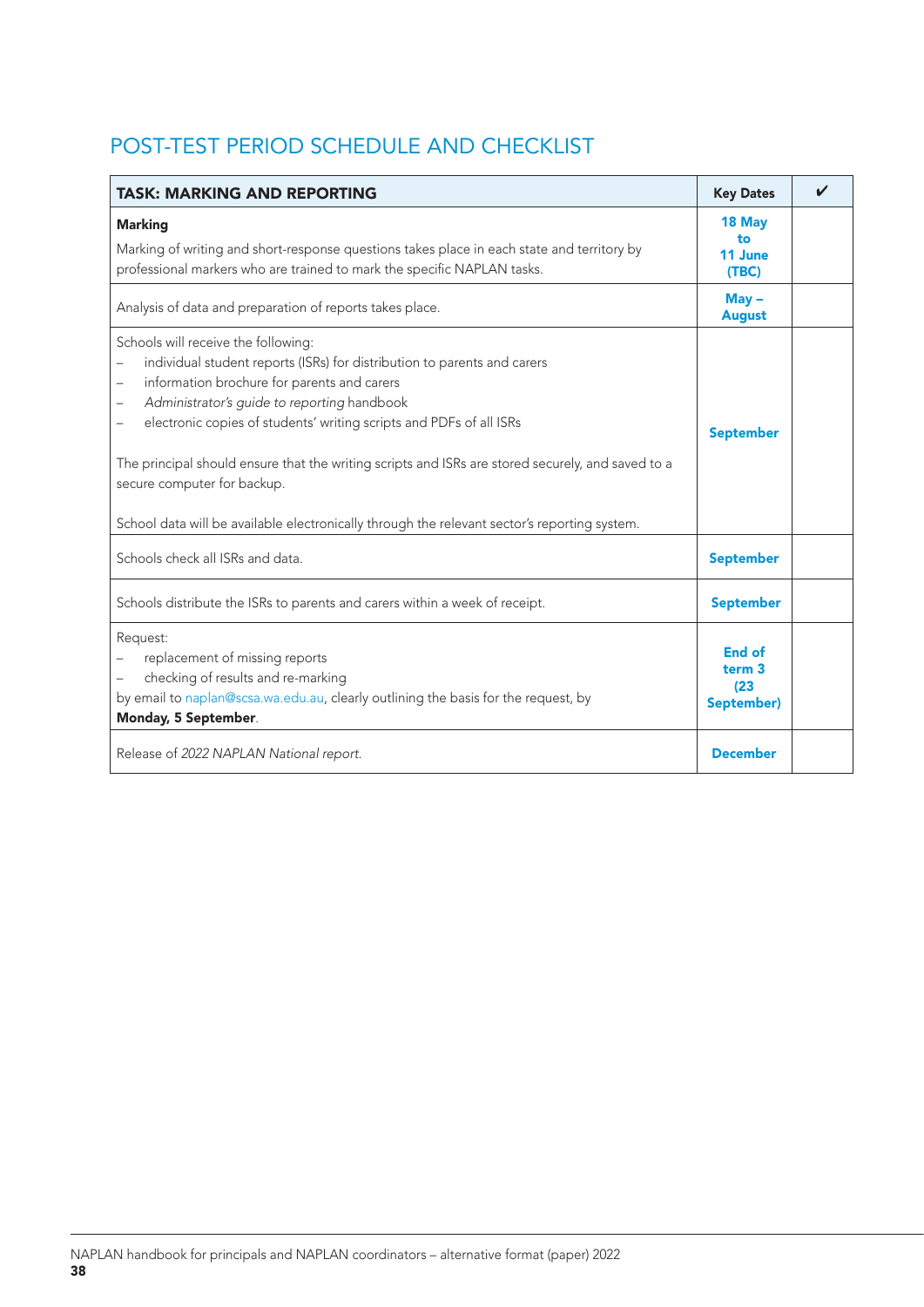## POST-TEST PERIOD SCHEDULE AND CHECKLIST

| <b>TASK: MARKING AND REPORTING</b>                                                                                                                                                                                                                                                                                                                                                                                                                                                                                                                                                         | <b>Key Dates</b>                                  |  |
|--------------------------------------------------------------------------------------------------------------------------------------------------------------------------------------------------------------------------------------------------------------------------------------------------------------------------------------------------------------------------------------------------------------------------------------------------------------------------------------------------------------------------------------------------------------------------------------------|---------------------------------------------------|--|
| <b>Marking</b><br>Marking of writing and short-response questions takes place in each state and territory by<br>professional markers who are trained to mark the specific NAPLAN tasks.                                                                                                                                                                                                                                                                                                                                                                                                    | 18 May<br>to<br>11 June<br>(TBC)                  |  |
| Analysis of data and preparation of reports takes place.                                                                                                                                                                                                                                                                                                                                                                                                                                                                                                                                   | $May -$<br><b>August</b>                          |  |
| Schools will receive the following:<br>individual student reports (ISRs) for distribution to parents and carers<br>$\overline{\phantom{0}}$<br>information brochure for parents and carers<br>$\overline{\phantom{0}}$<br>Administrator's guide to reporting handbook<br>-<br>electronic copies of students' writing scripts and PDFs of all ISRs<br>—<br>The principal should ensure that the writing scripts and ISRs are stored securely, and saved to a<br>secure computer for backup.<br>School data will be available electronically through the relevant sector's reporting system. | <b>September</b>                                  |  |
| Schools check all ISRs and data.                                                                                                                                                                                                                                                                                                                                                                                                                                                                                                                                                           | September                                         |  |
| Schools distribute the ISRs to parents and carers within a week of receipt.                                                                                                                                                                                                                                                                                                                                                                                                                                                                                                                | <b>September</b>                                  |  |
| Request:<br>replacement of missing reports<br>checking of results and re-marking<br>by email to naplan@scsa.wa.edu.au, clearly outlining the basis for the request, by<br>Monday, 5 September.                                                                                                                                                                                                                                                                                                                                                                                             | End of<br>term <sub>3</sub><br>(23)<br>September) |  |
| Release of 2022 NAPLAN National report.                                                                                                                                                                                                                                                                                                                                                                                                                                                                                                                                                    | <b>December</b>                                   |  |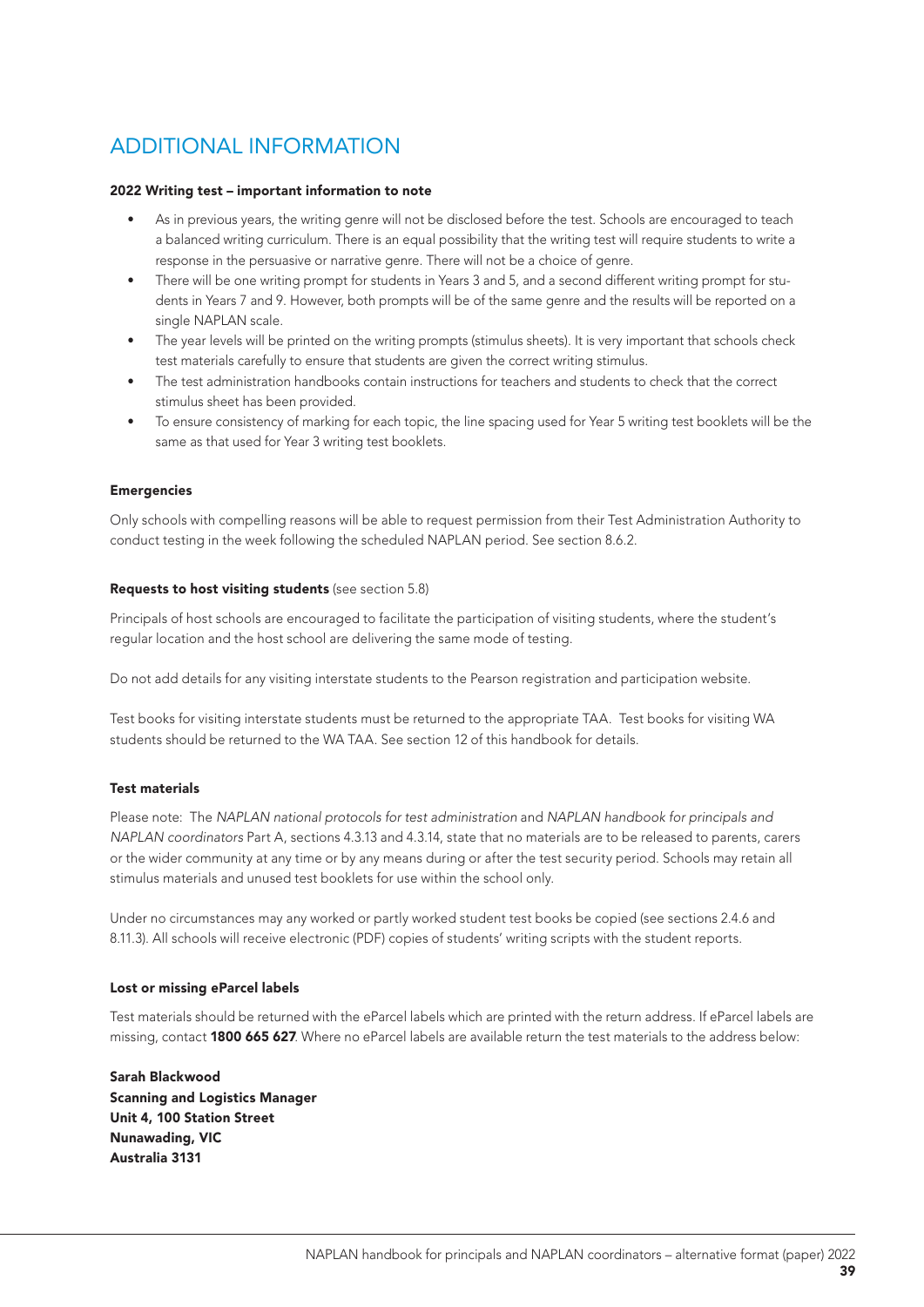## ADDITIONAL INFORMATION

#### 2022 Writing test – important information to note

- As in previous years, the writing genre will not be disclosed before the test. Schools are encouraged to teach a balanced writing curriculum. There is an equal possibility that the writing test will require students to write a response in the persuasive or narrative genre. There will not be a choice of genre.
- There will be one writing prompt for students in Years 3 and 5, and a second different writing prompt for students in Years 7 and 9. However, both prompts will be of the same genre and the results will be reported on a single NAPLAN scale.
- The year levels will be printed on the writing prompts (stimulus sheets). It is very important that schools check test materials carefully to ensure that students are given the correct writing stimulus.
- The test administration handbooks contain instructions for teachers and students to check that the correct stimulus sheet has been provided.
- To ensure consistency of marking for each topic, the line spacing used for Year 5 writing test booklets will be the same as that used for Year 3 writing test booklets.

#### Emergencies

Only schools with compelling reasons will be able to request permission from their Test Administration Authority to conduct testing in the week following the scheduled NAPLAN period. See section 8.6.2.

#### Requests to host visiting students (see section 5.8)

Principals of host schools are encouraged to facilitate the participation of visiting students, where the student's regular location and the host school are delivering the same mode of testing.

Do not add details for any visiting interstate students to the Pearson registration and participation website.

Test books for visiting interstate students must be returned to the appropriate TAA. Test books for visiting WA students should be returned to the WA TAA. See section 12 of this handbook for details.

#### Test materials

Please note: The *NAPLAN national protocols for test administration* and *NAPLAN handbook for principals and NAPLAN coordinators* Part A, sections 4.3.13 and 4.3.14, state that no materials are to be released to parents, carers or the wider community at any time or by any means during or after the test security period. Schools may retain all stimulus materials and unused test booklets for use within the school only.

Under no circumstances may any worked or partly worked student test books be copied (see sections 2.4.6 and 8.11.3). All schools will receive electronic (PDF) copies of students' writing scripts with the student reports.

#### Lost or missing eParcel labels

Test materials should be returned with the eParcel labels which are printed with the return address. If eParcel labels are missing, contact 1800 665 627. Where no eParcel labels are available return the test materials to the address below:

Sarah Blackwood Scanning and Logistics Manager Unit 4, 100 Station Street Nunawading, VIC Australia 3131